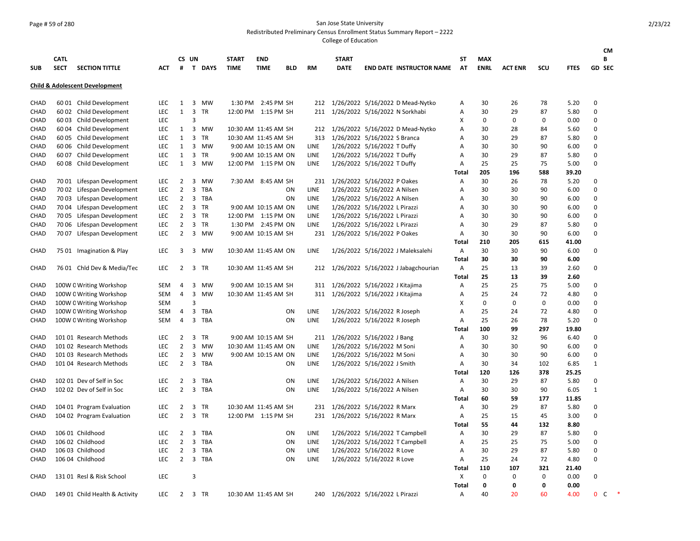## Page # 59 of 280 San Jose State University

Redistributed Preliminary Census Enrollment Status Summary Report – 2222

| В<br><b>CATL</b><br>CS UN<br><b>START</b><br>ST<br><b>END</b><br>START<br><b>MAX</b><br><b>SECT</b><br><b>SECTION TITTLE</b><br># T DAYS<br><b>TIME</b><br><b>RM</b><br><b>DATE</b><br><b>END DATE INSTRUCTOR NAME AT</b><br><b>ENRL</b><br><b>ACT ENR</b><br>SCU<br><b>FTES</b><br>GD SEC<br><b>SUB</b><br><b>ACT</b><br><b>TIME</b><br><b>BLD</b><br><b>Child &amp; Adolescent Development</b><br>1/26/2022 5/16/2022 D Mead-Nytko<br>30<br>78<br>5.20<br>0<br>CHAD<br>60 01 Child Development<br>LEC<br>1<br>3 MW<br>1:30 PM 2:45 PM SH<br>212<br>Α<br>26<br>1/26/2022 5/16/2022 N Sorkhabi<br>29<br>87<br>$\mathbf 0$<br>CHAD<br>60 02 Child Development<br><b>LEC</b><br>3 TR<br>12:00 PM 1:15 PM SH<br>211<br>Α<br>30<br>5.80<br>$\mathbf{1}$<br>$\Omega$<br>CHAD<br>60 03 Child Development<br><b>LEC</b><br>3<br>Χ<br>0<br>0<br>0<br>0.00<br>212 1/26/2022 5/16/2022 D Mead-Nytko<br>30<br>$\Omega$<br>CHAD<br>60 04 Child Development<br><b>LEC</b><br>1<br>3 MW<br>10:30 AM 11:45 AM SH<br>A<br>28<br>84<br>5.60<br>$\Omega$<br>60 05 Child Development<br>3<br><b>TR</b><br>1/26/2022 5/16/2022 S Branca<br>87<br><b>CHAD</b><br><b>LEC</b><br>$\mathbf{1}$<br>10:30 AM 11:45 AM SH<br>313<br>A<br>30<br>29<br>5.80<br>1/26/2022 5/16/2022 T Duffy<br>90<br>$\Omega$<br>60 06 Child Development<br><b>LEC</b><br>3 MW<br>LINE<br>30<br>30<br>6.00<br>CHAD<br>1<br>9:00 AM 10:15 AM ON<br>Α<br>$\mathbf 0$<br>CHAD<br>60 07 Child Development<br>LEC<br>3 TR<br>LINE<br>1/26/2022 5/16/2022 T Duffy<br>Α<br>30<br>29<br>87<br>5.80<br>1<br>9:00 AM 10:15 AM ON<br>75<br>$\mathbf 0$<br>CHAD<br>60 08 Child Development<br><b>LEC</b><br>$\mathbf{1}$<br>3 MW<br>12:00 PM 1:15 PM ON<br>LINE<br>1/26/2022 5/16/2022 T Duffy<br>25<br>25<br>5.00<br>Α<br><b>Total</b><br>205<br>196<br>588<br>39.20<br>1/26/2022 5/16/2022 P Oakes<br>30<br>26<br>78<br>$\Omega$<br>CHAD<br>70 01 Lifespan Development<br><b>LEC</b><br>2<br>3<br><b>MW</b><br>7:30 AM 8:45 AM SH<br>231<br>Α<br>5.20<br><b>LEC</b><br>2<br>3 TBA<br>LINE<br>1/26/2022 5/16/2022 A Nilsen<br>Α<br>30<br>30<br>90<br>6.00<br>$\Omega$<br>CHAD<br>70 02 Lifespan Development<br><b>ON</b><br>CHAD<br>70 03 Lifespan Development<br><b>LEC</b><br>2<br>3 TBA<br>ON<br>LINE<br>1/26/2022 5/16/2022 A Nilsen<br>30<br>30<br>90<br>6.00<br>$\Omega$<br>Α<br>$\overline{2}$<br>$\Omega$<br>CHAD<br>70 04 Lifespan Development<br>LEC<br>3 TR<br>9:00 AM 10:15 AM ON<br>LINE<br>1/26/2022 5/16/2022 L Pirazzi<br>Α<br>30<br>30<br>90<br>6.00<br>$\overline{2}$<br>1/26/2022 5/16/2022 L Pirazzi<br>$\mathbf 0$<br>70 05 Lifespan Development<br><b>LEC</b><br>3<br>TR<br>12:00 PM 1:15 PM ON<br>LINE<br>30<br>30<br>90<br>6.00<br>CHAD<br>Α<br>3 TR<br>1/26/2022 5/16/2022 L Pirazzi<br>30<br>87<br>$\mathbf 0$<br>CHAD<br>70 06 Lifespan Development<br>LEC<br>2<br>1:30 PM 2:45 PM ON<br>LINE<br>Α<br>29<br>5.80<br>$\Omega$<br>70 07 Lifespan Development<br>$\overline{2}$<br>3 MW<br>1/26/2022 5/16/2022 P Oakes<br>30<br>30<br>90<br>6.00<br>CHAD<br>LEC<br>9:00 AM 10:15 AM SH<br>231<br>Α<br>210<br>205<br>615<br>41.00<br>Total<br>75 01 Imagination & Play<br>1/26/2022 5/16/2022 J Maleksalehi<br>Α<br>30<br>30<br>90<br>$\Omega$<br>CHAD<br>LEC<br>3<br>3 MW<br>10:30 AM 11:45 AM ON<br>LINE<br>6.00<br>90<br>30<br>30<br>6.00<br>Total<br>CHAD<br>76 01 Chld Dev & Media/Tec<br>212 1/26/2022 5/16/2022 J Jabagchourian<br>А<br>25<br>39<br>$\mathbf 0$<br><b>LEC</b><br>$\overline{2}$<br>3 TR<br>10:30 AM 11:45 AM SH<br>13<br>2.60<br>25<br>39<br><b>Total</b><br>13<br>2.60<br>311 1/26/2022 5/16/2022 J Kitajima<br>25<br>25<br>75<br>$\Omega$<br>CHAD<br>100W 0 Writing Workshop<br>SEM<br>4<br>3 MW<br>9:00 AM 10:15 AM SH<br>Α<br>5.00<br>72<br>$\Omega$<br>100W 0 Writing Workshop<br>3<br>MW<br>1/26/2022 5/16/2022 J Kitajima<br>25<br>CHAD<br><b>SEM</b><br>4<br>10:30 AM 11:45 AM SH<br>311<br>Α<br>24<br>4.80<br>3<br>0<br>0<br>$\mathbf 0$<br>CHAD<br>100W 0 Writing Workshop<br>Χ<br>0<br>0.00<br>SEM<br>3 TBA<br>1/26/2022 5/16/2022 R Joseph<br>25<br>72<br>$\mathbf 0$<br>CHAD<br>100W 0 Writing Workshop<br>SEM<br>4<br>ON<br>LINE<br>Α<br>24<br>4.80<br>$\Omega$<br>1/26/2022 5/16/2022 R Joseph<br>78<br>CHAD<br>100W 0 Writing Workshop<br>SEM<br>4<br>3 TBA<br>ON<br>LINE<br>Α<br>25<br>26<br>5.20<br>100<br>297<br>99<br>19.80<br>Total<br>9:00 AM 10:15 AM SH<br>1/26/2022 5/16/2022 J Bang<br>30<br>32<br>96<br>$\Omega$<br>CHAD<br>101 01 Research Methods<br><b>LEC</b><br>2<br>3<br>TR<br>211<br>Α<br>6.40<br>$\Omega$<br>CHAD<br>101 02 Research Methods<br><b>LEC</b><br>$\overline{2}$<br>3 MW<br>10:30 AM 11:45 AM ON<br>LINE<br>1/26/2022 5/16/2022 M Soni<br>Α<br>30<br>30<br>90<br>6.00<br>$\mathbf 0$<br>CHAD<br>101 03 Research Methods<br><b>LEC</b><br>$\overline{2}$<br>3<br>MW<br>9:00 AM 10:15 AM ON<br>LINE<br>1/26/2022 5/16/2022 M Soni<br>30<br>30<br>90<br>6.00<br>Α<br>$\overline{2}$<br>1/26/2022 5/16/2022 J Smith<br>101 04 Research Methods<br><b>LEC</b><br>3 TBA<br>LINE<br>Α<br>30<br>102<br>6.85<br>$\mathbf{1}$<br>CHAD<br>ON<br>34<br>120<br>126<br>378<br>25.25<br>Total<br>102 01 Dev of Self in Soc<br>ON<br>LINE<br>1/26/2022 5/16/2022 A Nilsen<br>30<br>29<br>87<br>$\mathbf 0$<br>CHAD<br>LEC<br>2<br>3 TBA<br>Α<br>5.80<br>102 02 Dev of Self in Soc<br>2<br>3 TBA<br>ON<br><b>LINE</b><br>1/26/2022 5/16/2022 A Nilsen<br>30<br>30<br>90<br>$\mathbf{1}$<br>CHAD<br><b>LEC</b><br>Α<br>6.05<br>60<br>Total<br>59<br>177<br>11.85<br>104 01 Program Evaluation<br>2<br>3 TR<br>1/26/2022 5/16/2022 R Marx<br>Α<br>30<br>29<br>87<br>0<br>CHAD<br>LEC<br>10:30 AM 11:45 AM SH<br>231<br>5.80<br>$\overline{2}$<br>3 TR<br>12:00 PM 1:15 PM SH<br>1/26/2022 5/16/2022 R Marx<br>25<br>45<br>3.00<br>$\Omega$<br>CHAD<br>104 02 Program Evaluation<br><b>LEC</b><br>231<br>Α<br>15<br>132<br><b>Total</b><br>55<br>44<br>8.80<br>30<br>87<br><b>CHAD</b><br>106 01 Childhood<br><b>LEC</b><br>2<br>3<br><b>TBA</b><br>ON<br>LINE<br>1/26/2022 5/16/2022 T Campbell<br>A<br>29<br>5.80<br>$\Omega$<br>$\overline{2}$<br>75<br>$\Omega$<br><b>LEC</b><br>3<br>TBA<br>1/26/2022 5/16/2022 T Campbell<br>25<br>25<br>CHAD<br>106 02 Childhood<br><b>ON</b><br>LINE<br>A<br>5.00<br>87<br>$\Omega$<br>106 03 Childhood<br><b>LEC</b><br>2<br>3<br>TBA<br>ON<br>LINE<br>1/26/2022 5/16/2022 R Love<br>30<br>29<br>CHAD<br>Α<br>5.80<br>72<br>$\mathbf 0$<br>106 04 Childhood<br><b>LEC</b><br>$\overline{2}$<br>3 TBA<br>ON<br>LINE<br>1/26/2022 5/16/2022 R Love<br>Α<br>25<br>24<br>4.80<br>CHAD<br><b>Total</b><br>110<br>107<br>321<br>21.40<br>3<br>X<br>$\mathbf 0$<br>$\Omega$<br>131 01 Resl & Risk School<br><b>LEC</b><br>0<br>0<br>0.00<br><b>CHAD</b><br>0<br>$\mathbf 0$<br>0.00<br>Total<br>0<br>$\ast$<br>CHAD<br><b>LEC</b><br>$\overline{2}$<br>3 TR<br>240 1/26/2022 5/16/2022 L Pirazzi<br>A<br>40<br>20<br>60<br>4.00<br>$\Omega$<br>C<br>149 01 Child Health & Activity<br>10:30 AM 11:45 AM SH |  |  |  |  |  |  |  |  |  | СM |
|--------------------------------------------------------------------------------------------------------------------------------------------------------------------------------------------------------------------------------------------------------------------------------------------------------------------------------------------------------------------------------------------------------------------------------------------------------------------------------------------------------------------------------------------------------------------------------------------------------------------------------------------------------------------------------------------------------------------------------------------------------------------------------------------------------------------------------------------------------------------------------------------------------------------------------------------------------------------------------------------------------------------------------------------------------------------------------------------------------------------------------------------------------------------------------------------------------------------------------------------------------------------------------------------------------------------------------------------------------------------------------------------------------------------------------------------------------------------------------------------------------------------------------------------------------------------------------------------------------------------------------------------------------------------------------------------------------------------------------------------------------------------------------------------------------------------------------------------------------------------------------------------------------------------------------------------------------------------------------------------------------------------------------------------------------------------------------------------------------------------------------------------------------------------------------------------------------------------------------------------------------------------------------------------------------------------------------------------------------------------------------------------------------------------------------------------------------------------------------------------------------------------------------------------------------------------------------------------------------------------------------------------------------------------------------------------------------------------------------------------------------------------------------------------------------------------------------------------------------------------------------------------------------------------------------------------------------------------------------------------------------------------------------------------------------------------------------------------------------------------------------------------------------------------------------------------------------------------------------------------------------------------------------------------------------------------------------------------------------------------------------------------------------------------------------------------------------------------------------------------------------------------------------------------------------------------------------------------------------------------------------------------------------------------------------------------------------------------------------------------------------------------------------------------------------------------------------------------------------------------------------------------------------------------------------------------------------------------------------------------------------------------------------------------------------------------------------------------------------------------------------------------------------------------------------------------------------------------------------------------------------------------------------------------------------------------------------------------------------------------------------------------------------------------------------------------------------------------------------------------------------------------------------------------------------------------------------------------------------------------------------------------------------------------------------------------------------------------------------------------------------------------------------------------------------------------------------------------------------------------------------------------------------------------------------------------------------------------------------------------------------------------------------------------------------------------------------------------------------------------------------------------------------------------------------------------------------------------------------------------------------------------------------------------------------------------------------------------------------------------------------------------------------------------------------------------------------------------------------------------------------------------------------------------------------------------------------------------------------------------------------------------------------------------------------------------------------------------------------------------------------------------------------------------------------------------------------------------------------------------------------------------------------------------------------------------------------------------------------------------------------------------------------------------------------------------------------------------------------------------------------------------------------------------------------------------------------------------------------------------------------------------------------------------------------------------------------------------------------------------------------------------------------------------------------------------------------------------------------------------------------------------------------------------------------------------------------------------------------------------------------------------------------------------------------------------------------------------------------------------------------------------------------------------------------------------------------------------------------------------------------------------------------------------------------------------------------------|--|--|--|--|--|--|--|--|--|----|
|                                                                                                                                                                                                                                                                                                                                                                                                                                                                                                                                                                                                                                                                                                                                                                                                                                                                                                                                                                                                                                                                                                                                                                                                                                                                                                                                                                                                                                                                                                                                                                                                                                                                                                                                                                                                                                                                                                                                                                                                                                                                                                                                                                                                                                                                                                                                                                                                                                                                                                                                                                                                                                                                                                                                                                                                                                                                                                                                                                                                                                                                                                                                                                                                                                                                                                                                                                                                                                                                                                                                                                                                                                                                                                                                                                                                                                                                                                                                                                                                                                                                                                                                                                                                                                                                                                                                                                                                                                                                                                                                                                                                                                                                                                                                                                                                                                                                                                                                                                                                                                                                                                                                                                                                                                                                                                                                                                                                                                                                                                                                                                                                                                                                                                                                                                                                                                                                                                                                                                                                                                                                                                                                                                                                                                                                                                                                                                                                                                                                                                                                                                                                                                                                                                                                                                                                                                                                                                                                                              |  |  |  |  |  |  |  |  |  |    |
|                                                                                                                                                                                                                                                                                                                                                                                                                                                                                                                                                                                                                                                                                                                                                                                                                                                                                                                                                                                                                                                                                                                                                                                                                                                                                                                                                                                                                                                                                                                                                                                                                                                                                                                                                                                                                                                                                                                                                                                                                                                                                                                                                                                                                                                                                                                                                                                                                                                                                                                                                                                                                                                                                                                                                                                                                                                                                                                                                                                                                                                                                                                                                                                                                                                                                                                                                                                                                                                                                                                                                                                                                                                                                                                                                                                                                                                                                                                                                                                                                                                                                                                                                                                                                                                                                                                                                                                                                                                                                                                                                                                                                                                                                                                                                                                                                                                                                                                                                                                                                                                                                                                                                                                                                                                                                                                                                                                                                                                                                                                                                                                                                                                                                                                                                                                                                                                                                                                                                                                                                                                                                                                                                                                                                                                                                                                                                                                                                                                                                                                                                                                                                                                                                                                                                                                                                                                                                                                                                              |  |  |  |  |  |  |  |  |  |    |
|                                                                                                                                                                                                                                                                                                                                                                                                                                                                                                                                                                                                                                                                                                                                                                                                                                                                                                                                                                                                                                                                                                                                                                                                                                                                                                                                                                                                                                                                                                                                                                                                                                                                                                                                                                                                                                                                                                                                                                                                                                                                                                                                                                                                                                                                                                                                                                                                                                                                                                                                                                                                                                                                                                                                                                                                                                                                                                                                                                                                                                                                                                                                                                                                                                                                                                                                                                                                                                                                                                                                                                                                                                                                                                                                                                                                                                                                                                                                                                                                                                                                                                                                                                                                                                                                                                                                                                                                                                                                                                                                                                                                                                                                                                                                                                                                                                                                                                                                                                                                                                                                                                                                                                                                                                                                                                                                                                                                                                                                                                                                                                                                                                                                                                                                                                                                                                                                                                                                                                                                                                                                                                                                                                                                                                                                                                                                                                                                                                                                                                                                                                                                                                                                                                                                                                                                                                                                                                                                                              |  |  |  |  |  |  |  |  |  |    |
|                                                                                                                                                                                                                                                                                                                                                                                                                                                                                                                                                                                                                                                                                                                                                                                                                                                                                                                                                                                                                                                                                                                                                                                                                                                                                                                                                                                                                                                                                                                                                                                                                                                                                                                                                                                                                                                                                                                                                                                                                                                                                                                                                                                                                                                                                                                                                                                                                                                                                                                                                                                                                                                                                                                                                                                                                                                                                                                                                                                                                                                                                                                                                                                                                                                                                                                                                                                                                                                                                                                                                                                                                                                                                                                                                                                                                                                                                                                                                                                                                                                                                                                                                                                                                                                                                                                                                                                                                                                                                                                                                                                                                                                                                                                                                                                                                                                                                                                                                                                                                                                                                                                                                                                                                                                                                                                                                                                                                                                                                                                                                                                                                                                                                                                                                                                                                                                                                                                                                                                                                                                                                                                                                                                                                                                                                                                                                                                                                                                                                                                                                                                                                                                                                                                                                                                                                                                                                                                                                              |  |  |  |  |  |  |  |  |  |    |
|                                                                                                                                                                                                                                                                                                                                                                                                                                                                                                                                                                                                                                                                                                                                                                                                                                                                                                                                                                                                                                                                                                                                                                                                                                                                                                                                                                                                                                                                                                                                                                                                                                                                                                                                                                                                                                                                                                                                                                                                                                                                                                                                                                                                                                                                                                                                                                                                                                                                                                                                                                                                                                                                                                                                                                                                                                                                                                                                                                                                                                                                                                                                                                                                                                                                                                                                                                                                                                                                                                                                                                                                                                                                                                                                                                                                                                                                                                                                                                                                                                                                                                                                                                                                                                                                                                                                                                                                                                                                                                                                                                                                                                                                                                                                                                                                                                                                                                                                                                                                                                                                                                                                                                                                                                                                                                                                                                                                                                                                                                                                                                                                                                                                                                                                                                                                                                                                                                                                                                                                                                                                                                                                                                                                                                                                                                                                                                                                                                                                                                                                                                                                                                                                                                                                                                                                                                                                                                                                                              |  |  |  |  |  |  |  |  |  |    |
|                                                                                                                                                                                                                                                                                                                                                                                                                                                                                                                                                                                                                                                                                                                                                                                                                                                                                                                                                                                                                                                                                                                                                                                                                                                                                                                                                                                                                                                                                                                                                                                                                                                                                                                                                                                                                                                                                                                                                                                                                                                                                                                                                                                                                                                                                                                                                                                                                                                                                                                                                                                                                                                                                                                                                                                                                                                                                                                                                                                                                                                                                                                                                                                                                                                                                                                                                                                                                                                                                                                                                                                                                                                                                                                                                                                                                                                                                                                                                                                                                                                                                                                                                                                                                                                                                                                                                                                                                                                                                                                                                                                                                                                                                                                                                                                                                                                                                                                                                                                                                                                                                                                                                                                                                                                                                                                                                                                                                                                                                                                                                                                                                                                                                                                                                                                                                                                                                                                                                                                                                                                                                                                                                                                                                                                                                                                                                                                                                                                                                                                                                                                                                                                                                                                                                                                                                                                                                                                                                              |  |  |  |  |  |  |  |  |  |    |
|                                                                                                                                                                                                                                                                                                                                                                                                                                                                                                                                                                                                                                                                                                                                                                                                                                                                                                                                                                                                                                                                                                                                                                                                                                                                                                                                                                                                                                                                                                                                                                                                                                                                                                                                                                                                                                                                                                                                                                                                                                                                                                                                                                                                                                                                                                                                                                                                                                                                                                                                                                                                                                                                                                                                                                                                                                                                                                                                                                                                                                                                                                                                                                                                                                                                                                                                                                                                                                                                                                                                                                                                                                                                                                                                                                                                                                                                                                                                                                                                                                                                                                                                                                                                                                                                                                                                                                                                                                                                                                                                                                                                                                                                                                                                                                                                                                                                                                                                                                                                                                                                                                                                                                                                                                                                                                                                                                                                                                                                                                                                                                                                                                                                                                                                                                                                                                                                                                                                                                                                                                                                                                                                                                                                                                                                                                                                                                                                                                                                                                                                                                                                                                                                                                                                                                                                                                                                                                                                                              |  |  |  |  |  |  |  |  |  |    |
|                                                                                                                                                                                                                                                                                                                                                                                                                                                                                                                                                                                                                                                                                                                                                                                                                                                                                                                                                                                                                                                                                                                                                                                                                                                                                                                                                                                                                                                                                                                                                                                                                                                                                                                                                                                                                                                                                                                                                                                                                                                                                                                                                                                                                                                                                                                                                                                                                                                                                                                                                                                                                                                                                                                                                                                                                                                                                                                                                                                                                                                                                                                                                                                                                                                                                                                                                                                                                                                                                                                                                                                                                                                                                                                                                                                                                                                                                                                                                                                                                                                                                                                                                                                                                                                                                                                                                                                                                                                                                                                                                                                                                                                                                                                                                                                                                                                                                                                                                                                                                                                                                                                                                                                                                                                                                                                                                                                                                                                                                                                                                                                                                                                                                                                                                                                                                                                                                                                                                                                                                                                                                                                                                                                                                                                                                                                                                                                                                                                                                                                                                                                                                                                                                                                                                                                                                                                                                                                                                              |  |  |  |  |  |  |  |  |  |    |
|                                                                                                                                                                                                                                                                                                                                                                                                                                                                                                                                                                                                                                                                                                                                                                                                                                                                                                                                                                                                                                                                                                                                                                                                                                                                                                                                                                                                                                                                                                                                                                                                                                                                                                                                                                                                                                                                                                                                                                                                                                                                                                                                                                                                                                                                                                                                                                                                                                                                                                                                                                                                                                                                                                                                                                                                                                                                                                                                                                                                                                                                                                                                                                                                                                                                                                                                                                                                                                                                                                                                                                                                                                                                                                                                                                                                                                                                                                                                                                                                                                                                                                                                                                                                                                                                                                                                                                                                                                                                                                                                                                                                                                                                                                                                                                                                                                                                                                                                                                                                                                                                                                                                                                                                                                                                                                                                                                                                                                                                                                                                                                                                                                                                                                                                                                                                                                                                                                                                                                                                                                                                                                                                                                                                                                                                                                                                                                                                                                                                                                                                                                                                                                                                                                                                                                                                                                                                                                                                                              |  |  |  |  |  |  |  |  |  |    |
|                                                                                                                                                                                                                                                                                                                                                                                                                                                                                                                                                                                                                                                                                                                                                                                                                                                                                                                                                                                                                                                                                                                                                                                                                                                                                                                                                                                                                                                                                                                                                                                                                                                                                                                                                                                                                                                                                                                                                                                                                                                                                                                                                                                                                                                                                                                                                                                                                                                                                                                                                                                                                                                                                                                                                                                                                                                                                                                                                                                                                                                                                                                                                                                                                                                                                                                                                                                                                                                                                                                                                                                                                                                                                                                                                                                                                                                                                                                                                                                                                                                                                                                                                                                                                                                                                                                                                                                                                                                                                                                                                                                                                                                                                                                                                                                                                                                                                                                                                                                                                                                                                                                                                                                                                                                                                                                                                                                                                                                                                                                                                                                                                                                                                                                                                                                                                                                                                                                                                                                                                                                                                                                                                                                                                                                                                                                                                                                                                                                                                                                                                                                                                                                                                                                                                                                                                                                                                                                                                              |  |  |  |  |  |  |  |  |  |    |
|                                                                                                                                                                                                                                                                                                                                                                                                                                                                                                                                                                                                                                                                                                                                                                                                                                                                                                                                                                                                                                                                                                                                                                                                                                                                                                                                                                                                                                                                                                                                                                                                                                                                                                                                                                                                                                                                                                                                                                                                                                                                                                                                                                                                                                                                                                                                                                                                                                                                                                                                                                                                                                                                                                                                                                                                                                                                                                                                                                                                                                                                                                                                                                                                                                                                                                                                                                                                                                                                                                                                                                                                                                                                                                                                                                                                                                                                                                                                                                                                                                                                                                                                                                                                                                                                                                                                                                                                                                                                                                                                                                                                                                                                                                                                                                                                                                                                                                                                                                                                                                                                                                                                                                                                                                                                                                                                                                                                                                                                                                                                                                                                                                                                                                                                                                                                                                                                                                                                                                                                                                                                                                                                                                                                                                                                                                                                                                                                                                                                                                                                                                                                                                                                                                                                                                                                                                                                                                                                                              |  |  |  |  |  |  |  |  |  |    |
|                                                                                                                                                                                                                                                                                                                                                                                                                                                                                                                                                                                                                                                                                                                                                                                                                                                                                                                                                                                                                                                                                                                                                                                                                                                                                                                                                                                                                                                                                                                                                                                                                                                                                                                                                                                                                                                                                                                                                                                                                                                                                                                                                                                                                                                                                                                                                                                                                                                                                                                                                                                                                                                                                                                                                                                                                                                                                                                                                                                                                                                                                                                                                                                                                                                                                                                                                                                                                                                                                                                                                                                                                                                                                                                                                                                                                                                                                                                                                                                                                                                                                                                                                                                                                                                                                                                                                                                                                                                                                                                                                                                                                                                                                                                                                                                                                                                                                                                                                                                                                                                                                                                                                                                                                                                                                                                                                                                                                                                                                                                                                                                                                                                                                                                                                                                                                                                                                                                                                                                                                                                                                                                                                                                                                                                                                                                                                                                                                                                                                                                                                                                                                                                                                                                                                                                                                                                                                                                                                              |  |  |  |  |  |  |  |  |  |    |
|                                                                                                                                                                                                                                                                                                                                                                                                                                                                                                                                                                                                                                                                                                                                                                                                                                                                                                                                                                                                                                                                                                                                                                                                                                                                                                                                                                                                                                                                                                                                                                                                                                                                                                                                                                                                                                                                                                                                                                                                                                                                                                                                                                                                                                                                                                                                                                                                                                                                                                                                                                                                                                                                                                                                                                                                                                                                                                                                                                                                                                                                                                                                                                                                                                                                                                                                                                                                                                                                                                                                                                                                                                                                                                                                                                                                                                                                                                                                                                                                                                                                                                                                                                                                                                                                                                                                                                                                                                                                                                                                                                                                                                                                                                                                                                                                                                                                                                                                                                                                                                                                                                                                                                                                                                                                                                                                                                                                                                                                                                                                                                                                                                                                                                                                                                                                                                                                                                                                                                                                                                                                                                                                                                                                                                                                                                                                                                                                                                                                                                                                                                                                                                                                                                                                                                                                                                                                                                                                                              |  |  |  |  |  |  |  |  |  |    |
|                                                                                                                                                                                                                                                                                                                                                                                                                                                                                                                                                                                                                                                                                                                                                                                                                                                                                                                                                                                                                                                                                                                                                                                                                                                                                                                                                                                                                                                                                                                                                                                                                                                                                                                                                                                                                                                                                                                                                                                                                                                                                                                                                                                                                                                                                                                                                                                                                                                                                                                                                                                                                                                                                                                                                                                                                                                                                                                                                                                                                                                                                                                                                                                                                                                                                                                                                                                                                                                                                                                                                                                                                                                                                                                                                                                                                                                                                                                                                                                                                                                                                                                                                                                                                                                                                                                                                                                                                                                                                                                                                                                                                                                                                                                                                                                                                                                                                                                                                                                                                                                                                                                                                                                                                                                                                                                                                                                                                                                                                                                                                                                                                                                                                                                                                                                                                                                                                                                                                                                                                                                                                                                                                                                                                                                                                                                                                                                                                                                                                                                                                                                                                                                                                                                                                                                                                                                                                                                                                              |  |  |  |  |  |  |  |  |  |    |
|                                                                                                                                                                                                                                                                                                                                                                                                                                                                                                                                                                                                                                                                                                                                                                                                                                                                                                                                                                                                                                                                                                                                                                                                                                                                                                                                                                                                                                                                                                                                                                                                                                                                                                                                                                                                                                                                                                                                                                                                                                                                                                                                                                                                                                                                                                                                                                                                                                                                                                                                                                                                                                                                                                                                                                                                                                                                                                                                                                                                                                                                                                                                                                                                                                                                                                                                                                                                                                                                                                                                                                                                                                                                                                                                                                                                                                                                                                                                                                                                                                                                                                                                                                                                                                                                                                                                                                                                                                                                                                                                                                                                                                                                                                                                                                                                                                                                                                                                                                                                                                                                                                                                                                                                                                                                                                                                                                                                                                                                                                                                                                                                                                                                                                                                                                                                                                                                                                                                                                                                                                                                                                                                                                                                                                                                                                                                                                                                                                                                                                                                                                                                                                                                                                                                                                                                                                                                                                                                                              |  |  |  |  |  |  |  |  |  |    |
|                                                                                                                                                                                                                                                                                                                                                                                                                                                                                                                                                                                                                                                                                                                                                                                                                                                                                                                                                                                                                                                                                                                                                                                                                                                                                                                                                                                                                                                                                                                                                                                                                                                                                                                                                                                                                                                                                                                                                                                                                                                                                                                                                                                                                                                                                                                                                                                                                                                                                                                                                                                                                                                                                                                                                                                                                                                                                                                                                                                                                                                                                                                                                                                                                                                                                                                                                                                                                                                                                                                                                                                                                                                                                                                                                                                                                                                                                                                                                                                                                                                                                                                                                                                                                                                                                                                                                                                                                                                                                                                                                                                                                                                                                                                                                                                                                                                                                                                                                                                                                                                                                                                                                                                                                                                                                                                                                                                                                                                                                                                                                                                                                                                                                                                                                                                                                                                                                                                                                                                                                                                                                                                                                                                                                                                                                                                                                                                                                                                                                                                                                                                                                                                                                                                                                                                                                                                                                                                                                              |  |  |  |  |  |  |  |  |  |    |
|                                                                                                                                                                                                                                                                                                                                                                                                                                                                                                                                                                                                                                                                                                                                                                                                                                                                                                                                                                                                                                                                                                                                                                                                                                                                                                                                                                                                                                                                                                                                                                                                                                                                                                                                                                                                                                                                                                                                                                                                                                                                                                                                                                                                                                                                                                                                                                                                                                                                                                                                                                                                                                                                                                                                                                                                                                                                                                                                                                                                                                                                                                                                                                                                                                                                                                                                                                                                                                                                                                                                                                                                                                                                                                                                                                                                                                                                                                                                                                                                                                                                                                                                                                                                                                                                                                                                                                                                                                                                                                                                                                                                                                                                                                                                                                                                                                                                                                                                                                                                                                                                                                                                                                                                                                                                                                                                                                                                                                                                                                                                                                                                                                                                                                                                                                                                                                                                                                                                                                                                                                                                                                                                                                                                                                                                                                                                                                                                                                                                                                                                                                                                                                                                                                                                                                                                                                                                                                                                                              |  |  |  |  |  |  |  |  |  |    |
|                                                                                                                                                                                                                                                                                                                                                                                                                                                                                                                                                                                                                                                                                                                                                                                                                                                                                                                                                                                                                                                                                                                                                                                                                                                                                                                                                                                                                                                                                                                                                                                                                                                                                                                                                                                                                                                                                                                                                                                                                                                                                                                                                                                                                                                                                                                                                                                                                                                                                                                                                                                                                                                                                                                                                                                                                                                                                                                                                                                                                                                                                                                                                                                                                                                                                                                                                                                                                                                                                                                                                                                                                                                                                                                                                                                                                                                                                                                                                                                                                                                                                                                                                                                                                                                                                                                                                                                                                                                                                                                                                                                                                                                                                                                                                                                                                                                                                                                                                                                                                                                                                                                                                                                                                                                                                                                                                                                                                                                                                                                                                                                                                                                                                                                                                                                                                                                                                                                                                                                                                                                                                                                                                                                                                                                                                                                                                                                                                                                                                                                                                                                                                                                                                                                                                                                                                                                                                                                                                              |  |  |  |  |  |  |  |  |  |    |
|                                                                                                                                                                                                                                                                                                                                                                                                                                                                                                                                                                                                                                                                                                                                                                                                                                                                                                                                                                                                                                                                                                                                                                                                                                                                                                                                                                                                                                                                                                                                                                                                                                                                                                                                                                                                                                                                                                                                                                                                                                                                                                                                                                                                                                                                                                                                                                                                                                                                                                                                                                                                                                                                                                                                                                                                                                                                                                                                                                                                                                                                                                                                                                                                                                                                                                                                                                                                                                                                                                                                                                                                                                                                                                                                                                                                                                                                                                                                                                                                                                                                                                                                                                                                                                                                                                                                                                                                                                                                                                                                                                                                                                                                                                                                                                                                                                                                                                                                                                                                                                                                                                                                                                                                                                                                                                                                                                                                                                                                                                                                                                                                                                                                                                                                                                                                                                                                                                                                                                                                                                                                                                                                                                                                                                                                                                                                                                                                                                                                                                                                                                                                                                                                                                                                                                                                                                                                                                                                                              |  |  |  |  |  |  |  |  |  |    |
|                                                                                                                                                                                                                                                                                                                                                                                                                                                                                                                                                                                                                                                                                                                                                                                                                                                                                                                                                                                                                                                                                                                                                                                                                                                                                                                                                                                                                                                                                                                                                                                                                                                                                                                                                                                                                                                                                                                                                                                                                                                                                                                                                                                                                                                                                                                                                                                                                                                                                                                                                                                                                                                                                                                                                                                                                                                                                                                                                                                                                                                                                                                                                                                                                                                                                                                                                                                                                                                                                                                                                                                                                                                                                                                                                                                                                                                                                                                                                                                                                                                                                                                                                                                                                                                                                                                                                                                                                                                                                                                                                                                                                                                                                                                                                                                                                                                                                                                                                                                                                                                                                                                                                                                                                                                                                                                                                                                                                                                                                                                                                                                                                                                                                                                                                                                                                                                                                                                                                                                                                                                                                                                                                                                                                                                                                                                                                                                                                                                                                                                                                                                                                                                                                                                                                                                                                                                                                                                                                              |  |  |  |  |  |  |  |  |  |    |
|                                                                                                                                                                                                                                                                                                                                                                                                                                                                                                                                                                                                                                                                                                                                                                                                                                                                                                                                                                                                                                                                                                                                                                                                                                                                                                                                                                                                                                                                                                                                                                                                                                                                                                                                                                                                                                                                                                                                                                                                                                                                                                                                                                                                                                                                                                                                                                                                                                                                                                                                                                                                                                                                                                                                                                                                                                                                                                                                                                                                                                                                                                                                                                                                                                                                                                                                                                                                                                                                                                                                                                                                                                                                                                                                                                                                                                                                                                                                                                                                                                                                                                                                                                                                                                                                                                                                                                                                                                                                                                                                                                                                                                                                                                                                                                                                                                                                                                                                                                                                                                                                                                                                                                                                                                                                                                                                                                                                                                                                                                                                                                                                                                                                                                                                                                                                                                                                                                                                                                                                                                                                                                                                                                                                                                                                                                                                                                                                                                                                                                                                                                                                                                                                                                                                                                                                                                                                                                                                                              |  |  |  |  |  |  |  |  |  |    |
|                                                                                                                                                                                                                                                                                                                                                                                                                                                                                                                                                                                                                                                                                                                                                                                                                                                                                                                                                                                                                                                                                                                                                                                                                                                                                                                                                                                                                                                                                                                                                                                                                                                                                                                                                                                                                                                                                                                                                                                                                                                                                                                                                                                                                                                                                                                                                                                                                                                                                                                                                                                                                                                                                                                                                                                                                                                                                                                                                                                                                                                                                                                                                                                                                                                                                                                                                                                                                                                                                                                                                                                                                                                                                                                                                                                                                                                                                                                                                                                                                                                                                                                                                                                                                                                                                                                                                                                                                                                                                                                                                                                                                                                                                                                                                                                                                                                                                                                                                                                                                                                                                                                                                                                                                                                                                                                                                                                                                                                                                                                                                                                                                                                                                                                                                                                                                                                                                                                                                                                                                                                                                                                                                                                                                                                                                                                                                                                                                                                                                                                                                                                                                                                                                                                                                                                                                                                                                                                                                              |  |  |  |  |  |  |  |  |  |    |
|                                                                                                                                                                                                                                                                                                                                                                                                                                                                                                                                                                                                                                                                                                                                                                                                                                                                                                                                                                                                                                                                                                                                                                                                                                                                                                                                                                                                                                                                                                                                                                                                                                                                                                                                                                                                                                                                                                                                                                                                                                                                                                                                                                                                                                                                                                                                                                                                                                                                                                                                                                                                                                                                                                                                                                                                                                                                                                                                                                                                                                                                                                                                                                                                                                                                                                                                                                                                                                                                                                                                                                                                                                                                                                                                                                                                                                                                                                                                                                                                                                                                                                                                                                                                                                                                                                                                                                                                                                                                                                                                                                                                                                                                                                                                                                                                                                                                                                                                                                                                                                                                                                                                                                                                                                                                                                                                                                                                                                                                                                                                                                                                                                                                                                                                                                                                                                                                                                                                                                                                                                                                                                                                                                                                                                                                                                                                                                                                                                                                                                                                                                                                                                                                                                                                                                                                                                                                                                                                                              |  |  |  |  |  |  |  |  |  |    |
|                                                                                                                                                                                                                                                                                                                                                                                                                                                                                                                                                                                                                                                                                                                                                                                                                                                                                                                                                                                                                                                                                                                                                                                                                                                                                                                                                                                                                                                                                                                                                                                                                                                                                                                                                                                                                                                                                                                                                                                                                                                                                                                                                                                                                                                                                                                                                                                                                                                                                                                                                                                                                                                                                                                                                                                                                                                                                                                                                                                                                                                                                                                                                                                                                                                                                                                                                                                                                                                                                                                                                                                                                                                                                                                                                                                                                                                                                                                                                                                                                                                                                                                                                                                                                                                                                                                                                                                                                                                                                                                                                                                                                                                                                                                                                                                                                                                                                                                                                                                                                                                                                                                                                                                                                                                                                                                                                                                                                                                                                                                                                                                                                                                                                                                                                                                                                                                                                                                                                                                                                                                                                                                                                                                                                                                                                                                                                                                                                                                                                                                                                                                                                                                                                                                                                                                                                                                                                                                                                              |  |  |  |  |  |  |  |  |  |    |
|                                                                                                                                                                                                                                                                                                                                                                                                                                                                                                                                                                                                                                                                                                                                                                                                                                                                                                                                                                                                                                                                                                                                                                                                                                                                                                                                                                                                                                                                                                                                                                                                                                                                                                                                                                                                                                                                                                                                                                                                                                                                                                                                                                                                                                                                                                                                                                                                                                                                                                                                                                                                                                                                                                                                                                                                                                                                                                                                                                                                                                                                                                                                                                                                                                                                                                                                                                                                                                                                                                                                                                                                                                                                                                                                                                                                                                                                                                                                                                                                                                                                                                                                                                                                                                                                                                                                                                                                                                                                                                                                                                                                                                                                                                                                                                                                                                                                                                                                                                                                                                                                                                                                                                                                                                                                                                                                                                                                                                                                                                                                                                                                                                                                                                                                                                                                                                                                                                                                                                                                                                                                                                                                                                                                                                                                                                                                                                                                                                                                                                                                                                                                                                                                                                                                                                                                                                                                                                                                                              |  |  |  |  |  |  |  |  |  |    |
|                                                                                                                                                                                                                                                                                                                                                                                                                                                                                                                                                                                                                                                                                                                                                                                                                                                                                                                                                                                                                                                                                                                                                                                                                                                                                                                                                                                                                                                                                                                                                                                                                                                                                                                                                                                                                                                                                                                                                                                                                                                                                                                                                                                                                                                                                                                                                                                                                                                                                                                                                                                                                                                                                                                                                                                                                                                                                                                                                                                                                                                                                                                                                                                                                                                                                                                                                                                                                                                                                                                                                                                                                                                                                                                                                                                                                                                                                                                                                                                                                                                                                                                                                                                                                                                                                                                                                                                                                                                                                                                                                                                                                                                                                                                                                                                                                                                                                                                                                                                                                                                                                                                                                                                                                                                                                                                                                                                                                                                                                                                                                                                                                                                                                                                                                                                                                                                                                                                                                                                                                                                                                                                                                                                                                                                                                                                                                                                                                                                                                                                                                                                                                                                                                                                                                                                                                                                                                                                                                              |  |  |  |  |  |  |  |  |  |    |
|                                                                                                                                                                                                                                                                                                                                                                                                                                                                                                                                                                                                                                                                                                                                                                                                                                                                                                                                                                                                                                                                                                                                                                                                                                                                                                                                                                                                                                                                                                                                                                                                                                                                                                                                                                                                                                                                                                                                                                                                                                                                                                                                                                                                                                                                                                                                                                                                                                                                                                                                                                                                                                                                                                                                                                                                                                                                                                                                                                                                                                                                                                                                                                                                                                                                                                                                                                                                                                                                                                                                                                                                                                                                                                                                                                                                                                                                                                                                                                                                                                                                                                                                                                                                                                                                                                                                                                                                                                                                                                                                                                                                                                                                                                                                                                                                                                                                                                                                                                                                                                                                                                                                                                                                                                                                                                                                                                                                                                                                                                                                                                                                                                                                                                                                                                                                                                                                                                                                                                                                                                                                                                                                                                                                                                                                                                                                                                                                                                                                                                                                                                                                                                                                                                                                                                                                                                                                                                                                                              |  |  |  |  |  |  |  |  |  |    |
|                                                                                                                                                                                                                                                                                                                                                                                                                                                                                                                                                                                                                                                                                                                                                                                                                                                                                                                                                                                                                                                                                                                                                                                                                                                                                                                                                                                                                                                                                                                                                                                                                                                                                                                                                                                                                                                                                                                                                                                                                                                                                                                                                                                                                                                                                                                                                                                                                                                                                                                                                                                                                                                                                                                                                                                                                                                                                                                                                                                                                                                                                                                                                                                                                                                                                                                                                                                                                                                                                                                                                                                                                                                                                                                                                                                                                                                                                                                                                                                                                                                                                                                                                                                                                                                                                                                                                                                                                                                                                                                                                                                                                                                                                                                                                                                                                                                                                                                                                                                                                                                                                                                                                                                                                                                                                                                                                                                                                                                                                                                                                                                                                                                                                                                                                                                                                                                                                                                                                                                                                                                                                                                                                                                                                                                                                                                                                                                                                                                                                                                                                                                                                                                                                                                                                                                                                                                                                                                                                              |  |  |  |  |  |  |  |  |  |    |
|                                                                                                                                                                                                                                                                                                                                                                                                                                                                                                                                                                                                                                                                                                                                                                                                                                                                                                                                                                                                                                                                                                                                                                                                                                                                                                                                                                                                                                                                                                                                                                                                                                                                                                                                                                                                                                                                                                                                                                                                                                                                                                                                                                                                                                                                                                                                                                                                                                                                                                                                                                                                                                                                                                                                                                                                                                                                                                                                                                                                                                                                                                                                                                                                                                                                                                                                                                                                                                                                                                                                                                                                                                                                                                                                                                                                                                                                                                                                                                                                                                                                                                                                                                                                                                                                                                                                                                                                                                                                                                                                                                                                                                                                                                                                                                                                                                                                                                                                                                                                                                                                                                                                                                                                                                                                                                                                                                                                                                                                                                                                                                                                                                                                                                                                                                                                                                                                                                                                                                                                                                                                                                                                                                                                                                                                                                                                                                                                                                                                                                                                                                                                                                                                                                                                                                                                                                                                                                                                                              |  |  |  |  |  |  |  |  |  |    |
|                                                                                                                                                                                                                                                                                                                                                                                                                                                                                                                                                                                                                                                                                                                                                                                                                                                                                                                                                                                                                                                                                                                                                                                                                                                                                                                                                                                                                                                                                                                                                                                                                                                                                                                                                                                                                                                                                                                                                                                                                                                                                                                                                                                                                                                                                                                                                                                                                                                                                                                                                                                                                                                                                                                                                                                                                                                                                                                                                                                                                                                                                                                                                                                                                                                                                                                                                                                                                                                                                                                                                                                                                                                                                                                                                                                                                                                                                                                                                                                                                                                                                                                                                                                                                                                                                                                                                                                                                                                                                                                                                                                                                                                                                                                                                                                                                                                                                                                                                                                                                                                                                                                                                                                                                                                                                                                                                                                                                                                                                                                                                                                                                                                                                                                                                                                                                                                                                                                                                                                                                                                                                                                                                                                                                                                                                                                                                                                                                                                                                                                                                                                                                                                                                                                                                                                                                                                                                                                                                              |  |  |  |  |  |  |  |  |  |    |
|                                                                                                                                                                                                                                                                                                                                                                                                                                                                                                                                                                                                                                                                                                                                                                                                                                                                                                                                                                                                                                                                                                                                                                                                                                                                                                                                                                                                                                                                                                                                                                                                                                                                                                                                                                                                                                                                                                                                                                                                                                                                                                                                                                                                                                                                                                                                                                                                                                                                                                                                                                                                                                                                                                                                                                                                                                                                                                                                                                                                                                                                                                                                                                                                                                                                                                                                                                                                                                                                                                                                                                                                                                                                                                                                                                                                                                                                                                                                                                                                                                                                                                                                                                                                                                                                                                                                                                                                                                                                                                                                                                                                                                                                                                                                                                                                                                                                                                                                                                                                                                                                                                                                                                                                                                                                                                                                                                                                                                                                                                                                                                                                                                                                                                                                                                                                                                                                                                                                                                                                                                                                                                                                                                                                                                                                                                                                                                                                                                                                                                                                                                                                                                                                                                                                                                                                                                                                                                                                                              |  |  |  |  |  |  |  |  |  |    |
|                                                                                                                                                                                                                                                                                                                                                                                                                                                                                                                                                                                                                                                                                                                                                                                                                                                                                                                                                                                                                                                                                                                                                                                                                                                                                                                                                                                                                                                                                                                                                                                                                                                                                                                                                                                                                                                                                                                                                                                                                                                                                                                                                                                                                                                                                                                                                                                                                                                                                                                                                                                                                                                                                                                                                                                                                                                                                                                                                                                                                                                                                                                                                                                                                                                                                                                                                                                                                                                                                                                                                                                                                                                                                                                                                                                                                                                                                                                                                                                                                                                                                                                                                                                                                                                                                                                                                                                                                                                                                                                                                                                                                                                                                                                                                                                                                                                                                                                                                                                                                                                                                                                                                                                                                                                                                                                                                                                                                                                                                                                                                                                                                                                                                                                                                                                                                                                                                                                                                                                                                                                                                                                                                                                                                                                                                                                                                                                                                                                                                                                                                                                                                                                                                                                                                                                                                                                                                                                                                              |  |  |  |  |  |  |  |  |  |    |
|                                                                                                                                                                                                                                                                                                                                                                                                                                                                                                                                                                                                                                                                                                                                                                                                                                                                                                                                                                                                                                                                                                                                                                                                                                                                                                                                                                                                                                                                                                                                                                                                                                                                                                                                                                                                                                                                                                                                                                                                                                                                                                                                                                                                                                                                                                                                                                                                                                                                                                                                                                                                                                                                                                                                                                                                                                                                                                                                                                                                                                                                                                                                                                                                                                                                                                                                                                                                                                                                                                                                                                                                                                                                                                                                                                                                                                                                                                                                                                                                                                                                                                                                                                                                                                                                                                                                                                                                                                                                                                                                                                                                                                                                                                                                                                                                                                                                                                                                                                                                                                                                                                                                                                                                                                                                                                                                                                                                                                                                                                                                                                                                                                                                                                                                                                                                                                                                                                                                                                                                                                                                                                                                                                                                                                                                                                                                                                                                                                                                                                                                                                                                                                                                                                                                                                                                                                                                                                                                                              |  |  |  |  |  |  |  |  |  |    |
|                                                                                                                                                                                                                                                                                                                                                                                                                                                                                                                                                                                                                                                                                                                                                                                                                                                                                                                                                                                                                                                                                                                                                                                                                                                                                                                                                                                                                                                                                                                                                                                                                                                                                                                                                                                                                                                                                                                                                                                                                                                                                                                                                                                                                                                                                                                                                                                                                                                                                                                                                                                                                                                                                                                                                                                                                                                                                                                                                                                                                                                                                                                                                                                                                                                                                                                                                                                                                                                                                                                                                                                                                                                                                                                                                                                                                                                                                                                                                                                                                                                                                                                                                                                                                                                                                                                                                                                                                                                                                                                                                                                                                                                                                                                                                                                                                                                                                                                                                                                                                                                                                                                                                                                                                                                                                                                                                                                                                                                                                                                                                                                                                                                                                                                                                                                                                                                                                                                                                                                                                                                                                                                                                                                                                                                                                                                                                                                                                                                                                                                                                                                                                                                                                                                                                                                                                                                                                                                                                              |  |  |  |  |  |  |  |  |  |    |
|                                                                                                                                                                                                                                                                                                                                                                                                                                                                                                                                                                                                                                                                                                                                                                                                                                                                                                                                                                                                                                                                                                                                                                                                                                                                                                                                                                                                                                                                                                                                                                                                                                                                                                                                                                                                                                                                                                                                                                                                                                                                                                                                                                                                                                                                                                                                                                                                                                                                                                                                                                                                                                                                                                                                                                                                                                                                                                                                                                                                                                                                                                                                                                                                                                                                                                                                                                                                                                                                                                                                                                                                                                                                                                                                                                                                                                                                                                                                                                                                                                                                                                                                                                                                                                                                                                                                                                                                                                                                                                                                                                                                                                                                                                                                                                                                                                                                                                                                                                                                                                                                                                                                                                                                                                                                                                                                                                                                                                                                                                                                                                                                                                                                                                                                                                                                                                                                                                                                                                                                                                                                                                                                                                                                                                                                                                                                                                                                                                                                                                                                                                                                                                                                                                                                                                                                                                                                                                                                                              |  |  |  |  |  |  |  |  |  |    |
|                                                                                                                                                                                                                                                                                                                                                                                                                                                                                                                                                                                                                                                                                                                                                                                                                                                                                                                                                                                                                                                                                                                                                                                                                                                                                                                                                                                                                                                                                                                                                                                                                                                                                                                                                                                                                                                                                                                                                                                                                                                                                                                                                                                                                                                                                                                                                                                                                                                                                                                                                                                                                                                                                                                                                                                                                                                                                                                                                                                                                                                                                                                                                                                                                                                                                                                                                                                                                                                                                                                                                                                                                                                                                                                                                                                                                                                                                                                                                                                                                                                                                                                                                                                                                                                                                                                                                                                                                                                                                                                                                                                                                                                                                                                                                                                                                                                                                                                                                                                                                                                                                                                                                                                                                                                                                                                                                                                                                                                                                                                                                                                                                                                                                                                                                                                                                                                                                                                                                                                                                                                                                                                                                                                                                                                                                                                                                                                                                                                                                                                                                                                                                                                                                                                                                                                                                                                                                                                                                              |  |  |  |  |  |  |  |  |  |    |
|                                                                                                                                                                                                                                                                                                                                                                                                                                                                                                                                                                                                                                                                                                                                                                                                                                                                                                                                                                                                                                                                                                                                                                                                                                                                                                                                                                                                                                                                                                                                                                                                                                                                                                                                                                                                                                                                                                                                                                                                                                                                                                                                                                                                                                                                                                                                                                                                                                                                                                                                                                                                                                                                                                                                                                                                                                                                                                                                                                                                                                                                                                                                                                                                                                                                                                                                                                                                                                                                                                                                                                                                                                                                                                                                                                                                                                                                                                                                                                                                                                                                                                                                                                                                                                                                                                                                                                                                                                                                                                                                                                                                                                                                                                                                                                                                                                                                                                                                                                                                                                                                                                                                                                                                                                                                                                                                                                                                                                                                                                                                                                                                                                                                                                                                                                                                                                                                                                                                                                                                                                                                                                                                                                                                                                                                                                                                                                                                                                                                                                                                                                                                                                                                                                                                                                                                                                                                                                                                                              |  |  |  |  |  |  |  |  |  |    |
|                                                                                                                                                                                                                                                                                                                                                                                                                                                                                                                                                                                                                                                                                                                                                                                                                                                                                                                                                                                                                                                                                                                                                                                                                                                                                                                                                                                                                                                                                                                                                                                                                                                                                                                                                                                                                                                                                                                                                                                                                                                                                                                                                                                                                                                                                                                                                                                                                                                                                                                                                                                                                                                                                                                                                                                                                                                                                                                                                                                                                                                                                                                                                                                                                                                                                                                                                                                                                                                                                                                                                                                                                                                                                                                                                                                                                                                                                                                                                                                                                                                                                                                                                                                                                                                                                                                                                                                                                                                                                                                                                                                                                                                                                                                                                                                                                                                                                                                                                                                                                                                                                                                                                                                                                                                                                                                                                                                                                                                                                                                                                                                                                                                                                                                                                                                                                                                                                                                                                                                                                                                                                                                                                                                                                                                                                                                                                                                                                                                                                                                                                                                                                                                                                                                                                                                                                                                                                                                                                              |  |  |  |  |  |  |  |  |  |    |
|                                                                                                                                                                                                                                                                                                                                                                                                                                                                                                                                                                                                                                                                                                                                                                                                                                                                                                                                                                                                                                                                                                                                                                                                                                                                                                                                                                                                                                                                                                                                                                                                                                                                                                                                                                                                                                                                                                                                                                                                                                                                                                                                                                                                                                                                                                                                                                                                                                                                                                                                                                                                                                                                                                                                                                                                                                                                                                                                                                                                                                                                                                                                                                                                                                                                                                                                                                                                                                                                                                                                                                                                                                                                                                                                                                                                                                                                                                                                                                                                                                                                                                                                                                                                                                                                                                                                                                                                                                                                                                                                                                                                                                                                                                                                                                                                                                                                                                                                                                                                                                                                                                                                                                                                                                                                                                                                                                                                                                                                                                                                                                                                                                                                                                                                                                                                                                                                                                                                                                                                                                                                                                                                                                                                                                                                                                                                                                                                                                                                                                                                                                                                                                                                                                                                                                                                                                                                                                                                                              |  |  |  |  |  |  |  |  |  |    |
|                                                                                                                                                                                                                                                                                                                                                                                                                                                                                                                                                                                                                                                                                                                                                                                                                                                                                                                                                                                                                                                                                                                                                                                                                                                                                                                                                                                                                                                                                                                                                                                                                                                                                                                                                                                                                                                                                                                                                                                                                                                                                                                                                                                                                                                                                                                                                                                                                                                                                                                                                                                                                                                                                                                                                                                                                                                                                                                                                                                                                                                                                                                                                                                                                                                                                                                                                                                                                                                                                                                                                                                                                                                                                                                                                                                                                                                                                                                                                                                                                                                                                                                                                                                                                                                                                                                                                                                                                                                                                                                                                                                                                                                                                                                                                                                                                                                                                                                                                                                                                                                                                                                                                                                                                                                                                                                                                                                                                                                                                                                                                                                                                                                                                                                                                                                                                                                                                                                                                                                                                                                                                                                                                                                                                                                                                                                                                                                                                                                                                                                                                                                                                                                                                                                                                                                                                                                                                                                                                              |  |  |  |  |  |  |  |  |  |    |
|                                                                                                                                                                                                                                                                                                                                                                                                                                                                                                                                                                                                                                                                                                                                                                                                                                                                                                                                                                                                                                                                                                                                                                                                                                                                                                                                                                                                                                                                                                                                                                                                                                                                                                                                                                                                                                                                                                                                                                                                                                                                                                                                                                                                                                                                                                                                                                                                                                                                                                                                                                                                                                                                                                                                                                                                                                                                                                                                                                                                                                                                                                                                                                                                                                                                                                                                                                                                                                                                                                                                                                                                                                                                                                                                                                                                                                                                                                                                                                                                                                                                                                                                                                                                                                                                                                                                                                                                                                                                                                                                                                                                                                                                                                                                                                                                                                                                                                                                                                                                                                                                                                                                                                                                                                                                                                                                                                                                                                                                                                                                                                                                                                                                                                                                                                                                                                                                                                                                                                                                                                                                                                                                                                                                                                                                                                                                                                                                                                                                                                                                                                                                                                                                                                                                                                                                                                                                                                                                                              |  |  |  |  |  |  |  |  |  |    |
|                                                                                                                                                                                                                                                                                                                                                                                                                                                                                                                                                                                                                                                                                                                                                                                                                                                                                                                                                                                                                                                                                                                                                                                                                                                                                                                                                                                                                                                                                                                                                                                                                                                                                                                                                                                                                                                                                                                                                                                                                                                                                                                                                                                                                                                                                                                                                                                                                                                                                                                                                                                                                                                                                                                                                                                                                                                                                                                                                                                                                                                                                                                                                                                                                                                                                                                                                                                                                                                                                                                                                                                                                                                                                                                                                                                                                                                                                                                                                                                                                                                                                                                                                                                                                                                                                                                                                                                                                                                                                                                                                                                                                                                                                                                                                                                                                                                                                                                                                                                                                                                                                                                                                                                                                                                                                                                                                                                                                                                                                                                                                                                                                                                                                                                                                                                                                                                                                                                                                                                                                                                                                                                                                                                                                                                                                                                                                                                                                                                                                                                                                                                                                                                                                                                                                                                                                                                                                                                                                              |  |  |  |  |  |  |  |  |  |    |
|                                                                                                                                                                                                                                                                                                                                                                                                                                                                                                                                                                                                                                                                                                                                                                                                                                                                                                                                                                                                                                                                                                                                                                                                                                                                                                                                                                                                                                                                                                                                                                                                                                                                                                                                                                                                                                                                                                                                                                                                                                                                                                                                                                                                                                                                                                                                                                                                                                                                                                                                                                                                                                                                                                                                                                                                                                                                                                                                                                                                                                                                                                                                                                                                                                                                                                                                                                                                                                                                                                                                                                                                                                                                                                                                                                                                                                                                                                                                                                                                                                                                                                                                                                                                                                                                                                                                                                                                                                                                                                                                                                                                                                                                                                                                                                                                                                                                                                                                                                                                                                                                                                                                                                                                                                                                                                                                                                                                                                                                                                                                                                                                                                                                                                                                                                                                                                                                                                                                                                                                                                                                                                                                                                                                                                                                                                                                                                                                                                                                                                                                                                                                                                                                                                                                                                                                                                                                                                                                                              |  |  |  |  |  |  |  |  |  |    |
|                                                                                                                                                                                                                                                                                                                                                                                                                                                                                                                                                                                                                                                                                                                                                                                                                                                                                                                                                                                                                                                                                                                                                                                                                                                                                                                                                                                                                                                                                                                                                                                                                                                                                                                                                                                                                                                                                                                                                                                                                                                                                                                                                                                                                                                                                                                                                                                                                                                                                                                                                                                                                                                                                                                                                                                                                                                                                                                                                                                                                                                                                                                                                                                                                                                                                                                                                                                                                                                                                                                                                                                                                                                                                                                                                                                                                                                                                                                                                                                                                                                                                                                                                                                                                                                                                                                                                                                                                                                                                                                                                                                                                                                                                                                                                                                                                                                                                                                                                                                                                                                                                                                                                                                                                                                                                                                                                                                                                                                                                                                                                                                                                                                                                                                                                                                                                                                                                                                                                                                                                                                                                                                                                                                                                                                                                                                                                                                                                                                                                                                                                                                                                                                                                                                                                                                                                                                                                                                                                              |  |  |  |  |  |  |  |  |  |    |
|                                                                                                                                                                                                                                                                                                                                                                                                                                                                                                                                                                                                                                                                                                                                                                                                                                                                                                                                                                                                                                                                                                                                                                                                                                                                                                                                                                                                                                                                                                                                                                                                                                                                                                                                                                                                                                                                                                                                                                                                                                                                                                                                                                                                                                                                                                                                                                                                                                                                                                                                                                                                                                                                                                                                                                                                                                                                                                                                                                                                                                                                                                                                                                                                                                                                                                                                                                                                                                                                                                                                                                                                                                                                                                                                                                                                                                                                                                                                                                                                                                                                                                                                                                                                                                                                                                                                                                                                                                                                                                                                                                                                                                                                                                                                                                                                                                                                                                                                                                                                                                                                                                                                                                                                                                                                                                                                                                                                                                                                                                                                                                                                                                                                                                                                                                                                                                                                                                                                                                                                                                                                                                                                                                                                                                                                                                                                                                                                                                                                                                                                                                                                                                                                                                                                                                                                                                                                                                                                                              |  |  |  |  |  |  |  |  |  |    |
|                                                                                                                                                                                                                                                                                                                                                                                                                                                                                                                                                                                                                                                                                                                                                                                                                                                                                                                                                                                                                                                                                                                                                                                                                                                                                                                                                                                                                                                                                                                                                                                                                                                                                                                                                                                                                                                                                                                                                                                                                                                                                                                                                                                                                                                                                                                                                                                                                                                                                                                                                                                                                                                                                                                                                                                                                                                                                                                                                                                                                                                                                                                                                                                                                                                                                                                                                                                                                                                                                                                                                                                                                                                                                                                                                                                                                                                                                                                                                                                                                                                                                                                                                                                                                                                                                                                                                                                                                                                                                                                                                                                                                                                                                                                                                                                                                                                                                                                                                                                                                                                                                                                                                                                                                                                                                                                                                                                                                                                                                                                                                                                                                                                                                                                                                                                                                                                                                                                                                                                                                                                                                                                                                                                                                                                                                                                                                                                                                                                                                                                                                                                                                                                                                                                                                                                                                                                                                                                                                              |  |  |  |  |  |  |  |  |  |    |
|                                                                                                                                                                                                                                                                                                                                                                                                                                                                                                                                                                                                                                                                                                                                                                                                                                                                                                                                                                                                                                                                                                                                                                                                                                                                                                                                                                                                                                                                                                                                                                                                                                                                                                                                                                                                                                                                                                                                                                                                                                                                                                                                                                                                                                                                                                                                                                                                                                                                                                                                                                                                                                                                                                                                                                                                                                                                                                                                                                                                                                                                                                                                                                                                                                                                                                                                                                                                                                                                                                                                                                                                                                                                                                                                                                                                                                                                                                                                                                                                                                                                                                                                                                                                                                                                                                                                                                                                                                                                                                                                                                                                                                                                                                                                                                                                                                                                                                                                                                                                                                                                                                                                                                                                                                                                                                                                                                                                                                                                                                                                                                                                                                                                                                                                                                                                                                                                                                                                                                                                                                                                                                                                                                                                                                                                                                                                                                                                                                                                                                                                                                                                                                                                                                                                                                                                                                                                                                                                                              |  |  |  |  |  |  |  |  |  |    |
|                                                                                                                                                                                                                                                                                                                                                                                                                                                                                                                                                                                                                                                                                                                                                                                                                                                                                                                                                                                                                                                                                                                                                                                                                                                                                                                                                                                                                                                                                                                                                                                                                                                                                                                                                                                                                                                                                                                                                                                                                                                                                                                                                                                                                                                                                                                                                                                                                                                                                                                                                                                                                                                                                                                                                                                                                                                                                                                                                                                                                                                                                                                                                                                                                                                                                                                                                                                                                                                                                                                                                                                                                                                                                                                                                                                                                                                                                                                                                                                                                                                                                                                                                                                                                                                                                                                                                                                                                                                                                                                                                                                                                                                                                                                                                                                                                                                                                                                                                                                                                                                                                                                                                                                                                                                                                                                                                                                                                                                                                                                                                                                                                                                                                                                                                                                                                                                                                                                                                                                                                                                                                                                                                                                                                                                                                                                                                                                                                                                                                                                                                                                                                                                                                                                                                                                                                                                                                                                                                              |  |  |  |  |  |  |  |  |  |    |
|                                                                                                                                                                                                                                                                                                                                                                                                                                                                                                                                                                                                                                                                                                                                                                                                                                                                                                                                                                                                                                                                                                                                                                                                                                                                                                                                                                                                                                                                                                                                                                                                                                                                                                                                                                                                                                                                                                                                                                                                                                                                                                                                                                                                                                                                                                                                                                                                                                                                                                                                                                                                                                                                                                                                                                                                                                                                                                                                                                                                                                                                                                                                                                                                                                                                                                                                                                                                                                                                                                                                                                                                                                                                                                                                                                                                                                                                                                                                                                                                                                                                                                                                                                                                                                                                                                                                                                                                                                                                                                                                                                                                                                                                                                                                                                                                                                                                                                                                                                                                                                                                                                                                                                                                                                                                                                                                                                                                                                                                                                                                                                                                                                                                                                                                                                                                                                                                                                                                                                                                                                                                                                                                                                                                                                                                                                                                                                                                                                                                                                                                                                                                                                                                                                                                                                                                                                                                                                                                                              |  |  |  |  |  |  |  |  |  |    |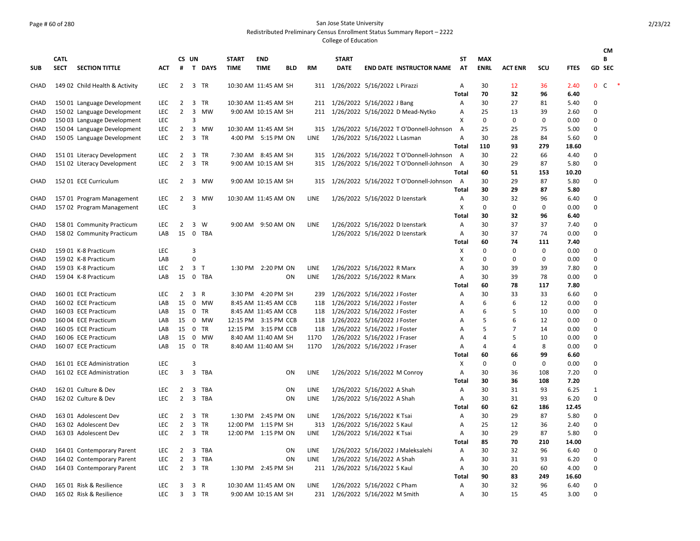## Page # 60 of 280 San Jose State University

Redistributed Preliminary Census Enrollment Status Summary Report – 2222

|             |             |                                |            |                |                |            |              |                      |            |             |              |                                           |                   |                   |                     |                   |              | <b>CM</b>                                            |
|-------------|-------------|--------------------------------|------------|----------------|----------------|------------|--------------|----------------------|------------|-------------|--------------|-------------------------------------------|-------------------|-------------------|---------------------|-------------------|--------------|------------------------------------------------------|
|             | <b>CATL</b> |                                |            |                | CS UN          |            | <b>START</b> | <b>END</b>           |            |             | <b>START</b> |                                           | ST                | <b>MAX</b>        |                     |                   |              | B                                                    |
| <b>SUB</b>  | <b>SECT</b> | <b>SECTION TITTLE</b>          | ACT        | #              |                | T DAYS     | <b>TIME</b>  | <b>TIME</b>          | <b>BLD</b> | <b>RM</b>   | <b>DATE</b>  | <b>END DATE INSTRUCTOR NAME</b>           | <b>AT</b>         | <b>ENRL</b>       | <b>ACT ENR</b>      | SCU               | <b>FTES</b>  | GD SEC                                               |
| CHAD        |             | 149 02 Child Health & Activity | LEC        | $\overline{2}$ |                | 3 TR       |              | 10:30 AM 11:45 AM SH |            |             |              | 311 1/26/2022 5/16/2022 L Pirazzi         | Α                 | 30                | 12                  | 36                | 2.40         | $\ddot{\phantom{1}}$<br>$\mathsf{C}$<br>$\mathbf{0}$ |
|             |             |                                |            |                |                |            |              |                      |            |             |              |                                           | <b>Total</b>      | 70                | 32                  | 96                | 6.40         |                                                      |
| CHAD        |             | 150 01 Language Development    | LEC        | $\mathbf{2}$   |                | 3 TR       |              | 10:30 AM 11:45 AM SH |            |             |              | 211 1/26/2022 5/16/2022 J Bang            | Α                 | 30                | 27                  | 81                | 5.40         | 0                                                    |
| CHAD        |             | 150 02 Language Development    | <b>LEC</b> | 2              | $\overline{3}$ | MW         |              | 9:00 AM 10:15 AM SH  |            | 211         |              | 1/26/2022 5/16/2022 D Mead-Nytko          | A                 | 25                | 13                  | 39                | 2.60         | $\mathbf 0$                                          |
| CHAD        |             | 150 03 Language Development    | LEC        |                | 3              |            |              |                      |            |             |              |                                           | X                 | $\mathbf 0$       | 0                   | 0                 | 0.00         | $\mathbf 0$                                          |
| CHAD        |             | 150 04 Language Development    | LEC        | $\overline{2}$ |                | 3 MW       |              | 10:30 AM 11:45 AM SH |            | 315         |              | 1/26/2022 5/16/2022 T O'Donnell-Johnson   | Α                 | 25                | 25                  | 75                | 5.00         | 0                                                    |
| CHAD        |             | 150 05 Language Development    | <b>LEC</b> | $\overline{2}$ |                | 3 TR       |              | 4:00 PM 5:15 PM ON   |            | <b>LINE</b> |              | 1/26/2022 5/16/2022 L Lasman              | Α                 | 30                | 28                  | 84                | 5.60         | 0                                                    |
|             |             |                                |            |                |                |            |              |                      |            |             |              |                                           | <b>Total</b>      | 110               | 93                  | 279               | 18.60        |                                                      |
| CHAD        |             | 151 01 Literacy Development    | LEC        | 2              | 3              | <b>TR</b>  |              | 7:30 AM 8:45 AM SH   |            | 315         |              | 1/26/2022 5/16/2022 T O'Donnell-Johnson   | A                 | 30                | 22                  | 66                | 4.40         | 0                                                    |
| CHAD        |             | 151 02 Literacy Development    | LEC        | $\overline{2}$ |                | 3 TR       |              | 9:00 AM 10:15 AM SH  |            | 315         |              | 1/26/2022 5/16/2022 T O'Donnell-Johnson A |                   | 30                | 29                  | 87                | 5.80         | $\mathbf 0$                                          |
|             |             |                                |            |                |                |            |              |                      |            |             |              |                                           | <b>Total</b>      | 60                | 51                  | 153               | 10.20        |                                                      |
| CHAD        |             | 152 01 ECE Curriculum          | <b>LEC</b> | 2              |                | 3 MW       |              | 9:00 AM 10:15 AM SH  |            | 315         |              | 1/26/2022 5/16/2022 T O'Donnell-Johnson   | A                 | 30                | 29                  | 87                | 5.80         | 0                                                    |
|             |             |                                |            |                |                |            |              |                      |            |             |              |                                           | <b>Total</b>      | 30                | 29                  | 87                | 5.80         |                                                      |
| CHAD        |             | 157 01 Program Management      | LEC        | $\overline{2}$ |                | 3 MW       |              | 10:30 AM 11:45 AM ON |            | <b>LINE</b> |              | 1/26/2022 5/16/2022 D Izenstark           | Α                 | 30                | 32                  | 96                | 6.40         | 0                                                    |
| CHAD        |             | 157 02 Program Management      | LEC        |                | 3              |            |              |                      |            |             |              |                                           | X                 | 0                 | $\Omega$            | 0                 | 0.00         | 0                                                    |
|             |             |                                |            |                |                |            |              |                      |            |             |              |                                           | <b>Total</b>      | 30                | 32                  | 96                | 6.40         |                                                      |
| CHAD        |             | 158 01 Community Practicum     | <b>LEC</b> | 2              |                | 3 W        |              | 9:00 AM 9:50 AM ON   |            | <b>LINE</b> |              | 1/26/2022 5/16/2022 D Izenstark           | Α                 | 30                | 37                  | 37                | 7.40         | 0                                                    |
| CHAD        |             | 158 02 Community Practicum     | LAB        | 15             | $\overline{0}$ | <b>TBA</b> |              |                      |            |             |              | 1/26/2022 5/16/2022 D Izenstark           | $\overline{A}$    | 30                | 37                  | 74                | 0.00         | $\mathbf 0$                                          |
|             |             |                                |            |                |                |            |              |                      |            |             |              |                                           | <b>Total</b>      | 60                | 74                  | 111               | 7.40         |                                                      |
| CHAD        |             | 159 01 K-8 Practicum           | LEC        |                | 3              |            |              |                      |            |             |              |                                           | X                 | $\mathbf 0$       | $\mathbf 0$         | $\mathbf 0$       | 0.00         | 0                                                    |
| CHAD        |             | 159 02 K-8 Practicum           | LAB        |                | $\Omega$       |            |              |                      |            |             |              |                                           | X                 | $\mathbf 0$       | 0                   | $\mathbf 0$       | 0.00         | $\mathbf 0$                                          |
| <b>CHAD</b> |             | 159 03 K-8 Practicum           | <b>LEC</b> | 2              | 3 <sub>T</sub> |            |              | 1:30 PM 2:20 PM ON   |            | <b>LINE</b> |              | 1/26/2022 5/16/2022 R Marx                | Α                 | 30                | 39                  | 39                | 7.80         | $\mathbf 0$                                          |
| <b>CHAD</b> |             | 159 04 K-8 Practicum           | LAB        | 15             |                | 0 TBA      |              |                      | ON         | <b>LINE</b> |              | 1/26/2022 5/16/2022 R Marx                | A                 | 30                | 39                  | 78                | 0.00         | $\mathbf 0$                                          |
|             |             |                                |            |                |                |            |              |                      |            |             |              |                                           | Total             | 60                | 78                  | 117               | 7.80         |                                                      |
| CHAD        |             | 160 01 ECE Practicum           | LEC        | 2              | $\overline{3}$ | R          |              | 3:30 PM 4:20 PM SH   |            | 239         |              | 1/26/2022 5/16/2022 J Foster              | Α                 | 30                | 33                  | 33                | 6.60         | 0                                                    |
| CHAD        |             | 160 02 ECE Practicum           | LAB        | 15             |                | 0 MW       |              | 8:45 AM 11:45 AM CCB |            | 118         |              | 1/26/2022 5/16/2022 J Foster              | Α                 | 6                 | 6                   | 12                | 0.00         | 0                                                    |
| CHAD        |             | 160 03 ECE Practicum           | LAB        | 15             | 0              | <b>TR</b>  |              | 8:45 AM 11:45 AM CCB |            | 118         |              | 1/26/2022 5/16/2022 J Foster              | A                 | 6                 | 5                   | 10                | 0.00         | 0                                                    |
| CHAD        |             | 160 04 ECE Practicum           | LAB        | 15             | 0              | MW         |              | 12:15 PM 3:15 PM CCB |            | 118         |              | 1/26/2022 5/16/2022 J Foster              | Α                 | 5                 | 6                   | 12                | 0.00         | $\mathbf 0$                                          |
| CHAD        |             | 160 05 ECE Practicum           | LAB        | 15             | 0              | TR         |              | 12:15 PM 3:15 PM CCB |            | 118         |              | 1/26/2022 5/16/2022 J Foster              | Α                 | 5                 | $\overline{7}$      | 14                | 0.00         | 0                                                    |
| CHAD        |             | 160 06 ECE Practicum           | LAB        | 15             |                | 0 MW       |              | 8:40 AM 11:40 AM SH  |            | 1170        |              | 1/26/2022 5/16/2022 J Fraser              | Α                 | $\overline{4}$    | 5<br>$\overline{4}$ | 10<br>8           | 0.00         | 0                                                    |
| CHAD        |             | 160 07 ECE Practicum           | LAB        | 15             |                | 0 TR       |              | 8:40 AM 11:40 AM SH  |            | 1170        |              | 1/26/2022 5/16/2022 J Fraser              | A                 | $\overline{4}$    |                     |                   | 0.00         | $\mathbf 0$                                          |
| <b>CHAD</b> |             | 161 01 ECE Administration      | LEC        |                | 3              |            |              |                      |            |             |              |                                           | Total             | 60<br>$\mathbf 0$ | 66<br>0             | 99<br>$\mathbf 0$ | 6.60         | 0                                                    |
| CHAD        |             |                                | LEC        | 3              | $\overline{3}$ | TBA        |              |                      | ON         | LINE        |              |                                           | X                 | 30                | 36                  | 108               | 0.00<br>7.20 | 0                                                    |
|             |             | 161 02 ECE Administration      |            |                |                |            |              |                      |            |             |              | 1/26/2022 5/16/2022 M Conroy              | Α<br><b>Total</b> | 30                | 36                  | 108               | 7.20         |                                                      |
| CHAD        |             | 162 01 Culture & Dev           | <b>LEC</b> | 2              | 3              | TBA        |              |                      | ON         | LINE        |              | 1/26/2022 5/16/2022 A Shah                | $\overline{A}$    | 30                | 31                  | 93                | 6.25         | $\mathbf{1}$                                         |
| CHAD        |             | 162 02 Culture & Dev           | LEC        | $\overline{2}$ |                | 3 TBA      |              |                      | ON         | LINE        |              | 1/26/2022 5/16/2022 A Shah                | Α                 | 30                | 31                  | 93                | 6.20         | $\mathbf 0$                                          |
|             |             |                                |            |                |                |            |              |                      |            |             |              |                                           | Total             | 60                | 62                  | 186               | 12.45        |                                                      |
| CHAD        |             | 163 01 Adolescent Dev          | LEC        | $\overline{2}$ |                | 3 TR       |              | 1:30 PM 2:45 PM ON   |            | LINE        |              | 1/26/2022 5/16/2022 K Tsai                | Α                 | 30                | 29                  | 87                | 5.80         | 0                                                    |
| CHAD        |             | 163 02 Adolescent Dev          | LEC        | $\overline{2}$ |                | 3 TR       |              | 12:00 PM 1:15 PM SH  |            | 313         |              | 1/26/2022 5/16/2022 S Kaul                | Α                 | 25                | 12                  | 36                | 2.40         | 0                                                    |
| CHAD        |             | 163 03 Adolescent Dev          | <b>LEC</b> | $\overline{2}$ |                | 3 TR       |              | 12:00 PM 1:15 PM ON  |            | <b>LINE</b> |              | 1/26/2022 5/16/2022 K Tsai                | $\overline{A}$    | 30                | 29                  | 87                | 5.80         | $\mathbf 0$                                          |
|             |             |                                |            |                |                |            |              |                      |            |             |              |                                           | Total             | 85                | 70                  | 210               | 14.00        |                                                      |
| CHAD        |             | 164 01 Contemporary Parent     | LEC        | 2              | $\overline{3}$ | TBA        |              |                      | ON         | LINE        |              | 1/26/2022 5/16/2022 J Maleksalehi         | Α                 | 30                | 32                  | 96                | 6.40         | 0                                                    |
| CHAD        |             | 164 02 Contemporary Parent     | LEC        | $\overline{2}$ |                | 3 TBA      |              |                      | ON         | <b>LINE</b> |              | 1/26/2022 5/16/2022 A Shah                | Α                 | 30                | 31                  | 93                | 6.20         | 0                                                    |
| CHAD        |             | 164 03 Contemporary Parent     | LEC        | $\overline{2}$ | $\overline{3}$ | TR         |              | 1:30 PM 2:45 PM SH   |            | 211         |              | 1/26/2022 5/16/2022 S Kaul                | Α                 | 30                | 20                  | 60                | 4.00         | 0                                                    |
|             |             |                                |            |                |                |            |              |                      |            |             |              |                                           | <b>Total</b>      | 90                | 83                  | 249               | 16.60        |                                                      |
| CHAD        |             | 165 01 Risk & Resilience       | LEC        | 3              | 3              | R          |              | 10:30 AM 11:45 AM ON |            | LINE        |              | 1/26/2022 5/16/2022 C Pham                | Α                 | 30                | 32                  | 96                | 6.40         | 0                                                    |
| CHAD        |             | 165 02 Risk & Resilience       | LEC        | 3              |                | 3 TR       |              | 9:00 AM 10:15 AM SH  |            | 231         |              | 1/26/2022 5/16/2022 M Smith               | Α                 | 30                | 15                  | 45                | 3.00         | $\Omega$                                             |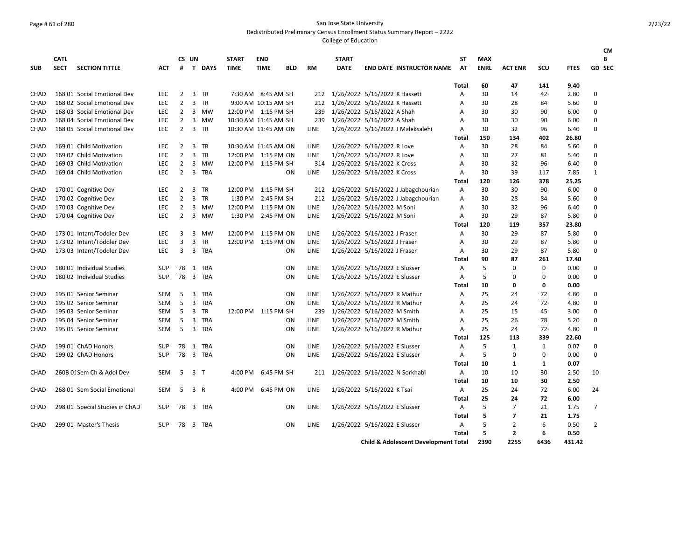## Page # 61 of 280 San Jose State University

Redistributed Preliminary Census Enrollment Status Summary Report – 2222

|            | <b>CATL</b> |                                |            |                | CS UN          |                | <b>START</b>         | <b>END</b>          |                |             | <b>START</b> |                                |                                                 | SΤ           | MAX         |                |      |             | <b>CM</b><br>B |
|------------|-------------|--------------------------------|------------|----------------|----------------|----------------|----------------------|---------------------|----------------|-------------|--------------|--------------------------------|-------------------------------------------------|--------------|-------------|----------------|------|-------------|----------------|
| <b>SUB</b> | <b>SECT</b> | <b>SECTION TITTLE</b>          | ACT        | #              |                | T DAYS         | <b>TIME</b>          | <b>TIME</b>         | <b>BLD</b>     | <b>RM</b>   | <b>DATE</b>  |                                | <b>END DATE INSTRUCTOR NAME</b>                 | AT           | <b>ENRL</b> | <b>ACT ENR</b> | SCU  | <b>FTES</b> | GD SEC         |
|            |             |                                |            |                |                |                |                      |                     |                |             |              |                                |                                                 | Total        | 60          | 47             | 141  | 9.40        |                |
| CHAD       |             | 168 01 Social Emotional Dev    | <b>LEC</b> | $\overline{2}$ |                | 3 TR           |                      | 7:30 AM 8:45 AM SH  |                | 212         |              | 1/26/2022 5/16/2022 K Hassett  |                                                 | Α            | 30          | 14             | 42   | 2.80        | 0              |
| CHAD       |             | 168 02 Social Emotional Dev    | <b>LEC</b> | $\overline{2}$ |                | 3 TR           |                      | 9:00 AM 10:15 AM SH |                | 212         |              | 1/26/2022 5/16/2022 K Hassett  |                                                 | Α            | 30          | 28             | 84   | 5.60        | 0              |
| CHAD       |             | 168 03 Social Emotional Dev    | <b>LEC</b> | $\overline{2}$ |                | 3 MW           | 12:00 PM 1:15 PM SH  |                     |                | 239         |              | 1/26/2022 5/16/2022 A Shah     |                                                 | Α            | 30          | 30             | 90   | 6.00        | 0              |
| CHAD       |             | 168 04 Social Emotional Dev    | <b>LEC</b> | 2              |                | 3 MW           | 10:30 AM 11:45 AM SH |                     |                | 239         |              | 1/26/2022 5/16/2022 A Shah     |                                                 | Α            | 30          | 30             | 90   | 6.00        | 0              |
| CHAD       |             | 168 05 Social Emotional Dev    | <b>LEC</b> | $\overline{2}$ |                | 3 TR           | 10:30 AM 11:45 AM ON |                     |                | LINE        |              |                                | 1/26/2022 5/16/2022 J Maleksalehi               | Α            | 30          | 32             | 96   | 6.40        | 0              |
|            |             |                                |            |                |                |                |                      |                     |                |             |              |                                |                                                 | Total        | 150         | 134            | 402  | 26.80       |                |
| CHAD       |             | 169 01 Child Motivation        | <b>LEC</b> | $\overline{2}$ |                | 3 TR           | 10:30 AM 11:45 AM ON |                     |                | LINE        |              | 1/26/2022 5/16/2022 R Love     |                                                 | Α            | 30          | 28             | 84   | 5.60        | 0              |
| CHAD       |             | 169 02 Child Motivation        | LEC        | 2              | $\overline{3}$ | <b>TR</b>      | 12:00 PM 1:15 PM ON  |                     |                | LINE        |              | 1/26/2022 5/16/2022 R Love     |                                                 | Α            | 30          | 27             | 81   | 5.40        | 0              |
| CHAD       |             | 169 03 Child Motivation        | <b>LEC</b> | $\overline{2}$ |                | 3 MW           | 12:00 PM 1:15 PM SH  |                     |                | 314         |              | 1/26/2022 5/16/2022 K Cross    |                                                 | A            | 30          | 32             | 96   | 6.40        | 0              |
| CHAD       |             | 169 04 Child Motivation        | <b>LEC</b> | $\overline{2}$ |                | 3 TBA          |                      |                     | ON             | LINE        |              | 1/26/2022 5/16/2022 K Cross    |                                                 | Α            | 30          | 39             | 117  | 7.85        | $\mathbf{1}$   |
|            |             |                                |            |                |                |                |                      |                     |                |             |              |                                |                                                 | Total        | 120         | 126            | 378  | 25.25       |                |
| CHAD       |             | 170 01 Cognitive Dev           | LEC        | 2              |                | 3 TR           | 12:00 PM 1:15 PM SH  |                     |                | 212         |              |                                | 1/26/2022 5/16/2022 J Jabagchourian             | Α            | 30          | 30             | 90   | 6.00        | 0              |
| CHAD       |             | 170 02 Cognitive Dev           | LEC        | $\overline{2}$ |                | 3 TR           | 1:30 PM              | 2:45 PM SH          |                | 212         |              |                                | 1/26/2022 5/16/2022 J Jabagchourian             | Α            | 30          | 28             | 84   | 5.60        | 0              |
| CHAD       |             | 170 03 Cognitive Dev           | <b>LEC</b> | $\overline{2}$ | $\overline{3}$ | MW             | 12:00 PM             | 1:15 PM ON          |                | LINE        |              | 1/26/2022 5/16/2022 M Soni     |                                                 | A            | 30          | 32             | 96   | 6.40        | 0              |
| CHAD       |             | 170 04 Cognitive Dev           | <b>LEC</b> | 2              |                | 3 MW           |                      | 1:30 PM 2:45 PM ON  |                | LINE        |              | 1/26/2022 5/16/2022 M Soni     |                                                 | Α            | 30          | 29             | 87   | 5.80        | 0              |
|            |             |                                |            |                |                |                |                      |                     |                |             |              |                                |                                                 | Total        | 120         | 119            | 357  | 23.80       |                |
| CHAD       |             | 173 01 Intant/Toddler Dev      | LEC        | 3              | $\overline{3}$ | MW             | 12:00 PM             | 1:15 PM ON          |                | LINE        |              | 1/26/2022 5/16/2022 J Fraser   |                                                 | Α            | 30          | 29             | 87   | 5.80        | 0              |
| CHAD       |             | 173 02 Intant/Toddler Dev      | <b>LEC</b> | 3              | 3              | TR             | 12:00 PM 1:15 PM ON  |                     |                | LINE        |              | 1/26/2022 5/16/2022 J Fraser   |                                                 | Α            | 30          | 29             | 87   | 5.80        | 0              |
| CHAD       |             | 173 03 Intant/Toddler Dev      | LEC        | 3              |                | 3 TBA          |                      |                     | ON             | LINE        |              | 1/26/2022 5/16/2022 J Fraser   |                                                 | Α            | 30          | 29             | 87   | 5.80        | 0              |
|            |             |                                |            |                |                |                |                      |                     |                |             |              |                                |                                                 | Total        | 90          | 87             | 261  | 17.40       |                |
| CHAD       |             | 180 01 Individual Studies      | <b>SUP</b> | 78             |                | 1 TBA          |                      |                     | ON             | LINE        |              | 1/26/2022 5/16/2022 E Slusser  |                                                 | Α            | 5           | 0              | 0    | 0.00        | 0              |
| CHAD       |             | 180 02 Individual Studies      | <b>SUP</b> |                |                | 78 3 TBA       |                      |                     | ON             | LINE        |              | 1/26/2022 5/16/2022 E Slusser  |                                                 | Α            | 5           | 0              | 0    | 0.00        | 0              |
|            |             |                                |            |                |                |                |                      |                     |                |             |              |                                |                                                 | <b>Total</b> | 10          | 0              | 0    | 0.00        |                |
| CHAD       |             | 195 01 Senior Seminar          | SEM        | 5              | 3              | TBA            |                      |                     | ON             | LINE        |              | 1/26/2022 5/16/2022 R Mathur   |                                                 | Α            | 25          | 24             | 72   | 4.80        | 0              |
| CHAD       |             | 195 02 Senior Seminar          | SEM        | 5              | 3              | TBA            |                      |                     | 0 <sub>N</sub> | LINE        |              | 1/26/2022 5/16/2022 R Mathur   |                                                 | Α            | 25          | 24             | 72   | 4.80        | $\mathbf 0$    |
| CHAD       |             | 195 03 Senior Seminar          | SEM        | 5              |                | 3 TR           | 12:00 PM 1:15 PM SH  |                     |                | 239         |              | 1/26/2022 5/16/2022 M Smith    |                                                 | Α            | 25          | 15             | 45   | 3.00        | 0              |
| CHAD       |             | 195 04 Senior Seminar          | SEM        | 5              |                | 3 TBA          |                      |                     | 0 <sub>N</sub> | LINE        |              | 1/26/2022 5/16/2022 M Smith    |                                                 | Α            | 25          | 26             | 78   | 5.20        | 0              |
| CHAD       |             | 195 05 Senior Seminar          | SEM        | 5              |                | 3 TBA          |                      |                     | ON             | LINE        |              | 1/26/2022 5/16/2022 R Mathur   |                                                 | Α            | 25          | 24             | 72   | 4.80        | 0              |
|            |             |                                |            |                |                |                |                      |                     |                |             |              |                                |                                                 | Total        | 125         | 113            | 339  | 22.60       |                |
| CHAD       |             | 199 01 ChAD Honors             | <b>SUP</b> | 78             | 1              | TBA            |                      |                     | 0 <sub>N</sub> | LINE        |              | 1/26/2022 5/16/2022 E Slusser  |                                                 | Α            | 5           | $\mathbf{1}$   | 1    | 0.07        | 0              |
| CHAD       |             | 199 02 ChAD Honors             | <b>SUP</b> | 78             |                | 3 TBA          |                      |                     | ON             | LINE        |              | 1/26/2022 5/16/2022 E Slusser  |                                                 | Α            | 5           | 0              | 0    | 0.00        | $\mathbf 0$    |
|            |             |                                |            |                |                |                |                      |                     |                |             |              |                                |                                                 | Total        | 10          | 1              | 1    | 0.07        |                |
| CHAD       |             | 260B 01Sem Ch & Adol Dev       | SEM        | 5              |                | 3 <sub>T</sub> |                      | 4:00 PM 6:45 PM SH  |                | 211         |              | 1/26/2022 5/16/2022 N Sorkhabi |                                                 | Α            | 10          | 10             | 30   | 2.50        | 10             |
|            |             |                                |            |                |                |                |                      |                     |                |             |              |                                |                                                 | Total        | 10          | 10             | 30   | 2.50        |                |
| CHAD       |             | 268 01 Sem Social Emotional    | SEM        | 5              |                | 3 R            |                      | 4:00 PM 6:45 PM ON  |                | LINE        |              | 1/26/2022 5/16/2022 K Tsai     |                                                 | Α            | 25          | 24             | 72   | 6.00        | 24             |
|            |             |                                |            |                |                |                |                      |                     |                |             |              |                                |                                                 | Total        | 25          | 24             | 72   | 6.00        |                |
| CHAD       |             | 298 01 Special Studies in ChAD | <b>SUP</b> | 78             |                | 3 TBA          |                      |                     | ON             | LINE        |              | 1/26/2022 5/16/2022 E Slusser  |                                                 | Α            | 5           | $\overline{7}$ | 21   | 1.75        | $\overline{7}$ |
|            |             |                                |            |                |                |                |                      |                     |                |             |              |                                |                                                 | Total        | 5           | 7              | 21   | 1.75        |                |
| CHAD       |             | 299 01 Master's Thesis         | <b>SUP</b> | 78             |                | 3 TBA          |                      |                     | 0 <sub>N</sub> | <b>LINE</b> |              | 1/26/2022 5/16/2022 E Slusser  |                                                 | Α            | 5           | $\overline{2}$ | 6    | 0.50        | $\overline{2}$ |
|            |             |                                |            |                |                |                |                      |                     |                |             |              |                                |                                                 | <b>Total</b> | 5           | 2              | 6    | 0.50        |                |
|            |             |                                |            |                |                |                |                      |                     |                |             |              |                                | <b>Child &amp; Adolescent Development Total</b> |              | 2390        | 2255           | 6436 | 431.42      |                |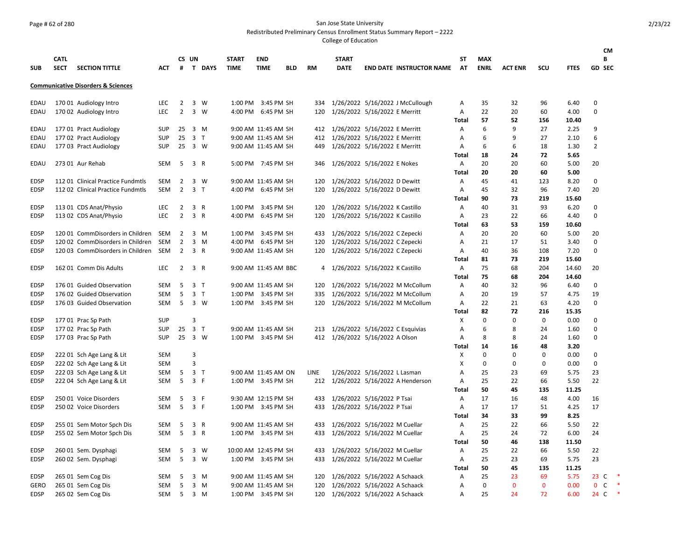## Page # 62 of 280 San Jose State University

Redistributed Preliminary Census Enrollment Status Summary Report – 2222

|             |             |                                               |            |                |                |                |                      |                      |            |           |              |                                     |                   |             |                |            |              | <b>CM</b>                  |
|-------------|-------------|-----------------------------------------------|------------|----------------|----------------|----------------|----------------------|----------------------|------------|-----------|--------------|-------------------------------------|-------------------|-------------|----------------|------------|--------------|----------------------------|
|             | <b>CATL</b> |                                               |            |                | CS UN          |                | <b>START</b>         | <b>END</b>           |            |           | <b>START</b> |                                     | <b>ST</b>         | <b>MAX</b>  |                |            |              | B                          |
| <b>SUB</b>  | <b>SECT</b> | <b>SECTION TITTLE</b>                         | <b>ACT</b> |                |                | # T DAYS       | <b>TIME</b>          | <b>TIME</b>          | <b>BLD</b> | <b>RM</b> | <b>DATE</b>  | <b>END DATE INSTRUCTOR NAME</b>     | <b>AT</b>         | <b>ENRL</b> | <b>ACT ENR</b> | <b>SCU</b> | <b>FTES</b>  | <b>GD SEC</b>              |
|             |             | <b>Communicative Disorders &amp; Sciences</b> |            |                |                |                |                      |                      |            |           |              |                                     |                   |             |                |            |              |                            |
| EDAU        |             | 170 01 Audiology Intro                        | LEC        | $\overline{2}$ |                | 3 W            |                      | 1:00 PM 3:45 PM SH   |            | 334       |              | 1/26/2022 5/16/2022 J McCullough    | Α                 | 35          | 32             | 96         | 6.40         | $\Omega$                   |
| EDAU        |             | 170 02 Audiology Intro                        | LEC        | $\overline{2}$ |                | $3 \quad W$    |                      | 4:00 PM 6:45 PM SH   |            | 120       |              | 1/26/2022 5/16/2022 E Merritt       | Α                 | 22          | 20             | 60         | 4.00         | 0                          |
|             |             |                                               |            |                |                |                |                      |                      |            |           |              |                                     | Total             | 57          | 52             | 156        | 10.40        |                            |
| EDAU        |             | 177 01 Pract Audiology                        | SUP        | 25             |                | 3 M            |                      | 9:00 AM 11:45 AM SH  |            | 412       |              | 1/26/2022 5/16/2022 E Merritt       | Α                 | 6           | 9              | 27         | 2.25         | 9                          |
| EDAU        |             | 177 02 Pract Audiology                        | <b>SUP</b> | 25             |                | 3 <sub>T</sub> |                      | 9:00 AM 11:45 AM SH  |            | 412       |              | 1/26/2022 5/16/2022 E Merritt       | Α                 | 6           | 9              | 27         | 2.10         | 6                          |
| EDAU        |             | 177 03 Pract Audiology                        | <b>SUP</b> | 25             | 3 W            |                |                      | 9:00 AM 11:45 AM SH  |            | 449       |              | 1/26/2022 5/16/2022 E Merritt       | Α                 | 6           | 6              | 18         | 1.30         | $\overline{2}$             |
|             |             |                                               |            |                |                |                |                      |                      |            |           |              |                                     | <b>Total</b>      | 18          | 24             | 72         | 5.65         |                            |
| <b>EDAU</b> |             | 273 01 Aur Rehab                              | SEM        | - 5            | 3 R            |                |                      | 5:00 PM 7:45 PM SH   |            | 346       |              | 1/26/2022 5/16/2022 E Nokes         | A                 | 20          | 20             | 60         | 5.00         | 20                         |
|             |             |                                               |            |                |                |                |                      |                      |            |           |              |                                     | Total             | 20          | 20             | 60         | 5.00         |                            |
| <b>EDSP</b> |             | 112 01 Clinical Practice Fundmtls             | SEM        | 2              |                | 3 W            |                      | 9:00 AM 11:45 AM SH  |            | 120       |              | 1/26/2022 5/16/2022 D Dewitt        | Α                 | 45          | 41             | 123        | 8.20         | $\mathbf 0$                |
| <b>EDSP</b> |             | 112 02 Clinical Practice Fundmtls             | SEM        | $\overline{2}$ |                | 3 <sub>1</sub> |                      | 4:00 PM 6:45 PM SH   |            | 120       |              | 1/26/2022 5/16/2022 D Dewitt        | Α                 | 45          | 32             | 96         | 7.40         | 20                         |
|             |             |                                               |            |                |                |                |                      |                      |            |           |              |                                     | <b>Total</b>      | 90          | 73             | 219        | 15.60        |                            |
| <b>EDSP</b> |             | 113 01 CDS Anat/Physio                        | <b>LEC</b> | 2              |                | 3 R            | 1:00 PM              | 3:45 PM SH           |            | 120       |              | 1/26/2022 5/16/2022 K Castillo      | Α                 | 40          | 31             | 93         | 6.20         | $\mathbf 0$                |
| <b>EDSP</b> |             | 113 02 CDS Anat/Physio                        | <b>LEC</b> | 2              |                | 3 R            | 4:00 PM              | 6:45 PM SH           |            | 120       |              | 1/26/2022 5/16/2022 K Castillo      | Α                 | 23          | 22             | 66         | 4.40         | $\Omega$                   |
|             |             |                                               |            |                |                |                |                      |                      |            |           |              |                                     | Total             | 63          | 53             | 159        | 10.60        |                            |
| <b>EDSP</b> |             | 120 01 CommDisorders in Children              | SEM        | 2              |                | 3 M            |                      | 1:00 PM 3:45 PM SH   |            | 433       |              | 1/26/2022 5/16/2022 C Zepecki       | Α                 | 20          | 20             | 60         | 5.00         | 20                         |
| <b>EDSP</b> |             | 120 02 CommDisorders in Children              | SEM        | $\overline{2}$ |                | $3 \, M$       |                      | 4:00 PM 6:45 PM SH   |            | 120       |              | 1/26/2022 5/16/2022 C Zepecki       | Α                 | 21          | 17             | 51         | 3.40         | $\Omega$                   |
| <b>EDSP</b> |             | 120 03 CommDisorders in Children              | SEM        | $\overline{2}$ |                | 3 R            |                      | 9:00 AM 11:45 AM SH  |            | 120       |              | 1/26/2022 5/16/2022 C Zepecki       | Α                 | 40          | 36             | 108        | 7.20         | $\mathbf 0$                |
|             |             |                                               |            |                |                |                |                      |                      |            |           |              |                                     | Total             | 81          | 73             | 219        | 15.60        |                            |
| <b>EDSP</b> |             | 162 01 Comm Dis Adults                        | <b>LEC</b> | 2              |                | 3 R            |                      | 9:00 AM 11:45 AM BBC |            | 4         |              | 1/26/2022 5/16/2022 K Castillo      | Α                 | 75          | 68             | 204        | 14.60        | 20                         |
|             |             |                                               |            |                |                |                |                      |                      |            |           |              |                                     | <b>Total</b>      | 75          | 68             | 204        | 14.60        |                            |
| <b>EDSP</b> |             | 176 01 Guided Observation                     | SEM        | 5              |                | 3 <sub>T</sub> |                      | 9:00 AM 11:45 AM SH  |            | 120       |              | 1/26/2022 5/16/2022 M McCollum      | Α                 | 40          | 32             | 96         | 6.40         | 0                          |
| <b>EDSP</b> |             | 176 02 Guided Observation                     | SEM        | 5              |                | 3 <sub>1</sub> |                      | 1:00 PM 3:45 PM SH   |            | 335       |              | 1/26/2022 5/16/2022 M McCollum      | Α                 | 20          | 19             | 57         | 4.75         | 19                         |
| <b>EDSP</b> |             | 176 03 Guided Observation                     | SEM        |                | 5 3 W          |                |                      | 1:00 PM 3:45 PM SH   |            | 120       |              | 1/26/2022 5/16/2022 M McCollum      | Α                 | 22          | 21             | 63         | 4.20         | $\mathbf 0$                |
|             |             |                                               |            |                |                |                |                      |                      |            |           |              |                                     | Total             | 82          | 72             | 216        | 15.35        |                            |
| <b>EDSP</b> |             | 177 01 Prac Sp Path                           | <b>SUP</b> |                | 3              |                |                      |                      |            |           |              |                                     | Х                 | $\mathbf 0$ | $\Omega$       | 0          | 0.00         | $\Omega$<br>$\Omega$       |
| <b>EDSP</b> |             | 177 02 Prac Sp Path                           | <b>SUP</b> | 25             |                | 3 <sub>1</sub> |                      | 9:00 AM 11:45 AM SH  |            | 213       |              | 1/26/2022 5/16/2022 C Esquivias     | Α                 | 6           | 8              | 24         | 1.60         | 0                          |
| <b>EDSP</b> |             | 177 03 Prac Sp Path                           | <b>SUP</b> | 25             | 3 W            |                |                      | 1:00 PM 3:45 PM SH   |            |           |              | 412 1/26/2022 5/16/2022 A Olson     | Α<br><b>Total</b> | 8<br>14     | 8<br>16        | 24<br>48   | 1.60<br>3.20 |                            |
| <b>EDSP</b> |             | 222 01 Sch Age Lang & Lit                     | <b>SEM</b> |                | 3              |                |                      |                      |            |           |              |                                     | X                 | 0           | 0              | $\Omega$   | 0.00         | 0                          |
| <b>EDSP</b> |             | 222 02 Sch Age Lang & Lit                     | <b>SEM</b> |                | $\overline{3}$ |                |                      |                      |            |           |              |                                     | Х                 | $\mathbf 0$ | $\mathbf 0$    | $\Omega$   | 0.00         | $\mathbf 0$                |
| <b>EDSP</b> |             | 222 03 Sch Age Lang & Lit                     | SEM        | 5              |                | 3 <sub>T</sub> |                      | 9:00 AM 11:45 AM ON  |            | LINE      |              | 1/26/2022 5/16/2022 L Lasman        | Α                 | 25          | 23             | 69         | 5.75         | 23                         |
| <b>EDSP</b> |             | 222 04 Sch Age Lang & Lit                     | SEM        | 5              | 3 F            |                |                      | 1:00 PM 3:45 PM SH   |            |           |              | 212 1/26/2022 5/16/2022 A Henderson | Α                 | 25          | 22             | 66         | 5.50         | 22                         |
|             |             |                                               |            |                |                |                |                      |                      |            |           |              |                                     | Total             | 50          | 45             | 135        | 11.25        |                            |
| <b>EDSP</b> |             | 250 01 Voice Disorders                        | SEM        | 5              |                | 3 F            |                      | 9:30 AM 12:15 PM SH  |            | 433       |              | 1/26/2022 5/16/2022 P Tsai          | Α                 | 17          | 16             | 48         | 4.00         | 16                         |
| <b>EDSP</b> |             | 250 02 Voice Disorders                        | SEM        | 5              |                | 3 F            |                      | 1:00 PM 3:45 PM SH   |            | 433       |              | 1/26/2022 5/16/2022 P Tsai          | Α                 | 17          | 17             | 51         | 4.25         | 17                         |
|             |             |                                               |            |                |                |                |                      |                      |            |           |              |                                     | Total             | 34          | 33             | 99         | 8.25         |                            |
| <b>EDSP</b> |             | 255 01 Sem Motor Spch Dis                     | SEM        | 5              |                | 3 R            |                      | 9:00 AM 11:45 AM SH  |            | 433       |              | 1/26/2022 5/16/2022 M Cuellar       | Α                 | 25          | 22             | 66         | 5.50         | 22                         |
| <b>EDSP</b> |             | 255 02 Sem Motor Spch Dis                     | SEM        | 5              |                | 3 R            |                      | 1:00 PM 3:45 PM SH   |            | 433       |              | 1/26/2022 5/16/2022 M Cuellar       | Α                 | 25          | 24             | 72         | 6.00         | 24                         |
|             |             |                                               |            |                |                |                |                      |                      |            |           |              |                                     | Total             | 50          | 46             | 138        | 11.50        |                            |
| <b>EDSP</b> |             | 260 01 Sem. Dysphagi                          | SEM        | 5              |                | 3 W            | 10:00 AM 12:45 PM SH |                      |            |           |              | 433 1/26/2022 5/16/2022 M Cuellar   | Α                 | 25          | 22             | 66         | 5.50         | 22                         |
| <b>EDSP</b> |             | 260 02 Sem. Dysphagi                          | SEM        | 5              |                | 3 W            |                      | 1:00 PM 3:45 PM SH   |            | 433       |              | 1/26/2022 5/16/2022 M Cuellar       | A                 | 25          | 23             | 69         | 5.75         | 23                         |
|             |             |                                               |            |                |                |                |                      |                      |            |           |              |                                     | Total             | 50          | 45             | 135        | 11.25        |                            |
| <b>EDSP</b> |             | 265 01 Sem Cog Dis                            | SEM        | 5              |                | 3 M            |                      | 9:00 AM 11:45 AM SH  |            | 120       |              | 1/26/2022 5/16/2022 A Schaack       | Α                 | 25          | 23             | 69         | 5.75         | $\ast$<br>23 C             |
| <b>GERO</b> |             | 265 01 Sem Cog Dis                            | SEM        | 5              |                | 3 M            |                      | 9:00 AM 11:45 AM SH  |            | 120       |              | 1/26/2022 5/16/2022 A Schaack       | Α                 | 0           | $\mathbf{0}$   | 0          | 0.00         | $\ast$<br>$\mathbf 0$<br>C |
| <b>EDSP</b> |             | 265 02 Sem Cog Dis                            | SEM        | 5              |                | 3 M            |                      | 1:00 PM 3:45 PM SH   |            |           |              | 120 1/26/2022 5/16/2022 A Schaack   | A                 | 25          | 24             | 72         | 6.00         | 24 C<br>$\ast$             |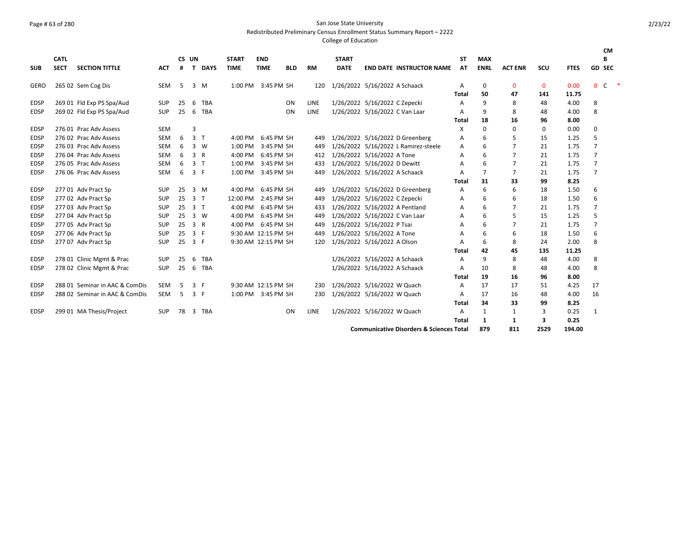## Page # 63 of 280 San Jose State University

Redistributed Preliminary Census Enrollment Status Summary Report – 2222

|             |                            |                                |            |            |                |              |                             |                           |            |           |                             |                                                     |                 |                           |                |              |             | CM             |        |
|-------------|----------------------------|--------------------------------|------------|------------|----------------|--------------|-----------------------------|---------------------------|------------|-----------|-----------------------------|-----------------------------------------------------|-----------------|---------------------------|----------------|--------------|-------------|----------------|--------|
| <b>SUB</b>  | <b>CATL</b><br><b>SECT</b> | <b>SECTION TITTLE</b>          | ACT        | CS UN<br># | T              | <b>DAYS</b>  | <b>START</b><br><b>TIME</b> | <b>END</b><br><b>TIME</b> | <b>BLD</b> | <b>RM</b> | <b>START</b><br><b>DATE</b> | <b>END DATE INSTRUCTOR NAME</b>                     | <b>ST</b><br>AT | <b>MAX</b><br><b>ENRL</b> | <b>ACT ENR</b> | SCU          | <b>FTES</b> | B<br>GD SEC    |        |
|             |                            |                                |            |            |                |              |                             |                           |            |           |                             |                                                     |                 |                           |                |              |             |                |        |
| GERO        |                            | 265 02 Sem Cog Dis             | SEM        | 5          | 3              | M            | 1:00 PM 3:45 PM SH          |                           |            | 120       |                             | 1/26/2022 5/16/2022 A Schaack                       | A               | 0                         | $\mathbf 0$    | $\mathbf{0}$ | 0.00        | $0\quad C$     | $\ast$ |
|             |                            |                                |            |            |                |              |                             |                           |            |           |                             |                                                     | <b>Total</b>    | 50                        | 47             | 141          | 11.75       |                |        |
| <b>EDSP</b> |                            | 269 01 Fld Exp PS Spa/Aud      | <b>SUP</b> | 25         | 6              | TBA          |                             |                           | ON         | LINE      |                             | 1/26/2022 5/16/2022 C Zepecki                       | Α               | 9                         | 8              | 48           | 4.00        | 8              |        |
| <b>EDSP</b> |                            | 269 02 Fld Exp PS Spa/Aud      | <b>SUP</b> | 25         | 6              | <b>TBA</b>   |                             |                           | ON         | LINE      |                             | 1/26/2022 5/16/2022 C Van Laar                      | A               | 9                         | 8              | 48           | 4.00        | 8              |        |
|             |                            |                                |            |            |                |              |                             |                           |            |           |                             |                                                     | <b>Total</b>    | 18                        | 16             | 96           | 8.00        |                |        |
| <b>EDSP</b> |                            | 276 01 Prac Adv Assess         | <b>SEM</b> |            | 3              |              |                             |                           |            |           |                             |                                                     | X               | $\Omega$                  | $\Omega$       | $\Omega$     | 0.00        | 0              |        |
| <b>EDSP</b> |                            | 276 02 Prac Adv Assess         | <b>SEM</b> | 6          | 3              | $\mathsf{T}$ | $4:00$ PM                   |                           | 6:45 PM SH | 449       |                             | 1/26/2022 5/16/2022 D Greenberg                     | A               | 6                         | 5              | 15           | 1.25        | 5              |        |
| <b>EDSP</b> |                            | 276 03 Prac Adv Assess         | SEM        | 6          | 3              | W            | 1:00 PM                     |                           | 3:45 PM SH | 449       |                             | 1/26/2022 5/16/2022 L Ramirez-steele                | Α               | 6                         |                | 21           | 1.75        | $\overline{7}$ |        |
| <b>EDSP</b> |                            | 276 04 Prac Adv Assess         | <b>SEM</b> | 6          | $\overline{3}$ | $\mathsf{R}$ | 4:00 PM                     |                           | 6:45 PM SH | 412       |                             | 1/26/2022 5/16/2022 A Tone                          | A               | 6                         | $\overline{7}$ | 21           | 1.75        | $\overline{7}$ |        |
| <b>EDSP</b> |                            | 276 05 Prac Adv Assess         | <b>SEM</b> | 6          | 3 <sub>1</sub> |              | 1:00 PM                     |                           | 3:45 PM SH | 433       |                             | 1/26/2022 5/16/2022 D Dewitt                        | A               | 6                         | 7              | 21           | 1.75        | $\overline{7}$ |        |
| <b>EDSP</b> |                            | 276 06 Prac Adv Assess         | <b>SEM</b> | 6          | $\overline{3}$ | F            | 1:00 PM                     |                           | 3:45 PM SH | 449       |                             | 1/26/2022 5/16/2022 A Schaack                       | A               | $\overline{7}$            | 7              | 21           | 1.75        | $\overline{7}$ |        |
|             |                            |                                |            |            |                |              |                             |                           |            |           |                             |                                                     | <b>Total</b>    | 31                        | 33             | 99           | 8.25        |                |        |
| <b>EDSP</b> |                            | 277 01 Adv Pract Sp            | <b>SUP</b> | 25         | 3              | M            | 4:00 PM                     |                           | 6:45 PM SH | 449       |                             | 1/26/2022 5/16/2022 D Greenberg                     | A               | 6                         | 6              | 18           | 1.50        | 6              |        |
| <b>EDSP</b> |                            | 277 02 Adv Pract Sp            | <b>SUP</b> | 25         | 3              | $\mathsf{T}$ | 12:00 PM                    |                           | 2:45 PM SH | 449       |                             | 1/26/2022 5/16/2022 C Zepecki                       | A               | 6                         | 6              | 18           | 1.50        | 6              |        |
| <b>EDSP</b> |                            | 277 03 Adv Pract Sp            | <b>SUP</b> | 25         | $\overline{3}$ | $\top$       | 4:00 PM                     |                           | 6:45 PM SH | 433       |                             | 1/26/2022 5/16/2022 A Pentland                      | A               | 6                         | $\overline{7}$ | 21           | 1.75        | $\overline{7}$ |        |
| <b>EDSP</b> |                            | 277 04 Adv Pract Sp            | <b>SUP</b> | 25         | 3              | <b>W</b>     | 4:00 PM                     |                           | 6:45 PM SH | 449       |                             | 1/26/2022 5/16/2022 C Van Laar                      | Α               | 6                         |                | 15           | 1.25        | 5              |        |
| <b>EDSP</b> |                            | 277 05 Adv Pract Sp            | SUP        | 25         | 3 R            |              | 4:00 PM                     |                           | 6:45 PM SH | 449       |                             | 1/26/2022 5/16/2022 P Tsai                          | A               | 6                         | $\overline{7}$ | 21           | 1.75        | $\overline{7}$ |        |
| <b>EDSP</b> |                            | 277 06 Adv Pract Sp            | <b>SUP</b> | 25         | 3              | - F          | 9:30 AM 12:15 PM SH         |                           |            | 449       |                             | 1/26/2022 5/16/2022 A Tone                          | А               | 6                         | 6              | 18           | 1.50        | 6              |        |
| <b>EDSP</b> |                            | 277 07 Adv Pract Sp            | <b>SUP</b> | 25         | 3 F            |              | 9:30 AM 12:15 PM SH         |                           |            | 120       |                             | 1/26/2022 5/16/2022 A Olson                         | A               | 6                         | 8              | 24           | 2.00        | 8              |        |
|             |                            |                                |            |            |                |              |                             |                           |            |           |                             |                                                     | <b>Total</b>    | 42                        | 45             | 135          | 11.25       |                |        |
| <b>EDSP</b> |                            | 278 01 Clinic Mgmt & Prac      | <b>SUP</b> | 25         | 6              | <b>TBA</b>   |                             |                           |            |           |                             | 1/26/2022 5/16/2022 A Schaack                       | A               | 9                         | 8              | 48           | 4.00        | 8              |        |
| <b>EDSP</b> |                            | 278 02 Clinic Mgmt & Prac      | <b>SUP</b> | 25         | 6              | <b>TBA</b>   |                             |                           |            |           |                             | 1/26/2022 5/16/2022 A Schaack                       | A               | 10                        | 8              | 48           | 4.00        | 8              |        |
|             |                            |                                |            |            |                |              |                             |                           |            |           |                             |                                                     | <b>Total</b>    | 19                        | 16             | 96           | 8.00        |                |        |
| <b>EDSP</b> |                            | 288 01 Seminar in AAC & ComDis | SEM        | 5          | 3 F            |              | 9:30 AM 12:15 PM SH         |                           |            | 230       |                             | 1/26/2022 5/16/2022 W Quach                         | A               | 17                        | 17             | 51           | 4.25        | 17             |        |
| <b>EDSP</b> |                            | 288 02 Seminar in AAC & ComDis | <b>SEM</b> | -5         | 3 F            |              | 1:00 PM 3:45 PM SH          |                           |            | 230       |                             | 1/26/2022 5/16/2022 W Quach                         | A               | 17                        | 16             | 48           | 4.00        | 16             |        |
|             |                            |                                |            |            |                |              |                             |                           |            |           |                             |                                                     | <b>Total</b>    | 34                        | 33             | 99           | 8.25        |                |        |
| <b>EDSP</b> |                            | 299 01 MA Thesis/Project       | <b>SUP</b> | 78         |                | 3 TBA        |                             |                           | ON         | LINE      |                             | 1/26/2022 5/16/2022 W Quach                         | A               | $\mathbf{1}$              | 1              | 3            | 0.25        | $\mathbf{1}$   |        |
|             |                            |                                |            |            |                |              |                             |                           |            |           |                             |                                                     | <b>Total</b>    | 1                         | 1              | 3            | 0.25        |                |        |
|             |                            |                                |            |            |                |              |                             |                           |            |           |                             | <b>Communicative Disorders &amp; Sciences Total</b> |                 | 879                       | 811            | 2529         | 194.00      |                |        |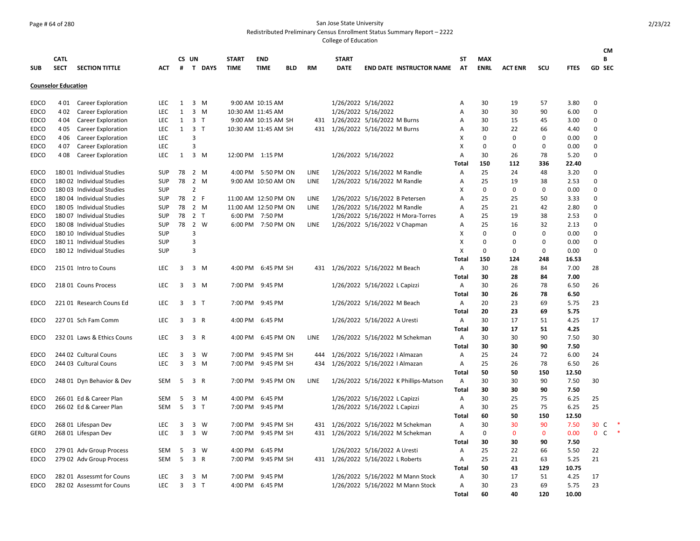## Page # 64 of 280 San Jose State University

Redistributed Preliminary Census Enrollment Status Summary Report – 2222

|                     |                            |                                                        |                          |              |                |                     |                      |                                       |            |             |              |                                                                      |              |             |                |              |               | СM             |               |
|---------------------|----------------------------|--------------------------------------------------------|--------------------------|--------------|----------------|---------------------|----------------------|---------------------------------------|------------|-------------|--------------|----------------------------------------------------------------------|--------------|-------------|----------------|--------------|---------------|----------------|---------------|
|                     | <b>CATL</b>                |                                                        |                          |              | CS UN          |                     | <b>START</b>         | <b>END</b>                            |            |             | <b>START</b> |                                                                      | <b>ST</b>    | <b>MAX</b>  |                |              |               | B              |               |
| <b>SUB</b>          | <b>SECT</b>                | <b>SECTION TITTLE</b>                                  | ACT                      | #            |                | T DAYS              | <b>TIME</b>          | <b>TIME</b>                           | <b>BLD</b> | <b>RM</b>   | <b>DATE</b>  | <b>END DATE INSTRUCTOR NAME</b>                                      | AT           | <b>ENRL</b> | <b>ACT ENR</b> | SCU          | <b>FTES</b>   | <b>GD SEC</b>  |               |
|                     | <b>Counselor Education</b> |                                                        |                          |              |                |                     |                      |                                       |            |             |              |                                                                      |              |             |                |              |               |                |               |
| <b>EDCO</b>         | 4 01                       | <b>Career Exploration</b>                              | <b>LEC</b>               | $\mathbf{1}$ |                | $3 \, M$            |                      | 9:00 AM 10:15 AM                      |            |             |              | 1/26/2022 5/16/2022                                                  | Α            | 30          | 19             | 57           | 3.80          | 0              |               |
| <b>EDCO</b>         | 402                        | Career Exploration                                     | <b>LEC</b>               | $\mathbf{1}$ |                | $3 \, M$            | 10:30 AM 11:45 AM    |                                       |            |             |              | 1/26/2022 5/16/2022                                                  | Α            | 30          | 30             | 90           | 6.00          | $\Omega$       |               |
| <b>EDCO</b>         | 4 0 4                      | Career Exploration                                     | <b>LEC</b>               | $\mathbf{1}$ |                | 3 <sub>1</sub>      |                      | 9:00 AM 10:15 AM SH                   |            |             |              | 431 1/26/2022 5/16/2022 M Burns                                      | Α            | 30          | 15             | 45           | 3.00          | $\Omega$       |               |
| <b>EDCO</b>         | 4 0 5                      | Career Exploration                                     | <b>LEC</b>               | $\mathbf{1}$ | 3 <sub>T</sub> |                     | 10:30 AM 11:45 AM SH |                                       |            |             |              | 431 1/26/2022 5/16/2022 M Burns                                      | Α            | 30          | 22             | 66           | 4.40          | $\Omega$       |               |
| EDCO                | 4 0 6                      | Career Exploration                                     | <b>LEC</b>               |              | 3              |                     |                      |                                       |            |             |              |                                                                      | X            | $\Omega$    | 0              | $\mathbf 0$  | 0.00          | $\Omega$       |               |
| <b>EDCO</b>         | 407                        | <b>Career Exploration</b>                              | <b>LEC</b>               |              | 3              |                     |                      |                                       |            |             |              |                                                                      | X            | 0           | 0              | $\mathbf 0$  | 0.00          | $\Omega$       |               |
| EDCO                | 408                        | <b>Career Exploration</b>                              | <b>LEC</b>               | 1            |                | 3 M                 | 12:00 PM 1:15 PM     |                                       |            |             |              | 1/26/2022 5/16/2022                                                  | Α            | 30          | 26             | 78           | 5.20          | $\Omega$       |               |
|                     |                            |                                                        |                          |              |                |                     |                      |                                       |            |             |              |                                                                      | Total        | 150         | 112            | 336          | 22.40         |                |               |
| <b>EDCO</b>         |                            | 180 01 Individual Studies                              | <b>SUP</b>               | 78           |                | 2 M                 |                      | 4:00 PM 5:50 PM ON                    |            | <b>LINE</b> |              | 1/26/2022 5/16/2022 M Randle                                         | Α            | 25          | 24             | 48           | 3.20          | 0              |               |
| EDCO                |                            | 180 02 Individual Studies                              | <b>SUP</b>               | 78           |                | 2 M                 |                      | 9:00 AM 10:50 AM ON                   |            | LINE        |              | 1/26/2022 5/16/2022 M Randle                                         | Α            | 25          | 19             | 38           | 2.53          | $\mathbf 0$    |               |
| <b>EDCO</b>         |                            | 180 03 Individual Studies                              | <b>SUP</b>               |              | $\overline{2}$ |                     |                      |                                       |            |             |              |                                                                      | X            | $\mathbf 0$ | $\mathbf 0$    | $\mathbf 0$  | 0.00          | $\mathbf 0$    |               |
| <b>EDCO</b>         |                            | 180 04 Individual Studies                              | <b>SUP</b>               |              | 78 2 F         |                     | 11:00 AM 12:50 PM ON |                                       |            | LINE        |              | 1/26/2022 5/16/2022 B Petersen                                       | Α            | 25          | 25             | 50           | 3.33          | $\Omega$       |               |
| <b>EDCO</b>         |                            | 180 05 Individual Studies                              | <b>SUP</b>               | 78           |                | 2 M                 | 11:00 AM 12:50 PM ON |                                       |            | <b>LINE</b> |              | 1/26/2022 5/16/2022 M Randle                                         | Α            | 25          | 21             | 42           | 2.80          | $\Omega$       |               |
| <b>EDCO</b>         |                            | 180 07 Individual Studies                              | <b>SUP</b>               | 78           |                | 2 <sub>T</sub>      |                      | 6:00 PM 7:50 PM                       |            |             |              | 1/26/2022 5/16/2022 H Mora-Torres                                    | Α            | 25          | 19             | 38           | 2.53          | $\Omega$       |               |
| EDCO                |                            | 180 08 Individual Studies                              | <b>SUP</b>               | 78           |                | 2 W                 |                      | 6:00 PM 7:50 PM ON                    |            | LINE        |              | 1/26/2022 5/16/2022 V Chapman                                        | Α            | 25          | 16             | 32           | 2.13          | $\Omega$       |               |
| <b>EDCO</b>         |                            | 180 10 Individual Studies                              | <b>SUP</b>               |              | 3              |                     |                      |                                       |            |             |              |                                                                      | X            | 0           | 0              | $\mathbf 0$  | 0.00          | $\Omega$       |               |
| EDCO                |                            | 180 11 Individual Studies                              | <b>SUP</b>               |              | 3              |                     |                      |                                       |            |             |              |                                                                      | х            | 0           | 0              | 0            | 0.00          | $\Omega$       |               |
| <b>EDCO</b>         |                            | 180 12 Individual Studies                              | <b>SUP</b>               |              | 3              |                     |                      |                                       |            |             |              |                                                                      | х            | $\Omega$    | $\Omega$       | $\mathbf 0$  | 0.00          | $\Omega$       |               |
|                     |                            |                                                        |                          |              |                |                     |                      |                                       |            |             |              |                                                                      | Total        | 150         | 124            | 248          | 16.53         |                |               |
| EDCO                |                            | 215 01 Intro to Couns                                  | <b>LEC</b>               | 3            |                | 3 M                 |                      | 4:00 PM 6:45 PM SH                    |            | 431         |              | 1/26/2022 5/16/2022 M Beach                                          | Α            | 30          | 28             | 84           | 7.00          | 28             |               |
|                     |                            |                                                        |                          |              |                |                     |                      |                                       |            |             |              |                                                                      | Total        | 30          | 28             | 84           | 7.00          |                |               |
| <b>EDCO</b>         |                            | 218 01 Couns Process                                   | <b>LEC</b>               | 3            |                | 3 M                 |                      | 7:00 PM 9:45 PM                       |            |             |              | 1/26/2022 5/16/2022 L Capizzi                                        | Α            | 30          | 26             | 78           | 6.50          | 26             |               |
|                     |                            |                                                        |                          |              |                |                     |                      |                                       |            |             |              |                                                                      | <b>Total</b> | 30          | 26             | 78           | 6.50          |                |               |
| <b>EDCO</b>         |                            | 22101 Research Couns Ed                                | <b>LEC</b>               | 3            | 3 <sub>1</sub> |                     |                      | 7:00 PM 9:45 PM                       |            |             |              | 1/26/2022 5/16/2022 M Beach                                          | Α            | 20          | 23             | 69           | 5.75          | 23             |               |
|                     |                            |                                                        |                          |              |                |                     |                      |                                       |            |             |              |                                                                      | <b>Total</b> | 20          | 23             | 69           | 5.75          |                |               |
| EDCO                |                            | 227 01 Sch Fam Comm                                    | LEC                      | 3            | 3 R            |                     |                      | 4:00 PM 6:45 PM                       |            |             |              | 1/26/2022 5/16/2022 A Uresti                                         | Α            | 30          | 17             | 51           | 4.25          | 17             |               |
|                     |                            |                                                        |                          |              |                |                     |                      |                                       |            |             |              |                                                                      | Total        | 30          | 17             | 51           | 4.25          |                |               |
| <b>EDCO</b>         |                            | 232 01 Laws & Ethics Couns                             | <b>LEC</b>               | 3            |                | 3 R                 | 4:00 PM              | 6:45 PM ON                            |            | <b>LINE</b> |              | 1/26/2022 5/16/2022 M Schekman                                       | Α            | 30          | 30             | 90           | 7.50          | 30             |               |
|                     |                            |                                                        |                          |              |                |                     |                      |                                       |            |             |              |                                                                      | Total        | 30          | 30             | 90           | 7.50          |                |               |
| <b>EDCO</b>         |                            | 244 02 Cultural Couns                                  | <b>LEC</b>               | 3            |                | 3 W                 |                      | 7:00 PM 9:45 PM SH                    |            | 444         |              | 1/26/2022 5/16/2022   Almazan                                        | Α            | 25          | 24             | 72           | 6.00          | 24             |               |
| <b>EDCO</b>         |                            | 244 03 Cultural Couns                                  | <b>LEC</b>               | 3            |                | 3 M                 |                      | 7:00 PM 9:45 PM SH                    |            | 434         |              | 1/26/2022 5/16/2022   Almazan                                        | Α            | 25          | 26             | 78           | 6.50          | 26             |               |
|                     |                            |                                                        |                          |              |                |                     |                      |                                       |            |             |              |                                                                      | <b>Total</b> | 50          | 50             | 150          | 12.50         |                |               |
| <b>EDCO</b>         |                            | 248 01 Dyn Behavior & Dev                              | <b>SEM</b>               | -5           |                | 3 R                 |                      | 7:00 PM 9:45 PM ON                    |            | LINE        |              | 1/26/2022 5/16/2022 K Phillips-Matson                                | Α            | 30          | 30             | 90           | 7.50          | 30             |               |
|                     |                            |                                                        |                          |              |                |                     |                      |                                       |            |             |              |                                                                      | Total        | 30          | 30             | 90           | 7.50          |                |               |
| <b>EDCO</b>         |                            | 266 01 Ed & Career Plan                                | <b>SEM</b>               | 5            |                | $3 \, M$            |                      | 4:00 PM 6:45 PM                       |            |             |              | 1/26/2022 5/16/2022 L Capizzi                                        | Α            | 30          | 25             | 75           | 6.25          | 25             |               |
| EDCO                |                            | 266 02 Ed & Career Plan                                | <b>SEM</b>               | 5            |                | 3 <sub>T</sub>      |                      | 7:00 PM 9:45 PM                       |            |             |              | 1/26/2022 5/16/2022 L Capizzi                                        | Α            | 30          | 25             | 75           | 6.25          | 25             |               |
|                     |                            |                                                        |                          |              |                |                     |                      |                                       |            |             |              |                                                                      | Total        | 60          | 50             | 150          | 12.50         |                |               |
| <b>EDCO</b>         |                            | 268 01 Lifespan Dev                                    | <b>LEC</b>               | 3            | $\overline{3}$ | W                   | 7:00 PM              | 9:45 PM SH                            |            | 431         |              | 1/26/2022 5/16/2022 M Schekman                                       |              | 30          | 30             | 90           | 7.50          | 30<br>- C      |               |
| <b>GERO</b>         |                            | 268 01 Lifespan Dev                                    | <b>LEC</b>               | 3            | $\overline{3}$ | W                   | 7:00 PM              | 9:45 PM SH                            |            | 431         |              |                                                                      | Α            | 0           | $\mathbf{0}$   | $\mathbf{0}$ | 0.00          | 0 <sup>o</sup> | $\rightarrow$ |
|                     |                            |                                                        |                          |              |                |                     |                      |                                       |            |             |              | 1/26/2022 5/16/2022 M Schekman                                       | Α            | 30          | 30             | 90           | 7.50          |                |               |
|                     |                            |                                                        |                          |              |                | w                   |                      |                                       |            |             |              |                                                                      | Total        |             |                |              |               |                |               |
| EDCO                |                            | 279 01 Adv Group Process                               | <b>SEM</b><br><b>SEM</b> | 5<br>5       | 3              | 3 R                 |                      | 4:00 PM 6:45 PM<br>7:00 PM 9:45 PM SH |            |             |              | 1/26/2022 5/16/2022 A Uresti                                         | Α            | 25<br>25    | 22<br>21       | 66<br>63     | 5.50          | 22<br>21       |               |
| EDCO                |                            | 279 02 Adv Group Process                               |                          |              |                |                     |                      |                                       |            |             |              | 431 1/26/2022 5/16/2022 L Roberts                                    | Α            | 50          | 43             | 129          | 5.25<br>10.75 |                |               |
|                     |                            |                                                        |                          |              |                |                     |                      |                                       |            |             |              |                                                                      | Total        |             |                |              |               |                |               |
| EDCO<br><b>EDCO</b> |                            | 282 01 Assessmt for Couns<br>282 02 Assessmt for Couns | LEC<br><b>LEC</b>        | 3<br>3       | 3              | M<br>3 <sub>1</sub> | 7:00 PM              | 9:45 PM<br>4:00 PM 6:45 PM            |            |             |              | 1/26/2022 5/16/2022 M Mann Stock<br>1/26/2022 5/16/2022 M Mann Stock | Α<br>Α       | 30<br>30    | 17<br>23       | 51<br>69     | 4.25<br>5.75  | 17<br>23       |               |
|                     |                            |                                                        |                          |              |                |                     |                      |                                       |            |             |              |                                                                      | <b>Total</b> | 60          | 40             | 120          | 10.00         |                |               |
|                     |                            |                                                        |                          |              |                |                     |                      |                                       |            |             |              |                                                                      |              |             |                |              |               |                |               |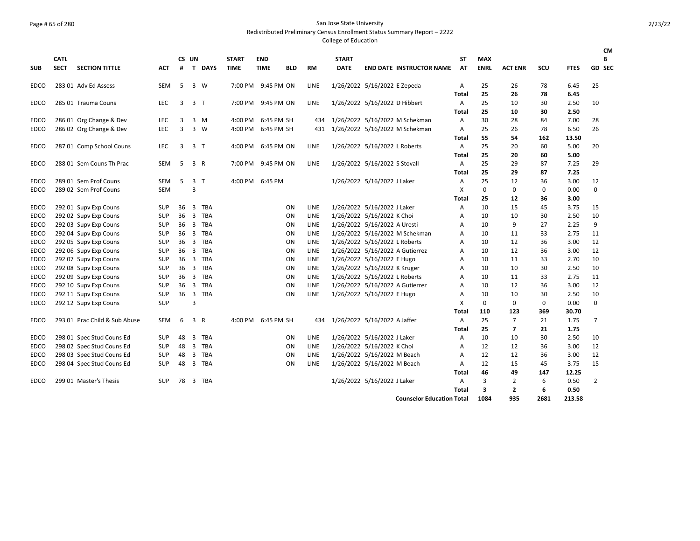## Page # 65 of 280 San Jose State University

Redistributed Preliminary Census Enrollment Status Summary Report – 2222

|             |             |                               |            |       |                         |            |              |                    |            |             |                               |                               |                                  |              |             |                |            |             | <b>CM</b> |
|-------------|-------------|-------------------------------|------------|-------|-------------------------|------------|--------------|--------------------|------------|-------------|-------------------------------|-------------------------------|----------------------------------|--------------|-------------|----------------|------------|-------------|-----------|
|             | <b>CATL</b> |                               |            | CS UN |                         |            | <b>START</b> | <b>END</b>         |            |             | <b>START</b>                  |                               |                                  | SΤ           | <b>MAX</b>  |                |            |             | В         |
| <b>SUB</b>  | <b>SECT</b> | <b>SECTION TITTLE</b>         | <b>ACT</b> | #     |                         | T DAYS     | <b>TIME</b>  | <b>TIME</b>        | <b>BLD</b> | <b>RM</b>   | <b>DATE</b>                   |                               | <b>END DATE INSTRUCTOR NAME</b>  | AT           | <b>ENRL</b> | <b>ACT ENR</b> | <b>SCU</b> | <b>FTES</b> | GD SEC    |
| <b>EDCO</b> |             | 283 01 Adv Ed Assess          | <b>SEM</b> | 5     | 3 W                     |            |              | 7:00 PM 9:45 PM ON |            | LINE        | 1/26/2022 5/16/2022 E Zepeda  |                               |                                  | Α            | 25          | 26             | 78         | 6.45        | 25        |
|             |             |                               |            |       |                         |            |              |                    |            |             |                               |                               |                                  | Total        | 25          | 26             | 78         | 6.45        |           |
| EDCO        |             | 285 01 Trauma Couns           | <b>LEC</b> | 3     | $\overline{3}$          | $\top$     | 7:00 PM      | 9:45 PM ON         |            | LINE        |                               | 1/26/2022 5/16/2022 D Hibbert |                                  | Α            | 25          | 10             | 30         | 2.50        | 10        |
|             |             |                               |            |       |                         |            |              |                    |            |             |                               |                               |                                  | <b>Total</b> | 25          | 10             | 30         | 2.50        |           |
| <b>EDCO</b> |             | 286 01 Org Change & Dev       | LEC        | 3     |                         | $3 \, M$   | 4:00 PM      | 6:45 PM SH         |            | 434         |                               |                               | 1/26/2022 5/16/2022 M Schekman   | Α            | 30          | 28             | 84         | 7.00        | 28        |
| EDCO        |             | 286 02 Org Change & Dev       | <b>LEC</b> | 3     | $\overline{3}$          | w          | 4:00 PM      | 6:45 PM SH         |            | 431         |                               |                               | 1/26/2022 5/16/2022 M Schekman   | Α            | 25          | 26             | 78         | 6.50        | 26        |
|             |             |                               |            |       |                         |            |              |                    |            |             |                               |                               |                                  | <b>Total</b> | 55          | 54             | 162        | 13.50       |           |
| <b>EDCO</b> |             | 287 01 Comp School Couns      | <b>LEC</b> | 3     | 3 <sub>1</sub>          |            | 4:00 PM      | 6:45 PM ON         |            | LINE        | 1/26/2022 5/16/2022 L Roberts |                               |                                  | Α            | 25          | 20             | 60         | 5.00        | 20        |
|             |             |                               |            |       |                         |            |              |                    |            |             |                               |                               |                                  | Total        | 25          | 20             | 60         | 5.00        |           |
| EDCO        |             | 288 01 Sem Couns Th Prac      | SEM        | 5     | 3 R                     |            | 7:00 PM      | 9:45 PM ON         |            | <b>LINE</b> | 1/26/2022 5/16/2022 S Stovall |                               |                                  | Α            | 25          | 29             | 87         | 7.25        | 29        |
|             |             |                               |            |       |                         |            |              |                    |            |             |                               |                               |                                  | <b>Total</b> | 25          | 29             | 87         | 7.25        |           |
| <b>EDCO</b> |             | 289 01 Sem Prof Couns         | <b>SEM</b> | 5     | 3 <sub>T</sub>          |            | 4:00 PM      | 6:45 PM            |            |             | 1/26/2022 5/16/2022 J Laker   |                               |                                  | Α            | 25          | 12             | 36         | 3.00        | 12        |
| EDCO        |             | 289 02 Sem Prof Couns         | <b>SEM</b> |       | 3                       |            |              |                    |            |             |                               |                               |                                  | X            | 0           | 0              | 0          | 0.00        | $\Omega$  |
|             |             |                               |            |       |                         |            |              |                    |            |             |                               |                               |                                  | <b>Total</b> | 25          | 12             | 36         | 3.00        |           |
| <b>EDCO</b> |             | 292 01 Supv Exp Couns         | <b>SUP</b> | 36    | 3                       | TBA        |              |                    | ON         | LINE        |                               | 1/26/2022 5/16/2022 J Laker   |                                  | Α            | 10          | 15             | 45         | 3.75        | 15        |
| EDCO        |             | 292 02 Supv Exp Couns         | <b>SUP</b> | 36    | $\overline{3}$          | <b>TBA</b> |              |                    | ON         | LINE        | 1/26/2022 5/16/2022 K Choi    |                               |                                  | Α            | 10          | 10             | 30         | 2.50        | 10        |
| EDCO        |             | 292 03 Supv Exp Couns         | <b>SUP</b> | 36    |                         | 3 TBA      |              |                    | <b>ON</b>  | LINE        | 1/26/2022 5/16/2022 A Uresti  |                               |                                  | A            | 10          | 9              | 27         | 2.25        | 9         |
| <b>EDCO</b> |             | 292 04 Supv Exp Couns         | <b>SUP</b> | 36    |                         | 3 TBA      |              |                    | ON         | LINE        |                               |                               | 1/26/2022 5/16/2022 M Schekman   | A            | 10          | 11             | 33         | 2.75        | 11        |
| EDCO        |             | 292 05 Supv Exp Couns         | <b>SUP</b> | 36    |                         | 3 TBA      |              |                    | ON         | LINE        | 1/26/2022 5/16/2022 L Roberts |                               |                                  | Α            | 10          | 12             | 36         | 3.00        | 12        |
| <b>EDCO</b> |             | 292 06 Supv Exp Couns         | <b>SUP</b> | 36    |                         | 3 TBA      |              |                    | ON         | LINE        |                               |                               | 1/26/2022 5/16/2022 A Gutierrez  | A            | 10          | 12             | 36         | 3.00        | 12        |
| EDCO        |             | 292 07 Supv Exp Couns         | SUP        | 36    | 3                       | TBA        |              |                    | <b>ON</b>  | LINE        | 1/26/2022 5/16/2022 E Hugo    |                               |                                  | A            | 10          | 11             | 33         | 2.70        | 10        |
| <b>EDCO</b> |             | 292 08 Supv Exp Couns         | <b>SUP</b> | 36    | 3                       | TBA        |              |                    | ON         | LINE        | 1/26/2022 5/16/2022 K Kruger  |                               |                                  | A            | 10          | 10             | 30         | 2.50        | 10        |
| <b>EDCO</b> |             | 292 09 Supv Exp Couns         | <b>SUP</b> | 36    | $\overline{3}$          | <b>TBA</b> |              |                    | ON         | LINE        | 1/26/2022 5/16/2022 L Roberts |                               |                                  | A            | 10          | 11             | 33         | 2.75        | 11        |
| EDCO        |             | 292 10 Supv Exp Couns         | <b>SUP</b> | 36    |                         | 3 TBA      |              |                    | ON         | LINE        |                               |                               | 1/26/2022 5/16/2022 A Gutierrez  | A            | 10          | 12             | 36         | 3.00        | 12        |
| EDCO        |             | 292 11 Supv Exp Couns         | SUP        | 36    | $\overline{\mathbf{3}}$ | <b>TBA</b> |              |                    | <b>ON</b>  | LINE        | 1/26/2022 5/16/2022 E Hugo    |                               |                                  | Α            | 10          | 10             | 30         | 2.50        | 10        |
| <b>EDCO</b> |             | 292 12 Supv Exp Couns         | <b>SUP</b> |       | 3                       |            |              |                    |            |             |                               |                               |                                  | X            | 0           | 0              | 0          | 0.00        | 0         |
|             |             |                               |            |       |                         |            |              |                    |            |             |                               |                               |                                  | <b>Total</b> | 110         | 123            | 369        | 30.70       |           |
| EDCO        |             | 293 01 Prac Child & Sub Abuse | <b>SEM</b> | 6     | 3 R                     |            | 4:00 PM      | 6:45 PM SH         |            | 434         | 1/26/2022 5/16/2022 A Jaffer  |                               |                                  | Α            | 25          | $\overline{7}$ | 21         | 1.75        | 7         |
|             |             |                               |            |       |                         |            |              |                    |            |             |                               |                               |                                  | Total        | 25          | $\overline{7}$ | 21         | 1.75        |           |
| <b>EDCO</b> |             | 298 01 Spec Stud Couns Ed     | <b>SUP</b> | 48    |                         | 3 TBA      |              |                    | ON         | LINE        |                               | 1/26/2022 5/16/2022 J Laker   |                                  | Α            | 10          | 10             | 30         | 2.50        | 10        |
| EDCO        |             | 298 02 Spec Stud Couns Ed     | <b>SUP</b> | 48    | $\overline{3}$          | <b>TBA</b> |              |                    | ON         | LINE        | 1/26/2022 5/16/2022 K Choi    |                               |                                  | Α            | 12          | 12             | 36         | 3.00        | 12        |
| EDCO        |             | 298 03 Spec Stud Couns Ed     | SUP        | 48    | $\overline{3}$          | TBA        |              |                    | <b>ON</b>  | LINE        | 1/26/2022 5/16/2022 M Beach   |                               |                                  | A            | 12          | 12             | 36         | 3.00        | 12        |
| EDCO        |             | 298 04 Spec Stud Couns Ed     | <b>SUP</b> | 48    |                         | 3 TBA      |              |                    | <b>ON</b>  | LINE        | 1/26/2022 5/16/2022 M Beach   |                               |                                  | A            | 12          | 15             | 45         | 3.75        | 15        |
|             |             |                               |            |       |                         |            |              |                    |            |             |                               |                               |                                  | Total        | 46          | 49             | 147        | 12.25       |           |
| EDCO        |             | 299 01 Master's Thesis        | <b>SUP</b> | 78    | $\overline{3}$          | TBA        |              |                    |            |             |                               | 1/26/2022 5/16/2022 J Laker   |                                  | Α            | 3           | 2              | 6          | 0.50        | 2         |
|             |             |                               |            |       |                         |            |              |                    |            |             |                               |                               |                                  | <b>Total</b> | 3           | $\overline{2}$ | 6          | 0.50        |           |
|             |             |                               |            |       |                         |            |              |                    |            |             |                               |                               | <b>Counselor Education Total</b> |              | 1084        | 935            | 2681       | 213.58      |           |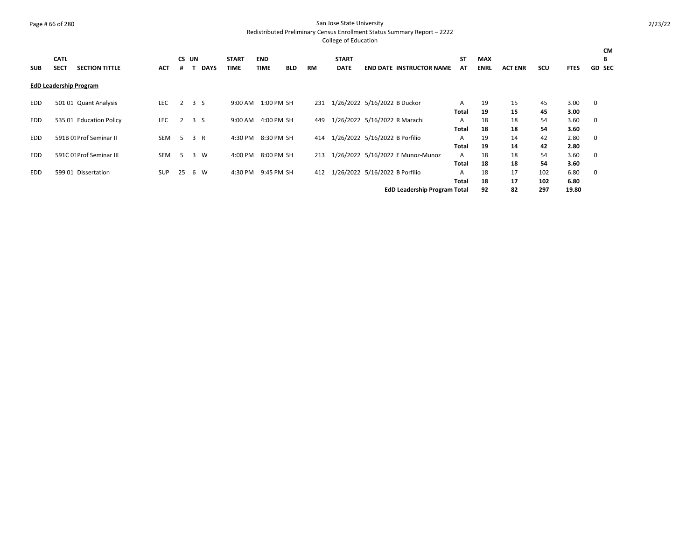## Page # 66 of 280 San Jose State University

Redistributed Preliminary Census Enrollment Status Summary Report – 2222

|            | <b>CATL</b> |                               |            | <b>CS</b>           | UN |             | <b>START</b> | <b>END</b>  |            |           | <b>START</b> |                                     | <b>ST</b> | <b>MAX</b>  |                |            |             | CМ<br>B       |  |
|------------|-------------|-------------------------------|------------|---------------------|----|-------------|--------------|-------------|------------|-----------|--------------|-------------------------------------|-----------|-------------|----------------|------------|-------------|---------------|--|
| <b>SUB</b> | <b>SECT</b> | <b>SECTION TITTLE</b>         | <b>ACT</b> |                     |    | <b>DAYS</b> | <b>TIME</b>  | <b>TIME</b> | <b>BLD</b> | <b>RM</b> | <b>DATE</b>  | <b>END DATE INSTRUCTOR NAME</b>     | AT        | <b>ENRL</b> | <b>ACT ENR</b> | <b>SCU</b> | <b>FTES</b> | <b>GD SEC</b> |  |
|            |             | <b>EdD Leadership Program</b> |            |                     |    |             |              |             |            |           |              |                                     |           |             |                |            |             |               |  |
| EDD.       |             | 501 01 Quant Analysis         | LEC        | $2 \quad 3 \quad S$ |    |             | 9:00 AM      | 1:00 PM SH  |            | 231       |              | 1/26/2022 5/16/2022 B Duckor        | A         | 19          | 15             | 45         | 3.00        | 0             |  |
|            |             |                               |            |                     |    |             |              |             |            |           |              |                                     | Total     | 19          | 15             | 45         | 3.00        |               |  |
| <b>EDD</b> |             | 535 01 Education Policy       | <b>LEC</b> | 2                   |    | 3S          | $9:00$ AM    | 4:00 PM SH  |            | 449       |              | 1/26/2022 5/16/2022 R Marachi       | A         | 18          | 18             | 54         | 3.60        | 0             |  |
|            |             |                               |            |                     |    |             |              |             |            |           |              |                                     | Total     | 18          | 18             | 54         | 3.60        |               |  |
| EDD.       |             | 591B 01 Prof Seminar II       | SEM        | -5                  |    | 3 R         | 4:30 PM      | 8:30 PM SH  |            | 414       |              | 1/26/2022 5/16/2022 B Porfilio      | A         | 19          | 14             | 42         | 2.80        | 0             |  |
|            |             |                               |            |                     |    |             |              |             |            |           |              |                                     | Total     | 19          | 14             | 42         | 2.80        |               |  |
| <b>EDD</b> |             | 591C 01 Prof Seminar III      | SEM        | -5                  |    | 3 W         | 4:00 PM      | 8:00 PM SH  |            | 213       |              | 1/26/2022 5/16/2022 E Munoz-Munoz   | A         | 18          | 18             | 54         | 3.60        | 0             |  |
|            |             |                               |            |                     |    |             |              |             |            |           |              |                                     | Total     | 18          | 18             | 54         | 3.60        |               |  |
| EDD        |             | 599 01 Dissertation           | SUP        | 25                  |    | 6 W         | 4:30 PM      | 9:45 PM SH  |            | 412       |              | 1/26/2022 5/16/2022 B Porfilio      | A         | 18          | 17             | 102        | 6.80        | 0             |  |
|            |             |                               |            |                     |    |             |              |             |            |           |              |                                     | Total     | 18          | 17             | 102        | 6.80        |               |  |
|            |             |                               |            |                     |    |             |              |             |            |           |              | <b>EdD Leadership Program Total</b> |           | 92          | 82             | 297        | 19.80       |               |  |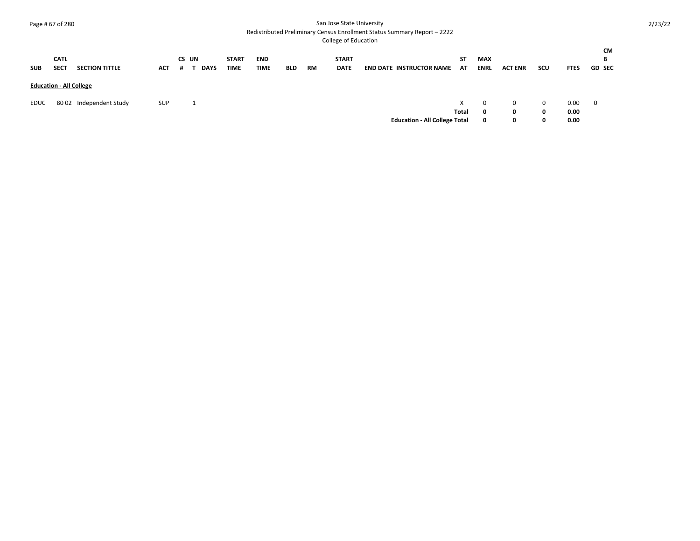## Page # 67 of 280 San Jose State University

Redistributed Preliminary Census Enrollment Status Summary Report – 2222

| <b>SUB</b>                     | <b>CATL</b><br><b>SECT</b> | <b>SECTION TITTLE</b>   | <b>ACT</b> | CS UN<br># | <b>DAYS</b> | <b>START</b><br><b>TIME</b> | <b>END</b><br><b>TIME</b> | <b>BLD</b> | <b>RM</b> | <b>START</b><br><b>DATE</b> | <b>END DATE INSTRUCTOR NAME</b>      | SΤ<br>AT    | <b>MAX</b><br><b>ENRL</b> | <b>ACT ENR</b> | scu                | <b>FTES</b>          | CМ<br>В<br><b>GD SEC</b> |
|--------------------------------|----------------------------|-------------------------|------------|------------|-------------|-----------------------------|---------------------------|------------|-----------|-----------------------------|--------------------------------------|-------------|---------------------------|----------------|--------------------|----------------------|--------------------------|
| <b>Education - All College</b> |                            |                         |            |            |             |                             |                           |            |           |                             |                                      |             |                           |                |                    |                      |                          |
| EDUC                           |                            | 80 02 Independent Study | <b>SUP</b> |            |             |                             |                           |            |           |                             | <b>Education - All College Total</b> | x.<br>Total | $\Omega$<br>0<br>0        | 0<br>0<br>0    | $\Omega$<br>0<br>0 | 0.00<br>0.00<br>0.00 | $\overline{\mathbf{0}}$  |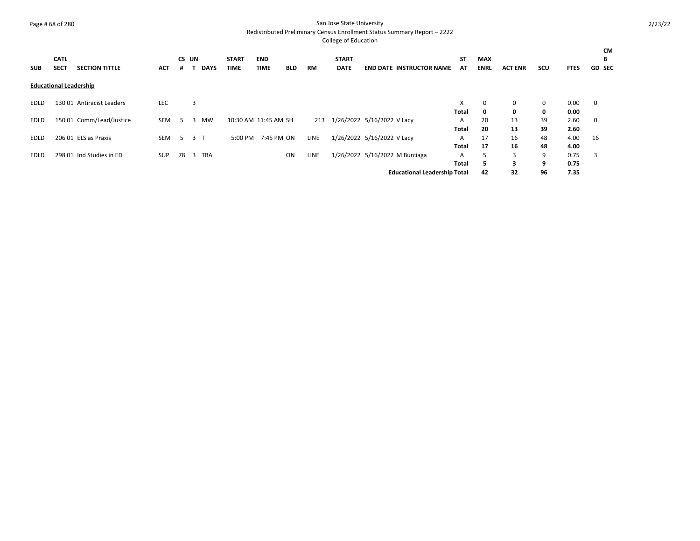## Page # 68 of 280 San Jose State University

Redistributed Preliminary Census Enrollment Status Summary Report – 2222

| <b>SUB</b> | <b>CATL</b><br><b>SECT</b>    | <b>SECTION TITTLE</b>     | <b>ACT</b> | CS UN<br># |                | <b>DAYS</b> | <b>START</b><br><b>TIME</b> | <b>END</b><br><b>TIME</b> | <b>BLD</b> | <b>RM</b>   | <b>START</b><br><b>DATE</b> |                            | <b>END DATE INSTRUCTOR NAME</b>     | <b>ST</b><br>AT | <b>MAX</b><br><b>ENRL</b> | <b>ACT ENR</b> | <b>SCU</b> | <b>FTES</b> | <b>CM</b><br>В<br><b>GD SEC</b> |
|------------|-------------------------------|---------------------------|------------|------------|----------------|-------------|-----------------------------|---------------------------|------------|-------------|-----------------------------|----------------------------|-------------------------------------|-----------------|---------------------------|----------------|------------|-------------|---------------------------------|
|            | <b>Educational Leadership</b> |                           |            |            |                |             |                             |                           |            |             |                             |                            |                                     |                 |                           |                |            |             |                                 |
| EDLD       |                               | 130 01 Antiracist Leaders | <b>LEC</b> |            | 3              |             |                             |                           |            |             |                             |                            |                                     | X               | 0                         | 0              | 0          | 0.00        | 0                               |
|            |                               |                           |            |            |                |             |                             |                           |            |             |                             |                            |                                     | Total           | 0                         | 0              | 0          | 0.00        |                                 |
| EDLD       |                               | 150 01 Comm/Lead/Justice  | SEM        | -5         | 3              | <b>MW</b>   |                             | 10:30 AM 11:45 AM SH      |            | 213         | 1/26/2022 5/16/2022 V Lacy  |                            |                                     | A               | 20                        | 13             | 39         | 2.60        | $\mathbf 0$                     |
|            |                               |                           |            |            |                |             |                             |                           |            |             |                             |                            |                                     | Total           | 20                        | 13             | 39         | 2.60        |                                 |
| EDLD       |                               | 206 01 ELS as Praxis      | <b>SEM</b> | -5         | 3 <sub>1</sub> |             | 5:00 PM                     | 7:45 PM ON                |            | LINE        |                             | 1/26/2022 5/16/2022 V Lacy |                                     | A               | 17                        | 16             | 48         | 4.00        | 16                              |
|            |                               |                           |            |            |                |             |                             |                           |            |             |                             |                            |                                     | Total           | 17                        | 16             | 48         | 4.00        |                                 |
| EDLD       |                               | 298 01 Ind Studies in ED  | <b>SUP</b> | 78         | 3              | <b>TBA</b>  |                             |                           | ON         | <b>LINE</b> |                             |                            | 1/26/2022 5/16/2022 M Burciaga      | A               | 5                         | 3              | 9          | 0.75        | 3                               |
|            |                               |                           |            |            |                |             |                             |                           |            |             |                             |                            |                                     | <b>Total</b>    | 5                         | 3              | 9          | 0.75        |                                 |
|            |                               |                           |            |            |                |             |                             |                           |            |             |                             |                            | <b>Educational Leadership Total</b> |                 | 42                        | 32             | 96         | 7.35        |                                 |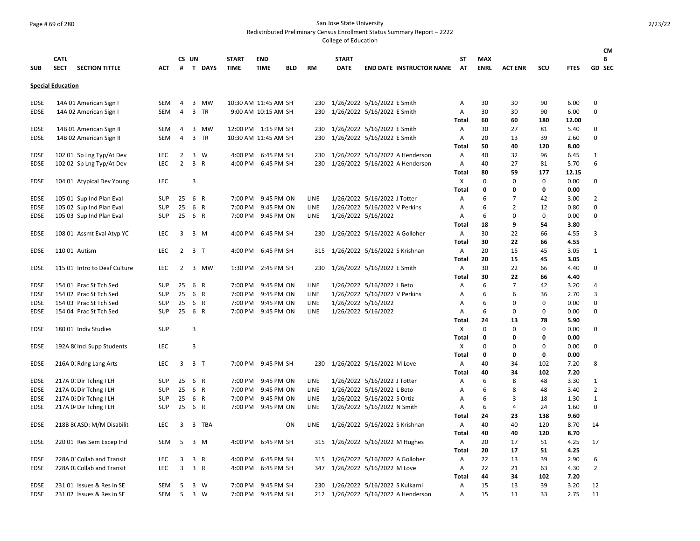## Page # 69 of 280 San Jose State University

Redistributed Preliminary Census Enrollment Status Summary Report – 2222

|                            |                          |                                                  |                   |                |                |                |              |                                  |            |              |                                  |                                                           |                                     |              |             |                |                   |              | CM                             |
|----------------------------|--------------------------|--------------------------------------------------|-------------------|----------------|----------------|----------------|--------------|----------------------------------|------------|--------------|----------------------------------|-----------------------------------------------------------|-------------------------------------|--------------|-------------|----------------|-------------------|--------------|--------------------------------|
|                            | <b>CATL</b>              |                                                  |                   |                | CS UN          |                | <b>START</b> | <b>END</b>                       |            |              | <b>START</b>                     |                                                           |                                     | ST           | <b>MAX</b>  |                |                   |              | В                              |
| <b>SUB</b>                 | <b>SECT</b>              | <b>SECTION TITTLE</b>                            | ACT               | #              |                | <b>T DAYS</b>  | <b>TIME</b>  | <b>TIME</b>                      | <b>BLD</b> | <b>RM</b>    | <b>DATE</b>                      |                                                           | <b>END DATE INSTRUCTOR NAME</b>     | AT           | <b>ENRL</b> | <b>ACT ENR</b> | SCU               | <b>FTES</b>  | GD SEC                         |
|                            | <b>Special Education</b> |                                                  |                   |                |                |                |              |                                  |            |              |                                  |                                                           |                                     |              |             |                |                   |              |                                |
| <b>EDSE</b>                |                          | 14A 01 American Sign I                           | SEM               | 4              | 3              | MW             |              | 10:30 AM 11:45 AM SH             |            | 230          |                                  | 1/26/2022 5/16/2022 E Smith                               |                                     | Α            | 30          | 30             | 90                | 6.00         | 0                              |
| <b>EDSE</b>                |                          | 14A 02 American Sign I                           | SEM               | 4              |                | 3 TR           |              | 9:00 AM 10:15 AM SH              |            | 230          |                                  | 1/26/2022 5/16/2022 E Smith                               |                                     | А            | 30          | 30             | 90                | 6.00         | 0                              |
|                            |                          |                                                  |                   |                |                |                |              |                                  |            |              |                                  |                                                           |                                     | <b>Total</b> | 60          | 60             | 180               | 12.00        |                                |
| <b>EDSE</b>                |                          | 14B 01 American Sign II                          | <b>SEM</b>        | 4              |                | 3 MW           |              | 12:00 PM 1:15 PM SH              |            | 230          |                                  | 1/26/2022 5/16/2022 E Smith                               |                                     | Α            | 30          | 27             | 81                | 5.40         | 0                              |
| <b>EDSE</b>                |                          | 14B 02 American Sign II                          | SEM               | $\overline{4}$ |                | 3 TR           |              | 10:30 AM 11:45 AM SH             |            | 230          |                                  | 1/26/2022 5/16/2022 E Smith                               |                                     | A            | 20          | 13             | 39                | 2.60         | 0                              |
|                            |                          |                                                  |                   |                |                |                |              |                                  |            |              |                                  |                                                           |                                     | Total        | 50          | 40             | 120               | 8.00         |                                |
| <b>EDSE</b>                |                          | 102 01 Sp Lng Typ/At Dev                         | <b>LEC</b>        | 2              |                | 3 W            |              | 4:00 PM 6:45 PM SH               |            | 230          |                                  |                                                           | 1/26/2022 5/16/2022 A Henderson     | Α            | 40          | 32             | 96                | 6.45         | 1                              |
| EDSE                       |                          | 102 02 Sp Lng Typ/At Dev                         | <b>LEC</b>        | $\overline{2}$ |                | 3 R            |              | 4:00 PM 6:45 PM SH               |            |              |                                  |                                                           | 230 1/26/2022 5/16/2022 A Henderson | Α            | 40          | 27             | 81                | 5.70         | 6                              |
|                            |                          |                                                  |                   |                |                |                |              |                                  |            |              |                                  |                                                           |                                     | <b>Total</b> | 80          | 59             | 177               | 12.15        |                                |
| <b>EDSE</b>                |                          | 104 01 Atypical Dev Young                        | <b>LEC</b>        |                | 3              |                |              |                                  |            |              |                                  |                                                           |                                     | X            | $\mathbf 0$ | $\mathbf 0$    | $\mathbf 0$       | 0.00         | 0                              |
|                            |                          |                                                  |                   |                |                |                |              |                                  |            |              |                                  |                                                           |                                     | <b>Total</b> | 0           | 0              | 0                 | 0.00         |                                |
| <b>EDSE</b>                |                          | 105 01 Sup Ind Plan Eval                         | <b>SUP</b>        | 25             |                | 6 R            |              | 7:00 PM 9:45 PM ON               |            | LINE         |                                  | 1/26/2022 5/16/2022 J Totter                              |                                     | Α            | 6           | 7              | 42                | 3.00         | 2                              |
| <b>EDSE</b>                |                          | 105 02 Sup Ind Plan Eval                         | <b>SUP</b>        | 25             |                | 6 R            |              | 7:00 PM 9:45 PM ON               |            | LINE         |                                  | 1/26/2022 5/16/2022 V Perkins                             |                                     | Α            | 6<br>6      | $\overline{2}$ | 12<br>$\mathbf 0$ | 0.80         | 0<br>0                         |
| <b>EDSE</b>                |                          | 105 03 Sup Ind Plan Eval                         | <b>SUP</b>        | 25             |                | 6 R            | 7:00 PM      | 9:45 PM ON                       |            | LINE         |                                  | 1/26/2022 5/16/2022                                       |                                     | Α<br>Total   | 18          | 0<br>9         | 54                | 0.00<br>3.80 |                                |
| <b>EDSE</b>                |                          | 108 01 Assmt Eval Atyp YC                        | LEC               | 3              |                | 3 M            | 4:00 PM      | 6:45 PM SH                       |            | 230          |                                  | 1/26/2022 5/16/2022 A Golloher                            |                                     | Α            | 30          | 22             | 66                | 4.55         | 3                              |
|                            |                          |                                                  |                   |                |                |                |              |                                  |            |              |                                  |                                                           |                                     | <b>Total</b> | 30          | 22             | 66                | 4.55         |                                |
| <b>EDSE</b>                |                          | 110 01 Autism                                    | <b>LEC</b>        | $\overline{2}$ |                | 3 <sub>1</sub> |              | 4:00 PM 6:45 PM SH               |            | 315          |                                  | 1/26/2022 5/16/2022 S Krishnan                            |                                     | A            | 20          | 15             | 45                | 3.05         | 1                              |
|                            |                          |                                                  |                   |                |                |                |              |                                  |            |              |                                  |                                                           |                                     | Total        | 20          | 15             | 45                | 3.05         |                                |
| <b>EDSE</b>                |                          | 115 01 Intro to Deaf Culture                     | <b>LEC</b>        | 2              |                | 3 MW           |              | 1:30 PM 2:45 PM SH               |            | 230          |                                  | 1/26/2022 5/16/2022 E Smith                               |                                     | Α            | 30          | 22             | 66                | 4.40         | 0                              |
|                            |                          |                                                  |                   |                |                |                |              |                                  |            |              |                                  |                                                           |                                     | <b>Total</b> | 30          | 22             | 66                | 4.40         |                                |
| <b>EDSE</b>                |                          | 154 01 Prac St Tch Sed                           | <b>SUP</b>        | 25             |                | 6 R            | 7:00 PM      | 9:45 PM ON                       |            | LINE         |                                  | 1/26/2022 5/16/2022 L Beto                                |                                     | Α            | 6           | $\overline{7}$ | 42                | 3.20         | 4                              |
| <b>EDSE</b>                |                          | 154 02 Prac St Tch Sed                           | <b>SUP</b>        | 25             |                | 6 R            | 7:00 PM      | 9:45 PM ON                       |            | LINE         |                                  | 1/26/2022 5/16/2022 V Perkins                             |                                     | A            | 6           | 6              | 36                | 2.70         | $\overline{3}$                 |
| <b>EDSE</b>                |                          | 154 03 Prac St Tch Sed                           | <b>SUP</b>        | 25             |                | 6 R            | 7:00 PM      | 9:45 PM ON                       |            | <b>LINE</b>  |                                  | 1/26/2022 5/16/2022                                       |                                     | A            | 6           | $\mathbf 0$    | $\mathbf 0$       | 0.00         | $\Omega$                       |
| EDSE                       |                          | 154 04 Prac St Tch Sed                           | <b>SUP</b>        | 25             | 6 R            |                |              | 7:00 PM 9:45 PM ON               |            | LINE         |                                  | 1/26/2022 5/16/2022                                       |                                     | A            | 6           | 0              | $\mathbf 0$       | 0.00         | 0                              |
|                            |                          |                                                  |                   |                |                |                |              |                                  |            |              |                                  |                                                           |                                     | <b>Total</b> | 24          | 13             | 78                | 5.90         |                                |
| <b>EDSE</b>                |                          | 180 01 Indiv Studies                             | <b>SUP</b>        |                | 3              |                |              |                                  |            |              |                                  |                                                           |                                     | X            | $\mathbf 0$ | 0              | $\Omega$          | 0.00         | 0                              |
|                            |                          |                                                  |                   |                |                |                |              |                                  |            |              |                                  |                                                           |                                     | <b>Total</b> | 0           | 0              | 0                 | 0.00         |                                |
| <b>EDSE</b>                |                          | 192A 8( Incl Supp Students                       | LEC               |                | $\overline{3}$ |                |              |                                  |            |              |                                  |                                                           |                                     | X            | $\mathbf 0$ | 0              | $\mathbf 0$       | 0.00         | 0                              |
|                            |                          |                                                  |                   |                |                |                |              |                                  |            |              |                                  |                                                           |                                     | <b>Total</b> | 0           | 0              | 0                 | 0.00         |                                |
| <b>EDSE</b>                |                          | 216A O: Rdng Lang Arts                           | <b>LEC</b>        | $\overline{3}$ |                | 3 <sub>T</sub> |              | 7:00 PM 9:45 PM SH               |            | 230          |                                  | 1/26/2022 5/16/2022 M Love                                |                                     | A            | 40          | 34             | 102               | 7.20         | 8                              |
|                            |                          |                                                  |                   |                |                |                |              |                                  |            |              |                                  |                                                           |                                     | <b>Total</b> | 40          | 34             | 102               | 7.20         |                                |
| <b>EDSE</b>                |                          | 217A 0: Dir Tchng I LH                           | SUP               | 25             | 6 R            |                |              | 7:00 PM 9:45 PM ON               |            | LINE         |                                  | 1/26/2022 5/16/2022 J Totter                              |                                     | Α            | 6<br>6      | 8              | 48                | 3.30         | 1                              |
| <b>EDSE</b><br><b>EDSE</b> |                          | 217A 0. Dir Tchng I LH<br>217A 0: Dir Tchng I LH | SUP<br><b>SUP</b> | 25<br>25       | 6 R            | 6 R            | 7:00 PM      | 9:45 PM ON<br>7:00 PM 9:45 PM ON |            | LINE<br>LINE |                                  | 1/26/2022 5/16/2022 L Beto<br>1/26/2022 5/16/2022 S Ortiz |                                     | Α<br>Α       | 6           | 8<br>3         | 48<br>18          | 3.40<br>1.30 | $\overline{2}$<br>$\mathbf{1}$ |
| <b>EDSE</b>                |                          | 217A 04 Dir Tchng I LH                           | <b>SUP</b>        | 25             | 6 R            |                |              | 7:00 PM 9:45 PM ON               |            | LINE         |                                  | 1/26/2022 5/16/2022 N Smith                               |                                     | Α            | 6           | 4              | 24                | 1.60         | 0                              |
|                            |                          |                                                  |                   |                |                |                |              |                                  |            |              |                                  |                                                           |                                     | Total        | 24          | 23             | 138               | 9.60         |                                |
| <b>EDSE</b>                |                          | 218B 8(ASD: M/M Disabilit                        | <b>LEC</b>        | 3              |                | 3 TBA          |              |                                  | ON         | LINE         |                                  | 1/26/2022 5/16/2022 S Krishnan                            |                                     | Α            | 40          | 40             | 120               | 8.70         | 14                             |
|                            |                          |                                                  |                   |                |                |                |              |                                  |            |              |                                  |                                                           |                                     | <b>Total</b> | 40          | 40             | 120               | 8.70         |                                |
| <b>EDSE</b>                |                          | 220 01 Res Sem Excep Ind                         | <b>SEM</b>        | 5              |                | 3 M            |              | 4:00 PM 6:45 PM SH               |            |              | 315 1/26/2022 5/16/2022 M Hughes |                                                           |                                     | Α            | 20          | 17             | 51                | 4.25         | 17                             |
|                            |                          |                                                  |                   |                |                |                |              |                                  |            |              |                                  |                                                           |                                     | <b>Total</b> | 20          | 17             | 51                | 4.25         |                                |
| <b>EDSE</b>                |                          | 228A 0. Collab and Transit                       | <b>LEC</b>        | 3              | $\overline{3}$ | $\mathsf{R}$   | 4:00 PM      | 6:45 PM SH                       |            | 315          |                                  | 1/26/2022 5/16/2022 A Golloher                            |                                     | Α            | 22          | 13             | 39                | 2.90         | 6                              |
| <b>EDSE</b>                |                          | 228A 0. Collab and Transit                       | LEC               | 3              |                | 3 R            | 4:00 PM      | 6:45 PM SH                       |            | 347          |                                  | 1/26/2022 5/16/2022 M Love                                |                                     | A            | 22          | 21             | 63                | 4.30         | $\overline{2}$                 |
|                            |                          |                                                  |                   |                |                |                |              |                                  |            |              |                                  |                                                           |                                     | <b>Total</b> | 44          | 34             | 102               | 7.20         |                                |
| <b>EDSE</b>                |                          | 231 01 Issues & Res in SE                        | <b>SEM</b>        | -5             |                | $3 \quad W$    | 7:00 PM      | 9:45 PM SH                       |            | 230          |                                  | 1/26/2022 5/16/2022 S Kulkarni                            |                                     | Α            | 15          | 13             | 39                | 3.20         | 12                             |
| <b>EDSE</b>                |                          | 231 02 Issues & Res in SE                        | <b>SEM</b>        | 5              |                | 3 W            |              | 7:00 PM 9:45 PM SH               |            |              |                                  |                                                           | 212 1/26/2022 5/16/2022 A Henderson | A            | 15          | 11             | 33                | 2.75         | 11                             |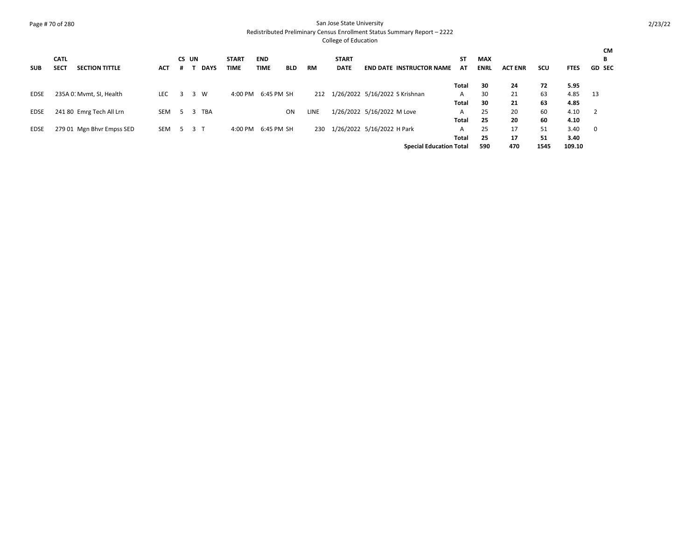## Page # 70 of 280 San Jose State University

Redistributed Preliminary Census Enrollment Status Summary Report – 2222

| <b>SUB</b>  | <b>CATL</b><br><b>SECT</b> | <b>SECTION TITTLE</b>     | <b>ACT</b> | CS UN<br>.# |     | <b>DAYS</b> | <b>START</b><br>TIME | <b>END</b><br><b>TIME</b> | <b>BLD</b> | <b>RM</b> | <b>START</b><br><b>DATE</b>    |                            | <b>END DATE INSTRUCTOR NAME</b> | <b>ST</b><br>AT | <b>MAX</b><br><b>ENRL</b> | <b>ACT ENR</b> | scu        | <b>FTES</b>    | <b>CM</b><br>В<br><b>GD SEC</b> |
|-------------|----------------------------|---------------------------|------------|-------------|-----|-------------|----------------------|---------------------------|------------|-----------|--------------------------------|----------------------------|---------------------------------|-----------------|---------------------------|----------------|------------|----------------|---------------------------------|
|             |                            |                           |            |             |     |             |                      |                           |            |           |                                |                            |                                 | Total           | 30                        | 24             | 72         | 5.95           |                                 |
| EDSE        |                            | 235A 0. Mvmt, SI, Health  | <b>LEC</b> | 3           |     | 3 W         | 4:00 PM              | 6:45 PM SH                |            | 212       | 1/26/2022 5/16/2022 S Krishnan |                            |                                 | A               | 30                        | 21             | 63         | 4.85           | - 13                            |
|             |                            |                           |            |             |     |             |                      |                           |            |           |                                |                            |                                 | Total           | 30                        | 21             | 63         | 4.85           |                                 |
| EDSE        |                            | 241 80 Emrg Tech All Lrn  | SEM        |             |     | 5 3 TBA     |                      |                           | ON         | LINE      |                                | 1/26/2022 5/16/2022 M Love |                                 | A               | 25                        | 20             | 60         | 4.10           | 2                               |
|             |                            |                           |            |             |     |             |                      |                           |            |           |                                |                            |                                 | Total           | 25                        | 20             | 60         | 4.10           |                                 |
| <b>EDSE</b> |                            | 279 01 Mgn Bhvr Empss SED | SEM        | -5.         | 3 T |             | 4:00 PM              | 6:45 PM SH                |            | 230       | 1/26/2022 5/16/2022 H Park     |                            |                                 | A               | 25                        | 17             | 51         | 3.40           | $\mathbf 0$                     |
|             |                            |                           |            |             |     |             |                      |                           |            |           |                                |                            | <b>Special Education Total</b>  | Total           | 25<br>590                 | 17<br>470      | 51<br>1545 | 3.40<br>109.10 |                                 |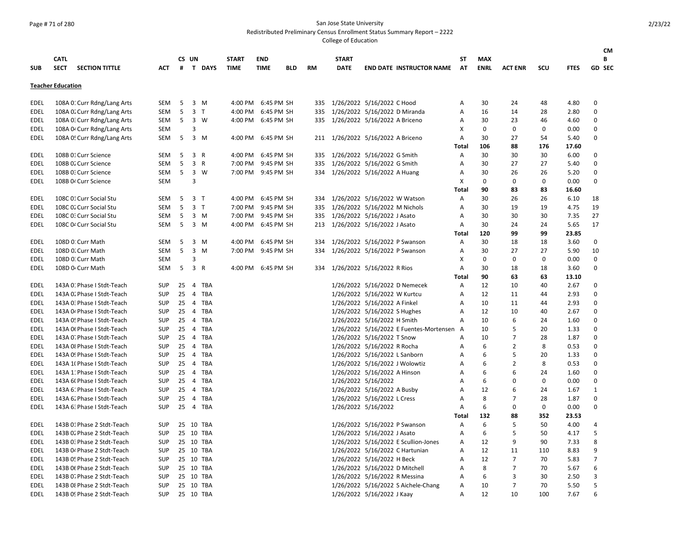## Page # 71 of 280 San Jose State University

Redistributed Preliminary Census Enrollment Status Summary Report – 2222

|             |                                      |            |    |       |                |              |                    |            |     |                                   |                                |                                           |                |             |                |             |             | <b>CM</b>      |
|-------------|--------------------------------------|------------|----|-------|----------------|--------------|--------------------|------------|-----|-----------------------------------|--------------------------------|-------------------------------------------|----------------|-------------|----------------|-------------|-------------|----------------|
|             | <b>CATL</b>                          |            |    | CS UN |                | <b>START</b> | <b>END</b>         |            |     | <b>START</b>                      |                                |                                           | SΤ             | <b>MAX</b>  |                |             |             | В              |
| <b>SUB</b>  | <b>SECT</b><br><b>SECTION TITTLE</b> | <b>ACT</b> |    |       | # T DAYS       | <b>TIME</b>  | <b>TIME</b>        | <b>BLD</b> | RM  | <b>DATE</b>                       |                                | <b>END DATE INSTRUCTOR NAME</b>           | AT             | <b>ENRL</b> | <b>ACT ENR</b> | scu         | <b>FTES</b> | GD SEC         |
|             | <b>Teacher Education</b>             |            |    |       |                |              |                    |            |     |                                   |                                |                                           |                |             |                |             |             |                |
| EDEL        | 108A O: Curr Rdng/Lang Arts          | <b>SEM</b> | 5  |       | 3 M            | 4:00 PM      | 6:45 PM SH         |            | 335 |                                   | 1/26/2022 5/16/2022 C Hood     |                                           | Α              | 30          | 24             | 48          | 4.80        | 0              |
| <b>EDEL</b> | 108A O. Curr Rdng/Lang Arts          | <b>SEM</b> | 5  |       | 3 <sub>1</sub> |              | 4:00 PM 6:45 PM SH |            |     | 335 1/26/2022 5/16/2022 D Miranda |                                |                                           | Α              | 16          | 14             | 28          | 2.80        | 0              |
| <b>EDEL</b> | 108A 0. Curr Rdng/Lang Arts          | SEM        | 5  |       | 3 W            | 4:00 PM      | 6:45 PM SH         |            |     | 335 1/26/2022 5/16/2022 A Briceno |                                |                                           | $\overline{A}$ | 30          | 23             | 46          | 4.60        | 0              |
| <b>EDEL</b> | 108A 04 Curr Rdng/Lang Arts          | SEM        |    | 3     |                |              |                    |            |     |                                   |                                |                                           | X              | $\mathbf 0$ | 0              | $\mathbf 0$ | 0.00        | 0              |
| <b>EDEL</b> | 108A 0! Curr Rdng/Lang Arts          | <b>SEM</b> | 5  |       | 3 M            | 4:00 PM      | 6:45 PM SH         |            |     | 211 1/26/2022 5/16/2022 A Briceno |                                |                                           | A              | 30          | 27             | 54          | 5.40        | 0              |
|             |                                      |            |    |       |                |              |                    |            |     |                                   |                                |                                           | Total          | 106         | 88             | 176         | 17.60       |                |
| EDEL        | 108B 01 Curr Science                 | <b>SEM</b> | 5  |       | 3 R            | 4:00 PM      | 6:45 PM SH         |            |     | 335 1/26/2022 5/16/2022 G Smith   |                                |                                           | Α              | 30          | 30             | 30          | 6.00        | 0              |
| EDEL        | 108B 02 Curr Science                 | <b>SEM</b> | 5  |       | 3 R            | 7:00 PM      | 9:45 PM SH         |            |     | 335 1/26/2022 5/16/2022 G Smith   |                                |                                           | Α              | 30          | 27             | 27          | 5.40        | 0              |
| EDEL        | 108B 0: Curr Science                 | SEM        | 5  |       | 3 W            |              | 7:00 PM 9:45 PM SH |            |     | 334 1/26/2022 5/16/2022 A Huang   |                                |                                           | Α              | 30          | 26             | 26          | 5.20        | 0              |
| EDEL        | 108B 0 <sup>2</sup> Curr Science     | <b>SEM</b> |    | 3     |                |              |                    |            |     |                                   |                                |                                           | X              | $\mathbf 0$ | 0              | 0           | 0.00        | 0              |
|             |                                      |            |    |       |                |              |                    |            |     |                                   |                                |                                           | <b>Total</b>   | 90          | 83             | 83          | 16.60       |                |
| <b>EDEL</b> | 108C 01 Curr Social Stu              | <b>SEM</b> | 5  |       | 3 <sub>T</sub> |              | 4:00 PM 6:45 PM SH |            | 334 |                                   | 1/26/2022 5/16/2022 W Watson   |                                           | A              | 30          | 26             | 26          | 6.10        | 18             |
| <b>EDEL</b> | 108C 02 Curr Social Stu              | <b>SEM</b> | 5  |       | 3 <sub>T</sub> | 7:00 PM      | 9:45 PM SH         |            |     | 335 1/26/2022 5/16/2022 M Nichols |                                |                                           | Α              | 30          | 19             | 19          | 4.75        | 19             |
| <b>EDEL</b> | 108C 0: Curr Social Stu              | <b>SEM</b> | 5  |       | $3 \, M$       | 7:00 PM      | 9:45 PM SH         |            |     | 335 1/26/2022 5/16/2022 J Asato   |                                |                                           | A              | 30          | 30             | 30          | 7.35        | 27             |
| EDEL        | 108C 0 <sup>2</sup> Curr Social Stu  | SEM        | 5  |       | 3 M            | 4:00 PM      | 6:45 PM SH         |            |     | 213 1/26/2022 5/16/2022 J Asato   |                                |                                           | Α              | 30          | 24             | 24          | 5.65        | 17             |
|             |                                      |            |    |       |                |              |                    |            |     |                                   |                                |                                           | Total          | 120         | 99             | 99          | 23.85       |                |
| EDEL        | 108D 0: Curr Math                    | <b>SEM</b> | 5  |       | $3 \, M$       | 4:00 PM      | 6:45 PM SH         |            | 334 | 1/26/2022 5/16/2022 P Swanson     |                                |                                           | Α              | 30          | 18             | 18          | 3.60        | 0              |
| <b>EDEL</b> | 108D 0. Curr Math                    | <b>SEM</b> | 5  |       | $3 \, M$       |              | 7:00 PM 9:45 PM SH |            |     | 334 1/26/2022 5/16/2022 P Swanson |                                |                                           | $\overline{A}$ | 30          | 27             | 27          | 5.90        | 10             |
| EDEL        | 108D 0. Curr Math                    | <b>SEM</b> |    | 3     |                |              |                    |            |     |                                   |                                |                                           | Χ              | 0           | 0              | 0           | 0.00        | 0              |
| EDEL        | 108D 0 Curr Math                     | SEM        | 5  | 3 R   |                |              | 4:00 PM 6:45 PM SH |            | 334 |                                   | 1/26/2022 5/16/2022 R Rios     |                                           | Α              | 30          | 18             | 18          | 3.60        | 0              |
|             |                                      |            |    |       |                |              |                    |            |     |                                   |                                |                                           | <b>Total</b>   | 90          | 63             | 63          | 13.10       |                |
| <b>EDEL</b> | 143A O: Phase I Stdt-Teach           | <b>SUP</b> |    |       | 25 4 TBA       |              |                    |            |     |                                   |                                | 1/26/2022 5/16/2022 D Nemecek             | A              | 12          | 10             | 40          | 2.67        | 0              |
| <b>EDEL</b> | 143A 0. Phase I Stdt-Teach           | <b>SUP</b> | 25 |       | 4 TBA          |              |                    |            |     |                                   | 1/26/2022 5/16/2022 W Kurtcu   |                                           | A              | 12          | 11             | 44          | 2.93        | 0              |
| <b>EDEL</b> | 143A 0: Phase I Stdt-Teach           | <b>SUP</b> | 25 |       | 4 TBA          |              |                    |            |     |                                   | 1/26/2022 5/16/2022 A Finkel   |                                           | A              | 10          | 11             | 44          | 2.93        | 0              |
| <b>EDEL</b> | 143A 04 Phase I Stdt-Teach           | <b>SUP</b> | 25 |       | 4 TBA          |              |                    |            |     |                                   | 1/26/2022 5/16/2022 S Hughes   |                                           | Α              | 12          | 10             | 40          | 2.67        | 0              |
| EDEL        | 143A 0! Phase I Stdt-Teach           | <b>SUP</b> | 25 |       | 4 TBA          |              |                    |            |     |                                   | 1/26/2022 5/16/2022 H Smith    |                                           | Α              | 10          | 6              | 24          | 1.60        | 0              |
| <b>EDEL</b> | 143A Of Phase I Stdt-Teach           | <b>SUP</b> | 25 |       | 4 TBA          |              |                    |            |     |                                   |                                | 1/26/2022 5/16/2022 E Fuentes-Mortensen A |                | 10          | 5              | 20          | 1.33        | 0              |
| EDEL        | 143A O. Phase I Stdt-Teach           | <b>SUP</b> | 25 |       | 4 TBA          |              |                    |            |     |                                   | 1/26/2022 5/16/2022 T Snow     |                                           | A              | 10          | $\overline{7}$ | 28          | 1.87        | 0              |
| <b>EDEL</b> | 143A Of Phase I Stdt-Teach           | <b>SUP</b> | 25 |       | 4 TBA          |              |                    |            |     |                                   | 1/26/2022 5/16/2022 R Rocha    |                                           | A              | 6           | $\overline{2}$ | 8           | 0.53        | 0              |
| EDEL        | 143A 0! Phase I Stdt-Teach           | <b>SUP</b> | 25 |       | 4 TBA          |              |                    |            |     |                                   | 1/26/2022 5/16/2022 L Sanborn  |                                           | Α              | 6           | 5              | 20          | 1.33        | 0              |
| <b>EDEL</b> | 143A 1( Phase I Stdt-Teach           | <b>SUP</b> | 25 |       | 4 TBA          |              |                    |            |     |                                   |                                | 1/26/2022 5/16/2022 J Wolowtiz            | Α              | 6           | 2              | 8           | 0.53        | 0              |
| <b>EDEL</b> | 143A 1: Phase I Stdt-Teach           | <b>SUP</b> | 25 |       | 4 TBA          |              |                    |            |     |                                   | 1/26/2022 5/16/2022 A Hinson   |                                           | Α              | 6           | 6              | 24          | 1.60        | 0              |
| <b>EDEL</b> | 143A 6( Phase I Stdt-Teach           | <b>SUP</b> | 25 |       | 4 TBA          |              |                    |            |     |                                   | 1/26/2022 5/16/2022            |                                           | A              | 6           | $\Omega$       | 0           | 0.00        | 0              |
| <b>EDEL</b> | 143A 6: Phase I Stdt-Teach           | <b>SUP</b> | 25 |       | 4 TBA          |              |                    |            |     |                                   | 1/26/2022 5/16/2022 A Busby    |                                           | Α              | 12          | 6              | 24          | 1.67        | $\mathbf 1$    |
| <b>EDEL</b> | 143A 6. Phase I Stdt-Teach           | <b>SUP</b> | 25 |       | 4 TBA          |              |                    |            |     |                                   | 1/26/2022 5/16/2022 L Cress    |                                           | Α              | 8           | $\overline{7}$ | 28          | 1.87        | 0              |
| <b>EDEL</b> | 143A 6: Phase I Stdt-Teach           | <b>SUP</b> | 25 |       | 4 TBA          |              |                    |            |     |                                   | 1/26/2022 5/16/2022            |                                           | Α              | 6           | $\mathbf 0$    | $\mathbf 0$ | 0.00        | 0              |
|             |                                      |            |    |       |                |              |                    |            |     |                                   |                                |                                           | Total          | 132         | 88             | 352         | 23.53       |                |
| <b>EDEL</b> | 143B 01 Phase 2 Stdt-Teach           | <b>SUP</b> |    |       | 25 10 TBA      |              |                    |            |     |                                   |                                | 1/26/2022 5/16/2022 P Swanson             | A              | 6           | 5              | 50          | 4.00        | 4              |
| EDEL        | 143B 02 Phase 2 Stdt-Teach           | <b>SUP</b> |    |       | 25 10 TBA      |              |                    |            |     |                                   | 1/26/2022 5/16/2022 J Asato    |                                           | Α              | 6           | 5              | 50          | 4.17        | 5              |
| <b>EDEL</b> | 143B 0: Phase 2 Stdt-Teach           | <b>SUP</b> |    |       | 25 10 TBA      |              |                    |            |     |                                   |                                | 1/26/2022 5/16/2022 E Scullion-Jones      | A              | 12          | 9              | 90          | 7.33        | 8              |
| EDEL        | 143B 04 Phase 2 Stdt-Teach           | <b>SUP</b> |    |       | 25 10 TBA      |              |                    |            |     |                                   |                                | 1/26/2022 5/16/2022 C Hartunian           | Α              | 12          | 11             | 110         | 8.83        | 9              |
| EDEL        | 143B 0! Phase 2 Stdt-Teach           | <b>SUP</b> |    |       | 25 10 TBA      |              |                    |            |     |                                   | 1/26/2022 5/16/2022 H Beck     |                                           | A              | 12          | $\overline{7}$ | 70          | 5.83        | $\overline{7}$ |
| EDEL        | 143B Of Phase 2 Stdt-Teach           | <b>SUP</b> | 25 |       | 10 TBA         |              |                    |            |     |                                   | 1/26/2022 5/16/2022 D Mitchell |                                           | Α              | 8           | $\overline{7}$ | 70          | 5.67        | 6              |
| <b>EDEL</b> | 143B 0. Phase 2 Stdt-Teach           | <b>SUP</b> |    |       | 25 10 TBA      |              |                    |            |     |                                   | 1/26/2022 5/16/2022 R Messina  |                                           | Α              | 6           | 3              | 30          | 2.50        | 3              |
| EDEL        | 143B 08 Phase 2 Stdt-Teach           | <b>SUP</b> |    |       | 25 10 TBA      |              |                    |            |     |                                   |                                | 1/26/2022 5/16/2022 S Aichele-Chang       | Α              | 10          | $\overline{7}$ | 70          | 5.50        | 5              |
| <b>EDEL</b> | 143B 0! Phase 2 Stdt-Teach           | <b>SUP</b> |    |       | 25 10 TBA      |              |                    |            |     |                                   | 1/26/2022 5/16/2022 J Kaay     |                                           | A              | 12          | 10             | 100         | 7.67        | 6              |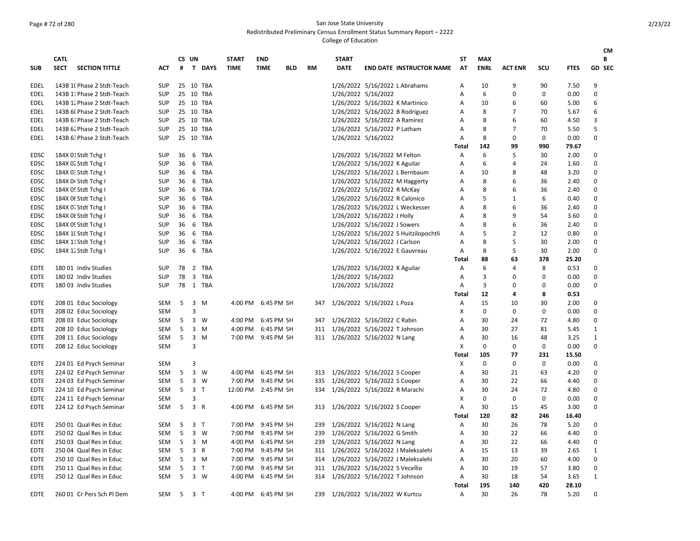## Page # 72 of 280 San Jose State University

Redistributed Preliminary Census Enrollment Status Summary Report – 2222

|              |                            |                                                    |                   |    |                         |                |                             |                           |            |           |                                  |                               |                                       |              |                    |                   |                    |               | CМ                       |
|--------------|----------------------------|----------------------------------------------------|-------------------|----|-------------------------|----------------|-----------------------------|---------------------------|------------|-----------|----------------------------------|-------------------------------|---------------------------------------|--------------|--------------------|-------------------|--------------------|---------------|--------------------------|
|              | <b>CATL</b><br><b>SECT</b> | <b>SECTION TITTLE</b>                              |                   | #  | CS UN                   | T DAYS         | <b>START</b><br><b>TIME</b> | <b>END</b><br><b>TIME</b> |            | <b>RM</b> | <b>START</b><br><b>DATE</b>      |                               |                                       | SΤ<br>AT     | MAX<br><b>ENRL</b> | <b>ACT ENR</b>    | scu                | <b>FTES</b>   | В<br><b>GD SEC</b>       |
| SUB          |                            |                                                    | <b>ACT</b>        |    |                         |                |                             |                           | <b>BLD</b> |           |                                  |                               | <b>END DATE INSTRUCTOR NAME</b>       |              |                    |                   |                    |               |                          |
| EDEL         |                            | 143B 1( Phase 2 Stdt-Teach                         | <b>SUP</b>        |    |                         | 25 10 TBA      |                             |                           |            |           |                                  |                               | 1/26/2022 5/16/2022 L Abrahams        | A            | 10                 | 9                 | 90                 | 7.50          | 9                        |
| EDEL         |                            | 143B 11 Phase 2 Stdt-Teach                         | <b>SUP</b>        |    |                         | 25 10 TBA      |                             |                           |            |           |                                  | 1/26/2022 5/16/2022           |                                       | A            | 6                  | 0                 | 0                  | 0.00          | 0                        |
| EDEL         |                            | 143B 12 Phase 2 Stdt-Teach                         | <b>SUP</b>        |    |                         | 25 10 TBA      |                             |                           |            |           |                                  |                               | 1/26/2022 5/16/2022 K Martinico       | Α            | 10                 | 6                 | 60                 | 5.00          | 6                        |
| EDEL         |                            | 143B 6( Phase 2 Stdt-Teach                         | <b>SUP</b>        |    |                         | 25 10 TBA      |                             |                           |            |           |                                  |                               | 1/26/2022 5/16/2022 B Rodriguez       | Α            | 8                  | 7                 | 70                 | 5.67          | 6                        |
| EDEL         |                            | 143B 61 Phase 2 Stdt-Teach                         | <b>SUP</b>        |    |                         | 25 10 TBA      |                             |                           |            |           |                                  | 1/26/2022 5/16/2022 A Ramirez |                                       | A            | 8                  | 6                 | 60                 | 4.50          | 3                        |
| EDEL         |                            | 143B 62 Phase 2 Stdt-Teach                         | <b>SUP</b>        |    |                         | 25 10 TBA      |                             |                           |            |           |                                  | 1/26/2022 5/16/2022 P Latham  |                                       | Α            | 8                  | $\overline{7}$    | 70                 | 5.50          | 5                        |
| EDEL         |                            | 143B 6: Phase 2 Stdt-Teach                         | <b>SUP</b>        |    |                         | 25 10 TBA      |                             |                           |            |           |                                  | 1/26/2022 5/16/2022           |                                       | Α            | 8                  | $\mathbf 0$       | 0                  | 0.00          | $\Omega$                 |
|              |                            |                                                    |                   |    |                         |                |                             |                           |            |           |                                  |                               |                                       | <b>Total</b> | 142                | 99                | 990                | 79.67         |                          |
| EDSC         |                            | 184X 01 Stdt Tchg I                                | <b>SUP</b>        |    |                         | 36 6 TBA       |                             |                           |            |           |                                  | 1/26/2022 5/16/2022 M Felton  |                                       | Α            | 6                  | 5                 | 30                 | 2.00          | 0                        |
| EDSC         |                            | 184X 02 Stdt Tchg I                                | <b>SUP</b>        | 36 |                         | 6 TBA          |                             |                           |            |           |                                  | 1/26/2022 5/16/2022 K Aguilar |                                       | Α            | 6                  | $\overline{4}$    | 24                 | 1.60          | $\Omega$                 |
| EDSC         |                            | 184X 0: Stdt Tchg I                                | <b>SUP</b>        |    |                         | 36 6 TBA       |                             |                           |            |           |                                  |                               | 1/26/2022 5/16/2022 L Bernbaum        | A            | 10                 | 8                 | 48                 | 3.20          | $\Omega$                 |
| <b>EDSC</b>  |                            | 184X 04 Stdt Tchg I                                | <b>SUP</b>        | 36 |                         | 6 TBA          |                             |                           |            |           |                                  |                               | 1/26/2022 5/16/2022 M Haggerty        | Α            | 8                  | 6                 | 36                 | 2.40          | $\Omega$                 |
| <b>EDSC</b>  |                            | 184X 0! Stdt Tchg I                                | SUP               |    |                         | 36 6 TBA       |                             |                           |            |           |                                  | 1/26/2022 5/16/2022 R McKay   |                                       | Α            | 8                  | 6                 | 36                 | 2.40          | $\Omega$                 |
| <b>EDSC</b>  |                            | 184X Of Stdt Tchg I                                | <b>SUP</b>        |    |                         | 36 6 TBA       |                             |                           |            |           |                                  |                               | 1/26/2022 5/16/2022 R Calonico        | A            | 5                  | 1                 | 6                  | 0.40          | $\Omega$                 |
| EDSC         |                            | 184X 0. Stdt Tchg I                                | SUP               |    |                         | 36 6 TBA       |                             |                           |            |           |                                  |                               | 1/26/2022 5/16/2022 L Weckesser       | A            | 8                  | 6                 | 36                 | 2.40          | $\Omega$                 |
| EDSC         |                            | 184X Of Stdt Tchg                                  | SUP               |    |                         | 36 6 TBA       |                             |                           |            |           |                                  | 1/26/2022 5/16/2022 J Holly   |                                       | A            | 8                  | 9                 | 54                 | 3.60          | $\Omega$                 |
| EDSC         |                            | 184X 09 Stdt Tchg I                                | <b>SUP</b>        |    |                         | 36 6 TBA       |                             |                           |            |           |                                  | 1/26/2022 5/16/2022 J Sowers  |                                       | A            | 8                  | 6                 | 36                 | 2.40          | $\Omega$                 |
| EDSC         |                            | 184X 1(Stdt Tchg I                                 | <b>SUP</b>        | 36 |                         | 6 TBA          |                             |                           |            |           |                                  |                               | 1/26/2022 5/16/2022 S Huitzilopochtli | A            | 5                  | $\overline{2}$    | 12                 | 0.80          | $\Omega$                 |
| EDSC         |                            | 184X 11 Stdt Tchg I                                | <b>SUP</b>        | 36 |                         | 6 TBA          |                             |                           |            |           |                                  | 1/26/2022 5/16/2022 J Carlson |                                       | A            | 8                  | 5                 | 30                 | 2.00          | $\Omega$                 |
| EDSC         |                            | 184X 12 Stdt Tchg I                                | <b>SUP</b>        | 36 |                         | 6 TBA          |                             |                           |            |           |                                  |                               | 1/26/2022 5/16/2022 E Gauvreau        | Α            | 8                  | 5                 | 30                 | 2.00          | $\Omega$                 |
|              |                            |                                                    |                   |    |                         |                |                             |                           |            |           |                                  |                               |                                       | Total        | 88                 | 63                | 378                | 25.20         |                          |
| EDTE         |                            | 180 01 Indiv Studies                               | SUP               | 78 |                         | 2 TBA          |                             |                           |            |           |                                  | 1/26/2022 5/16/2022 K Aguilar |                                       | Α            | 6                  | $\overline{4}$    | 8                  | 0.53          | 0                        |
| EDTE         |                            | 180 02 Indiv Studies                               | SUP               | 78 |                         | 3 TBA          |                             |                           |            |           |                                  | 1/26/2022 5/16/2022           |                                       | Α            | 3                  | $\Omega$          | 0                  | 0.00          | $\Omega$                 |
| EDTE         |                            | 180 03 Indiv Studies                               | <b>SUP</b>        |    |                         | 78 1 TBA       |                             |                           |            |           |                                  | 1/26/2022 5/16/2022           |                                       | Α            | 3                  | $\Omega$          | 0                  | 0.00          | $\Omega$                 |
|              |                            |                                                    |                   |    |                         |                |                             |                           |            |           |                                  |                               |                                       | <b>Total</b> | 12                 | $\overline{a}$    | 8                  | 0.53          |                          |
| EDTE         |                            | 208 01 Educ Sociology                              | SEM               | 5  | $\overline{\mathbf{3}}$ | M              |                             | 4:00 PM 6:45 PM SH        |            | 347       | 1/26/2022 5/16/2022 L Poza       |                               |                                       | Α            | 15                 | 10                | 30                 | 2.00          | $\Omega$                 |
| EDTE         |                            | 208 02 Educ Sociology                              | SEM               |    | 3                       |                |                             |                           |            |           |                                  |                               |                                       | X            | 0                  | $\mathbf 0$       | 0                  | 0.00          | 0                        |
| EDTE         |                            | 208 03 Educ Sociology                              | SEM               | 5  |                         | 3 W            |                             | 4:00 PM 6:45 PM SH        |            | 347       | 1/26/2022 5/16/2022 C Rabin      |                               |                                       | Α            | 30                 | 24                | 72                 | 4.80          | $\Omega$                 |
| EDTE         |                            | 208 10 Educ Sociology                              | SEM               | 5  |                         | 3 M            |                             | 4:00 PM 6:45 PM SH        |            | 311       | 1/26/2022 5/16/2022 T Johnson    |                               |                                       | Α            | 30                 | 27                | 81                 | 5.45          | $\mathbf{1}$             |
| EDTE         |                            | 208 11 Educ Sociology                              | SEM               | 5  |                         | $3 \, M$       |                             | 7:00 PM 9:45 PM SH        |            |           | 311 1/26/2022 5/16/2022 N Lang   |                               |                                       | Α            | 30                 | 16                | 48                 | 3.25          | $\mathbf{1}$<br>$\Omega$ |
| EDTE         |                            | 208 12 Educ Sociology                              | <b>SEM</b>        |    | 3                       |                |                             |                           |            |           |                                  |                               |                                       | X            | 0<br>105           | $\mathbf 0$<br>77 | $\mathbf 0$<br>231 | 0.00          |                          |
|              |                            |                                                    |                   |    | 3                       |                |                             |                           |            |           |                                  |                               |                                       | Total<br>X   | 0                  | $\Omega$          | $\mathbf 0$        | 15.50<br>0.00 | $\Omega$                 |
| EDTE         |                            | 224 01 Ed Psych Seminar                            | SEM<br><b>SEM</b> | 5  |                         | 3 W            |                             | 4:00 PM 6:45 PM SH        |            |           |                                  |                               |                                       |              | 30                 | 21                |                    |               | $\Omega$                 |
| EDTE         |                            | 224 02 Ed Psych Seminar                            | <b>SEM</b>        | 5  |                         | 3 W            |                             | 7:00 PM 9:45 PM SH        |            | 335       | 313 1/26/2022 5/16/2022 S Cooper |                               |                                       | A<br>A       | 30                 | 22                | 63<br>66           | 4.20<br>4.40  | $\Omega$                 |
| EDTE         |                            | 224 03 Ed Psych Seminar                            | <b>SEM</b>        | 5  | $\overline{3}$          | $\mathsf{T}$   | 12:00 PM 2:45 PM SH         |                           |            | 334       | 1/26/2022 5/16/2022 S Cooper     |                               |                                       | A            | 30                 | 24                | 72                 |               | $\Omega$                 |
| EDTE<br>EDTE |                            | 224 10 Ed Psych Seminar<br>224 11 Ed Psych Seminar | <b>SEM</b>        |    | 3                       |                |                             |                           |            |           | 1/26/2022 5/16/2022 R Marachi    |                               |                                       | X            | 0                  | 0                 | 0                  | 4.80<br>0.00  | $\Omega$                 |
| EDTE         |                            | 224 12 Ed Psych Seminar                            | SEM               | 5  |                         | 3 R            | 4:00 PM                     | 6:45 PM SH                |            | 313       | 1/26/2022 5/16/2022 S Cooper     |                               |                                       | Α            | 30                 | 15                | 45                 | 3.00          | $\Omega$                 |
|              |                            |                                                    |                   |    |                         |                |                             |                           |            |           |                                  |                               |                                       | <b>Total</b> | 120                | 82                | 246                | 16.40         |                          |
| EDTE         |                            | 250 01 Qual Res in Educ                            | SEM               | 5  |                         | 3 <sub>T</sub> | 7:00 PM                     | 9:45 PM SH                |            | 239       | 1/26/2022 5/16/2022 N Lang       |                               |                                       | Α            | 30                 | 26                | 78                 | 5.20          | $\Omega$                 |
| EDTE         |                            | 250 02 Qual Res in Educ                            | SEM               | 5  |                         | 3 W            | 7:00 PM                     | 9:45 PM SH                |            | 239       | 1/26/2022 5/16/2022 G Smith      |                               |                                       | Α            | 30                 | 22                | 66                 | 4.40          | 0                        |
| EDTE         |                            | 250 03 Qual Res in Educ                            | SEM               | 5  |                         | 3 M            | 4:00 PM                     | 6:45 PM SH                |            | 239       | 1/26/2022 5/16/2022 N Lang       |                               |                                       | Α            | 30                 | 22                | 66                 | 4.40          | 0                        |
| <b>EDTE</b>  |                            | 250 04 Qual Res in Educ                            | SEM               | 5  |                         | 3 R            |                             | 7:00 PM 9:45 PM SH        |            |           |                                  |                               | 311 1/26/2022 5/16/2022 J Maleksalehi | Α            | 15                 | 13                | 39                 | 2.65          | $\mathbf{1}$             |
| <b>EDTE</b>  |                            | 250 10 Qual Res in Educ                            | SEM               | 5  |                         | $3 \, M$       |                             | 7:00 PM 9:45 PM SH        |            | 314       |                                  |                               | 1/26/2022 5/16/2022 J Maleksalehi     | Α            | 30                 | 20                | 60                 | 4.00          | $\Omega$                 |
| EDTE         |                            | 250 11 Qual Res in Educ                            | SEM               | 5  |                         | 3 <sub>T</sub> | 7:00 PM                     | 9:45 PM SH                |            | 311       | 1/26/2022 5/16/2022 S Vecellio   |                               |                                       | A            | 30                 | 19                | 57                 | 3.80          | $\mathbf 0$              |
| EDTE         |                            | 250 12 Qual Res in Educ                            | <b>SEM</b>        | 5  |                         | 3 W            |                             | 4:00 PM 6:45 PM SH        |            | 314       | 1/26/2022 5/16/2022 T Johnson    |                               |                                       | A            | 30                 | 18                | 54                 | 3.65          | $\mathbf{1}$             |
|              |                            |                                                    |                   |    |                         |                |                             |                           |            |           |                                  |                               |                                       | <b>Total</b> | 195                | 140               | 420                | 28.10         |                          |
| EDTE         |                            | 260 01 Cr Pers Sch Pl Dem                          | SEM               | 5  |                         | 3 <sub>T</sub> |                             | 4:00 PM 6:45 PM SH        |            | 239       | 1/26/2022 5/16/2022 W Kurtcu     |                               |                                       | Α            | 30                 | 26                | 78                 | 5.20          | $\Omega$                 |
|              |                            |                                                    |                   |    |                         |                |                             |                           |            |           |                                  |                               |                                       |              |                    |                   |                    |               |                          |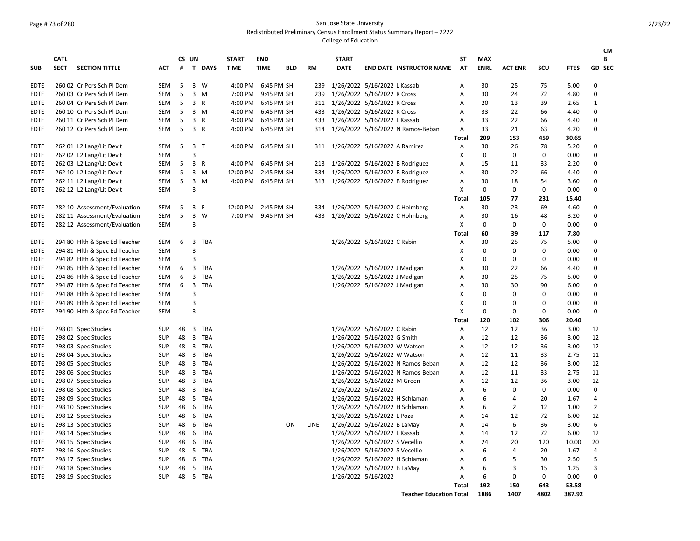## Page # 73 of 280 San Jose State University

Redistributed Preliminary Census Enrollment Status Summary Report – 2222

|             |                            |                               |            |    |                |          |                             |                           |            |           |                             |                                     |                           |                           |                |             |             | <b>CM</b>      |
|-------------|----------------------------|-------------------------------|------------|----|----------------|----------|-----------------------------|---------------------------|------------|-----------|-----------------------------|-------------------------------------|---------------------------|---------------------------|----------------|-------------|-------------|----------------|
| <b>SUB</b>  | <b>CATL</b><br><b>SECT</b> | <b>SECTION TITTLE</b>         | <b>ACT</b> | #  | CS UN          | T DAYS   | <b>START</b><br><b>TIME</b> | <b>END</b><br><b>TIME</b> | <b>BLD</b> | <b>RM</b> | <b>START</b><br><b>DATE</b> | <b>END DATE INSTRUCTOR NAME</b>     | ST<br>AT                  | <b>MAX</b><br><b>ENRL</b> | <b>ACT ENR</b> | SCU         | <b>FTES</b> | В<br>GD SEC    |
|             |                            |                               |            |    |                |          |                             |                           |            |           |                             |                                     |                           |                           |                |             |             |                |
| EDTE        |                            | 260 02 Cr Pers Sch Pl Dem     | SEM        | 5  |                | 3 W      | 4:00 PM                     | 6:45 PM SH                |            | 239       |                             | 1/26/2022 5/16/2022 L Kassab        | Α                         | 30                        | 25             | 75          | 5.00        | 0              |
| <b>EDTE</b> |                            | 260 03 Cr Pers Sch Pl Dem     | SEM        | 5  |                | $3 \, M$ | 7:00 PM                     | 9:45 PM SH                |            | 239       |                             | 1/26/2022 5/16/2022 K Cross         | Α                         | 30                        | 24             | 72          | 4.80        | 0              |
| <b>EDTE</b> |                            | 260 04 Cr Pers Sch Pl Dem     | SEM        | 5  | 3 R            |          | 4:00 PM                     | 6:45 PM SH                |            |           |                             | 311 1/26/2022 5/16/2022 K Cross     | Α                         | 20                        | 13             | 39          | 2.65        | 1              |
| EDTE        |                            | 260 10 Cr Pers Sch Pl Dem     | <b>SEM</b> | 5  |                | $3 \, M$ | 4:00 PM                     | 6:45 PM SH                |            | 433       |                             | 1/26/2022 5/16/2022 K Cross         | A                         | 33                        | 22             | 66          | 4.40        | $\mathbf 0$    |
| <b>EDTE</b> |                            | 260 11 Cr Pers Sch Pl Dem     | SEM        | 5  | $\overline{3}$ | R        | 4:00 PM                     | 6:45 PM SH                |            | 433       |                             | 1/26/2022 5/16/2022 L Kassab        | Α                         | 33                        | 22             | 66          | 4.40        | 0              |
| <b>EDTE</b> |                            | 260 12 Cr Pers Sch Pl Dem     | SEM        | 5  | 3 R            |          | 4:00 PM                     | 6:45 PM SH                |            | 314       |                             | 1/26/2022 5/16/2022 N Ramos-Beban   | Α                         | 33                        | 21             | 63          | 4.20        | 0              |
|             |                            |                               |            |    |                |          |                             |                           |            |           |                             |                                     | <b>Total</b>              | 209                       | 153            | 459         | 30.65       |                |
| EDTE        |                            | 262 01 L2 Lang/Lit Devlt      | <b>SEM</b> | 5  | 3 <sub>T</sub> |          | 4:00 PM                     | 6:45 PM SH                |            | 311       |                             | 1/26/2022 5/16/2022 A Ramirez       | A                         | 30                        | 26             | 78          | 5.20        | 0              |
| EDTE        |                            | 262 02 L2 Lang/Lit Devlt      | <b>SEM</b> |    | 3              |          |                             |                           |            |           |                             |                                     | X                         | 0                         | 0              | 0           | 0.00        | 0              |
| <b>EDTE</b> |                            | 262 03 L2 Lang/Lit Devlt      | SEM        | 5  | 3 R            |          | 4:00 PM                     | 6:45 PM SH                |            |           |                             | 213 1/26/2022 5/16/2022 B Rodriguez | Α                         | 15                        | 11             | 33          | 2.20        | 0              |
| <b>EDTE</b> |                            | 262 10 L2 Lang/Lit Devlt      | SEM        | 5  |                | 3 M      | 12:00 PM                    | 2:45 PM SH                |            | 334       |                             | 1/26/2022 5/16/2022 B Rodriguez     | Α                         | 30                        | 22             | 66          | 4.40        | $\mathbf 0$    |
| <b>EDTE</b> |                            | 262 11 L2 Lang/Lit Devlt      | <b>SEM</b> | 5  |                | $3 \, M$ |                             | 4:00 PM 6:45 PM SH        |            |           |                             | 313 1/26/2022 5/16/2022 B Rodriguez | Α                         | 30                        | 18             | 54          | 3.60        | $\mathbf 0$    |
| EDTE        |                            | 262 12 L2 Lang/Lit Devlt      | <b>SEM</b> |    | $\overline{3}$ |          |                             |                           |            |           |                             |                                     | $\mathsf{x}$              | 0                         | 0              | 0           | 0.00        | $\mathbf 0$    |
|             |                            |                               |            |    |                |          |                             |                           |            |           |                             |                                     | <b>Total</b>              | 105                       | 77             | 231         | 15.40       |                |
| <b>EDTE</b> |                            | 282 10 Assessment/Evaluation  | SEM        | 5  | 3 F            |          | 12:00 PM                    | 2:45 PM SH                |            | 334       |                             | 1/26/2022 5/16/2022 C Holmberg      | Α                         | 30                        | 23             | 69          | 4.60        | 0              |
| <b>EDTE</b> |                            | 282 11 Assessment/Evaluation  | <b>SEM</b> | 5  | 3              | W        | 7:00 PM                     | 9:45 PM SH                |            | 433       |                             | 1/26/2022 5/16/2022 C Holmberg      | Α                         | 30                        | 16             | 48          | 3.20        | $\mathbf 0$    |
| EDTE        |                            | 282 12 Assessment/Evaluation  | <b>SEM</b> |    | 3              |          |                             |                           |            |           |                             |                                     | $\boldsymbol{\mathsf{x}}$ | 0                         | 0              | 0           | 0.00        | $\mathbf 0$    |
|             |                            |                               |            |    |                |          |                             |                           |            |           |                             |                                     | <b>Total</b>              | 60                        | 39             | 117         | 7.80        |                |
| <b>EDTE</b> |                            | 294 80 Hlth & Spec Ed Teacher | SEM        | 6  |                | 3 TBA    |                             |                           |            |           |                             | 1/26/2022 5/16/2022 C Rabin         | Α                         | 30                        | 25             | 75          | 5.00        | 0              |
| <b>EDTE</b> |                            | 294 81 Hith & Spec Ed Teacher | <b>SEM</b> |    | 3              |          |                             |                           |            |           |                             |                                     | x                         | $\Omega$                  | 0              | 0           | 0.00        | $\mathbf 0$    |
| EDTE        |                            | 294 82 Hith & Spec Ed Teacher | <b>SEM</b> |    | $\overline{3}$ |          |                             |                           |            |           |                             |                                     | X                         | 0                         | 0              | 0           | 0.00        | 0              |
| EDTE        |                            | 294 85 Hlth & Spec Ed Teacher | SEM        | 6  | 3              | TBA      |                             |                           |            |           |                             | 1/26/2022 5/16/2022 J Madigan       | Α                         | 30                        | 22             | 66          | 4.40        | 0              |
| <b>EDTE</b> |                            | 294 86 Hlth & Spec Ed Teacher | SEM        | 6  |                | 3 TBA    |                             |                           |            |           |                             | 1/26/2022 5/16/2022 J Madigan       | Α                         | 30                        | 25             | 75          | 5.00        | 0              |
| EDTE        |                            | 294 87 Hlth & Spec Ed Teacher | <b>SEM</b> | 6  |                | 3 TBA    |                             |                           |            |           |                             | 1/26/2022 5/16/2022 J Madigan       | Α                         | 30                        | 30             | 90          | 6.00        | 0              |
| EDTE        |                            | 294 88 Hith & Spec Ed Teacher | <b>SEM</b> |    | 3              |          |                             |                           |            |           |                             |                                     | X                         | $\mathbf 0$               | 0              | 0           | 0.00        | $\mathbf 0$    |
| EDTE        |                            | 294 89 Hith & Spec Ed Teacher | <b>SEM</b> |    | 3              |          |                             |                           |            |           |                             |                                     | X                         | 0                         | 0              | 0           | 0.00        | 0              |
| <b>EDTE</b> |                            | 294 90 Hlth & Spec Ed Teacher | SEM        |    | 3              |          |                             |                           |            |           |                             |                                     | X                         | 0                         | 0              | 0           | 0.00        | 0              |
|             |                            |                               |            |    |                |          |                             |                           |            |           |                             |                                     | <b>Total</b>              | 120                       | 102            | 306         | 20.40       |                |
| EDTE        |                            | 298 01 Spec Studies           | <b>SUP</b> | 48 |                | 3 TBA    |                             |                           |            |           |                             | 1/26/2022 5/16/2022 C Rabin         | A                         | 12                        | 12             | 36          | 3.00        | 12             |
| EDTE        |                            | 298 02 Spec Studies           | <b>SUP</b> | 48 |                | 3 TBA    |                             |                           |            |           |                             | 1/26/2022 5/16/2022 G Smith         | Α                         | 12                        | 12             | 36          | 3.00        | 12             |
| EDTE        |                            | 298 03 Spec Studies           | <b>SUP</b> | 48 |                | 3 TBA    |                             |                           |            |           |                             | 1/26/2022 5/16/2022 W Watson        | Α                         | 12                        | 12             | 36          | 3.00        | 12             |
| <b>EDTE</b> |                            | 298 04 Spec Studies           | <b>SUP</b> | 48 |                | 3 TBA    |                             |                           |            |           |                             | 1/26/2022 5/16/2022 W Watson        | Α                         | 12                        | 11             | 33          | 2.75        | 11             |
| EDTE        |                            | 298 05 Spec Studies           | <b>SUP</b> | 48 |                | 3 TBA    |                             |                           |            |           |                             | 1/26/2022 5/16/2022 N Ramos-Beban   | A                         | 12                        | 12             | 36          | 3.00        | 12             |
| EDTE        |                            | 298 06 Spec Studies           | SUP        | 48 |                | 3 TBA    |                             |                           |            |           |                             | 1/26/2022 5/16/2022 N Ramos-Beban   | Α                         | 12                        | 11             | 33          | 2.75        | 11             |
| <b>EDTE</b> |                            | 298 07 Spec Studies           | <b>SUP</b> | 48 |                | 3 TBA    |                             |                           |            |           |                             | 1/26/2022 5/16/2022 M Green         | Α                         | 12                        | 12             | 36          | 3.00        | 12             |
| <b>EDTE</b> |                            | 298 08 Spec Studies           | <b>SUP</b> | 48 |                | 3 TBA    |                             |                           |            |           |                             | 1/26/2022 5/16/2022                 | Α                         | 6                         | $\Omega$       | 0           | 0.00        | 0              |
| <b>EDTE</b> |                            | 298 09 Spec Studies           | <b>SUP</b> | 48 |                | 5 TBA    |                             |                           |            |           |                             | 1/26/2022 5/16/2022 H Schlaman      | A                         | 6                         | 4              | 20          | 1.67        | 4              |
| EDTE        |                            | 298 10 Spec Studies           | SUP        | 48 |                | 6 TBA    |                             |                           |            |           |                             | 1/26/2022 5/16/2022 H Schlaman      | Α                         | 6                         | $\overline{2}$ | 12          | 1.00        | $\overline{2}$ |
| <b>EDTE</b> |                            | 298 12 Spec Studies           | <b>SUP</b> | 48 |                | 6 TBA    |                             |                           |            |           |                             | 1/26/2022 5/16/2022 L Poza          | Α                         | 14                        | 12             | 72          | 6.00        | 12             |
| EDTE        |                            | 298 13 Spec Studies           | <b>SUP</b> | 48 |                | 6 TBA    |                             |                           | ON         | LINE      |                             | 1/26/2022 5/16/2022 B LaMay         | Α                         | 14                        | 6              | 36          | 3.00        | 6              |
| <b>EDTE</b> |                            | 298 14 Spec Studies           | <b>SUP</b> | 48 |                | 6 TBA    |                             |                           |            |           |                             | 1/26/2022 5/16/2022 L Kassab        | A                         | 14                        | 12             | 72          | 6.00        | 12             |
| EDTE        |                            | 298 15 Spec Studies           | SUP        | 48 |                | 6 TBA    |                             |                           |            |           |                             | 1/26/2022 5/16/2022 S Vecellio      | Α                         | 24                        | 20             | 120         | 10.00       | 20             |
| <b>EDTE</b> |                            | 298 16 Spec Studies           | <b>SUP</b> | 48 |                | 5 TBA    |                             |                           |            |           |                             | 1/26/2022 5/16/2022 S Vecellio      | Α                         | 6                         | 4              | 20          | 1.67        | 4              |
| <b>EDTE</b> |                            | 298 17 Spec Studies           | <b>SUP</b> | 48 |                | 6 TBA    |                             |                           |            |           |                             | 1/26/2022 5/16/2022 H Schlaman      | Α                         | 6                         | 5              | 30          | 2.50        | 5              |
| <b>EDTE</b> |                            | 298 18 Spec Studies           | <b>SUP</b> | 48 | 5              | TBA      |                             |                           |            |           |                             | 1/26/2022 5/16/2022 B LaMay         | A                         | 6                         | 3              | 15          | 1.25        | 3              |
| EDTE        |                            |                               | <b>SUP</b> | 48 |                | 5 TBA    |                             |                           |            |           |                             |                                     | A                         | 6                         | 0              | $\mathbf 0$ | 0.00        | 0              |
|             |                            | 298 19 Spec Studies           |            |    |                |          |                             |                           |            |           |                             | 1/26/2022 5/16/2022                 | <b>Total</b>              | 192                       | 150            | 643         | 53.58       |                |
|             |                            |                               |            |    |                |          |                             |                           |            |           |                             | <b>Teacher Education Total</b>      |                           | 1886                      | 1407           | 4802        | 387.92      |                |
|             |                            |                               |            |    |                |          |                             |                           |            |           |                             |                                     |                           |                           |                |             |             |                |